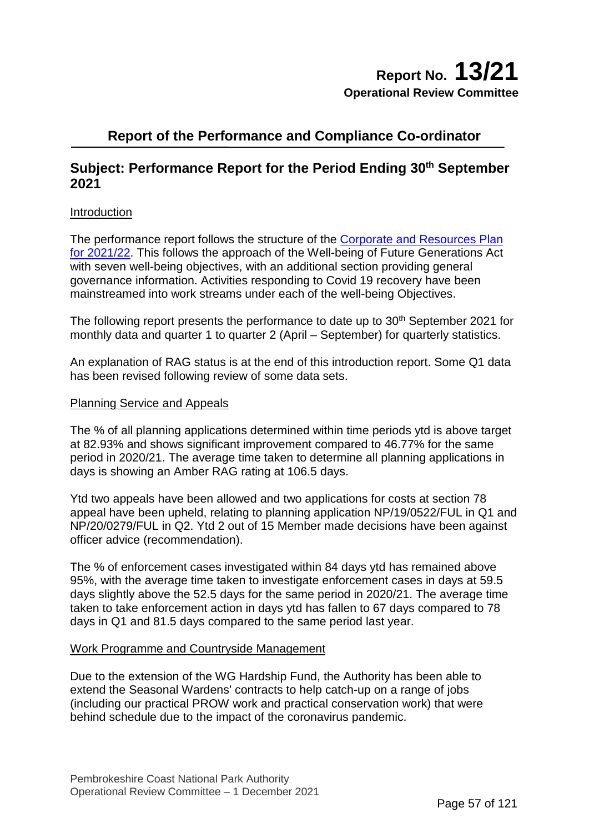# **Report of the Performance and Compliance Co-ordinator**

# **Subject: Performance Report for the Period Ending 30<sup>th</sup> September 2021**

## Introduction

The performance report follows the structure of the Corporate [and Resources](https://www.pembrokeshirecoast.wales/wp-content/uploads/2021/03/Corporate_Plan_21_22.pdf) Plan [for 2021/22.](https://www.pembrokeshirecoast.wales/wp-content/uploads/2021/03/Corporate_Plan_21_22.pdf) This follows the approach of the Well-being of Future Generations Act with seven well-being objectives, with an additional section providing general governance information. Activities responding to Covid 19 recovery have been mainstreamed into work streams under each of the well-being Objectives.

The following report presents the performance to date up to 30<sup>th</sup> September 2021 for monthly data and quarter 1 to quarter 2 (April – September) for quarterly statistics.

An explanation of RAG status is at the end of this introduction report. Some Q1 data has been revised following review of some data sets.

### Planning Service and Appeals

The % of all planning applications determined within time periods ytd is above target at 82.93% and shows significant improvement compared to 46.77% for the same period in 2020/21. The average time taken to determine all planning applications in days is showing an Amber RAG rating at 106.5 days.

Ytd two appeals have been allowed and two applications for costs at section 78 appeal have been upheld, relating to planning application NP/19/0522/FUL in Q1 and NP/20/0279/FUL in Q2. Ytd 2 out of 15 Member made decisions have been against officer advice (recommendation).

The % of enforcement cases investigated within 84 days ytd has remained above 95%, with the average time taken to investigate enforcement cases in days at 59.5 days slightly above the 52.5 days for the same period in 2020/21. The average time taken to take enforcement action in days ytd has fallen to 67 days compared to 78 days in Q1 and 81.5 days compared to the same period last year.

## Work Programme and Countryside Management

Due to the extension of the WG Hardship Fund, the Authority has been able to extend the Seasonal Wardens' contracts to help catch-up on a range of jobs (including our practical PROW work and practical conservation work) that were behind schedule due to the impact of the coronavirus pandemic.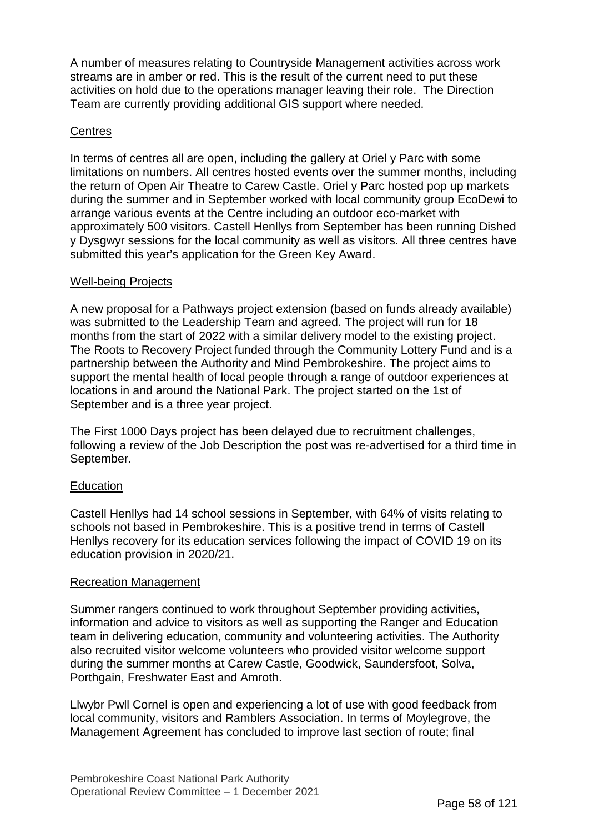A number of measures relating to Countryside Management activities across work streams are in amber or red. This is the result of the current need to put these activities on hold due to the operations manager leaving their role. The Direction Team are currently providing additional GIS support where needed.

## **Centres**

In terms of centres all are open, including the gallery at Oriel y Parc with some limitations on numbers. All centres hosted events over the summer months, including the return of Open Air Theatre to Carew Castle. Oriel y Parc hosted pop up markets during the summer and in September worked with local community group EcoDewi to arrange various events at the Centre including an outdoor eco-market with approximately 500 visitors. Castell Henllys from September has been running Dished y Dysgwyr sessions for the local community as well as visitors. All three centres have submitted this year's application for the Green Key Award.

## Well-being Projects

A new proposal for a Pathways project extension (based on funds already available) was submitted to the Leadership Team and agreed. The project will run for 18 months from the start of 2022 with a similar delivery model to the existing project. The Roots to Recovery Project funded through the Community Lottery Fund and is a partnership between the Authority and Mind Pembrokeshire. The project aims to support the mental health of local people through a range of outdoor experiences at locations in and around the National Park. The project started on the 1st of September and is a three year project.

The First 1000 Days project has been delayed due to recruitment challenges, following a review of the Job Description the post was re-advertised for a third time in September.

## **Education**

Castell Henllys had 14 school sessions in September, with 64% of visits relating to schools not based in Pembrokeshire. This is a positive trend in terms of Castell Henllys recovery for its education services following the impact of COVID 19 on its education provision in 2020/21.

#### Recreation Management

Summer rangers continued to work throughout September providing activities, information and advice to visitors as well as supporting the Ranger and Education team in delivering education, community and volunteering activities. The Authority also recruited visitor welcome volunteers who provided visitor welcome support during the summer months at Carew Castle, Goodwick, Saundersfoot, Solva, Porthgain, Freshwater East and Amroth.

Llwybr Pwll Cornel is open and experiencing a lot of use with good feedback from local community, visitors and Ramblers Association. In terms of Moylegrove, the Management Agreement has concluded to improve last section of route; final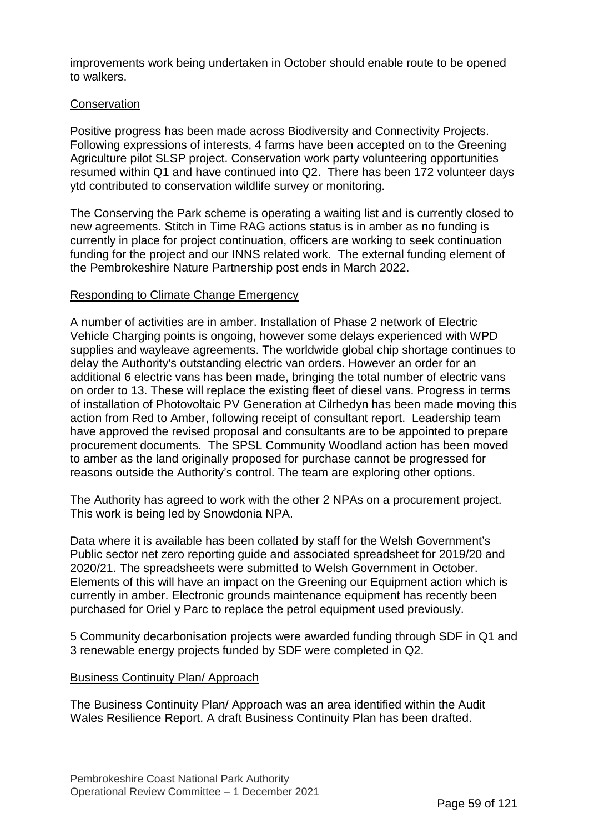improvements work being undertaken in October should enable route to be opened to walkers.

## **Conservation**

Positive progress has been made across Biodiversity and Connectivity Projects. Following expressions of interests, 4 farms have been accepted on to the Greening Agriculture pilot SLSP project. Conservation work party volunteering opportunities resumed within Q1 and have continued into Q2. There has been 172 volunteer days ytd contributed to conservation wildlife survey or monitoring.

The Conserving the Park scheme is operating a waiting list and is currently closed to new agreements. Stitch in Time RAG actions status is in amber as no funding is currently in place for project continuation, officers are working to seek continuation funding for the project and our INNS related work. The external funding element of the Pembrokeshire Nature Partnership post ends in March 2022.

## Responding to Climate Change Emergency

A number of activities are in amber. Installation of Phase 2 network of Electric Vehicle Charging points is ongoing, however some delays experienced with WPD supplies and wayleave agreements. The worldwide global chip shortage continues to delay the Authority's outstanding electric van orders. However an order for an additional 6 electric vans has been made, bringing the total number of electric vans on order to 13. These will replace the existing fleet of diesel vans. Progress in terms of installation of Photovoltaic PV Generation at Cilrhedyn has been made moving this action from Red to Amber, following receipt of consultant report. Leadership team have approved the revised proposal and consultants are to be appointed to prepare procurement documents. The SPSL Community Woodland action has been moved to amber as the land originally proposed for purchase cannot be progressed for reasons outside the Authority's control. The team are exploring other options.

The Authority has agreed to work with the other 2 NPAs on a procurement project. This work is being led by Snowdonia NPA.

Data where it is available has been collated by staff for the Welsh Government's Public sector net zero reporting guide and associated spreadsheet for 2019/20 and 2020/21. The spreadsheets were submitted to Welsh Government in October. Elements of this will have an impact on the Greening our Equipment action which is currently in amber. Electronic grounds maintenance equipment has recently been purchased for Oriel y Parc to replace the petrol equipment used previously.

5 Community decarbonisation projects were awarded funding through SDF in Q1 and 3 renewable energy projects funded by SDF were completed in Q2.

#### Business Continuity Plan/ Approach

The Business Continuity Plan/ Approach was an area identified within the Audit Wales Resilience Report. A draft Business Continuity Plan has been drafted.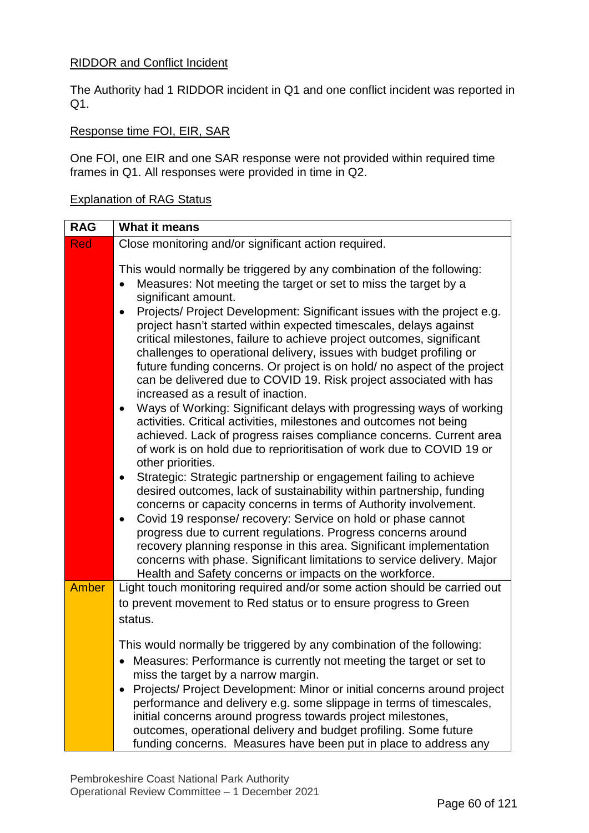## RIDDOR and Conflict Incident

The Authority had 1 RIDDOR incident in Q1 and one conflict incident was reported in Q1.

## Response time FOI, EIR, SAR

One FOI, one EIR and one SAR response were not provided within required time frames in Q1. All responses were provided in time in Q2.

## Explanation of RAG Status

| <b>RAG</b>   | <b>What it means</b>                                                                                                                                                                                                                                                                                                                                                                                                                                                                                                                                                                                                                                                                                                                                                                                                                                                                                                                                                                                                                                                                                                                                                                                                                                                                                                                                                                                                                                                                                                                                                                          |
|--------------|-----------------------------------------------------------------------------------------------------------------------------------------------------------------------------------------------------------------------------------------------------------------------------------------------------------------------------------------------------------------------------------------------------------------------------------------------------------------------------------------------------------------------------------------------------------------------------------------------------------------------------------------------------------------------------------------------------------------------------------------------------------------------------------------------------------------------------------------------------------------------------------------------------------------------------------------------------------------------------------------------------------------------------------------------------------------------------------------------------------------------------------------------------------------------------------------------------------------------------------------------------------------------------------------------------------------------------------------------------------------------------------------------------------------------------------------------------------------------------------------------------------------------------------------------------------------------------------------------|
| <b>Red</b>   | Close monitoring and/or significant action required.                                                                                                                                                                                                                                                                                                                                                                                                                                                                                                                                                                                                                                                                                                                                                                                                                                                                                                                                                                                                                                                                                                                                                                                                                                                                                                                                                                                                                                                                                                                                          |
|              | This would normally be triggered by any combination of the following:<br>Measures: Not meeting the target or set to miss the target by a<br>significant amount.<br>Projects/ Project Development: Significant issues with the project e.g.<br>$\bullet$<br>project hasn't started within expected timescales, delays against<br>critical milestones, failure to achieve project outcomes, significant<br>challenges to operational delivery, issues with budget profiling or<br>future funding concerns. Or project is on hold/ no aspect of the project<br>can be delivered due to COVID 19. Risk project associated with has<br>increased as a result of inaction.<br>Ways of Working: Significant delays with progressing ways of working<br>$\bullet$<br>activities. Critical activities, milestones and outcomes not being<br>achieved. Lack of progress raises compliance concerns. Current area<br>of work is on hold due to reprioritisation of work due to COVID 19 or<br>other priorities.<br>Strategic: Strategic partnership or engagement failing to achieve<br>$\bullet$<br>desired outcomes, lack of sustainability within partnership, funding<br>concerns or capacity concerns in terms of Authority involvement.<br>Covid 19 response/ recovery: Service on hold or phase cannot<br>$\bullet$<br>progress due to current regulations. Progress concerns around<br>recovery planning response in this area. Significant implementation<br>concerns with phase. Significant limitations to service delivery. Major<br>Health and Safety concerns or impacts on the workforce. |
| <b>Amber</b> | Light touch monitoring required and/or some action should be carried out                                                                                                                                                                                                                                                                                                                                                                                                                                                                                                                                                                                                                                                                                                                                                                                                                                                                                                                                                                                                                                                                                                                                                                                                                                                                                                                                                                                                                                                                                                                      |
|              | to prevent movement to Red status or to ensure progress to Green                                                                                                                                                                                                                                                                                                                                                                                                                                                                                                                                                                                                                                                                                                                                                                                                                                                                                                                                                                                                                                                                                                                                                                                                                                                                                                                                                                                                                                                                                                                              |
|              | status.                                                                                                                                                                                                                                                                                                                                                                                                                                                                                                                                                                                                                                                                                                                                                                                                                                                                                                                                                                                                                                                                                                                                                                                                                                                                                                                                                                                                                                                                                                                                                                                       |
|              | This would normally be triggered by any combination of the following:                                                                                                                                                                                                                                                                                                                                                                                                                                                                                                                                                                                                                                                                                                                                                                                                                                                                                                                                                                                                                                                                                                                                                                                                                                                                                                                                                                                                                                                                                                                         |
|              | • Measures: Performance is currently not meeting the target or set to                                                                                                                                                                                                                                                                                                                                                                                                                                                                                                                                                                                                                                                                                                                                                                                                                                                                                                                                                                                                                                                                                                                                                                                                                                                                                                                                                                                                                                                                                                                         |
|              | miss the target by a narrow margin.<br>Projects/ Project Development: Minor or initial concerns around project                                                                                                                                                                                                                                                                                                                                                                                                                                                                                                                                                                                                                                                                                                                                                                                                                                                                                                                                                                                                                                                                                                                                                                                                                                                                                                                                                                                                                                                                                |
|              | performance and delivery e.g. some slippage in terms of timescales,                                                                                                                                                                                                                                                                                                                                                                                                                                                                                                                                                                                                                                                                                                                                                                                                                                                                                                                                                                                                                                                                                                                                                                                                                                                                                                                                                                                                                                                                                                                           |
|              | initial concerns around progress towards project milestones,                                                                                                                                                                                                                                                                                                                                                                                                                                                                                                                                                                                                                                                                                                                                                                                                                                                                                                                                                                                                                                                                                                                                                                                                                                                                                                                                                                                                                                                                                                                                  |
|              | outcomes, operational delivery and budget profiling. Some future                                                                                                                                                                                                                                                                                                                                                                                                                                                                                                                                                                                                                                                                                                                                                                                                                                                                                                                                                                                                                                                                                                                                                                                                                                                                                                                                                                                                                                                                                                                              |
|              | funding concerns. Measures have been put in place to address any                                                                                                                                                                                                                                                                                                                                                                                                                                                                                                                                                                                                                                                                                                                                                                                                                                                                                                                                                                                                                                                                                                                                                                                                                                                                                                                                                                                                                                                                                                                              |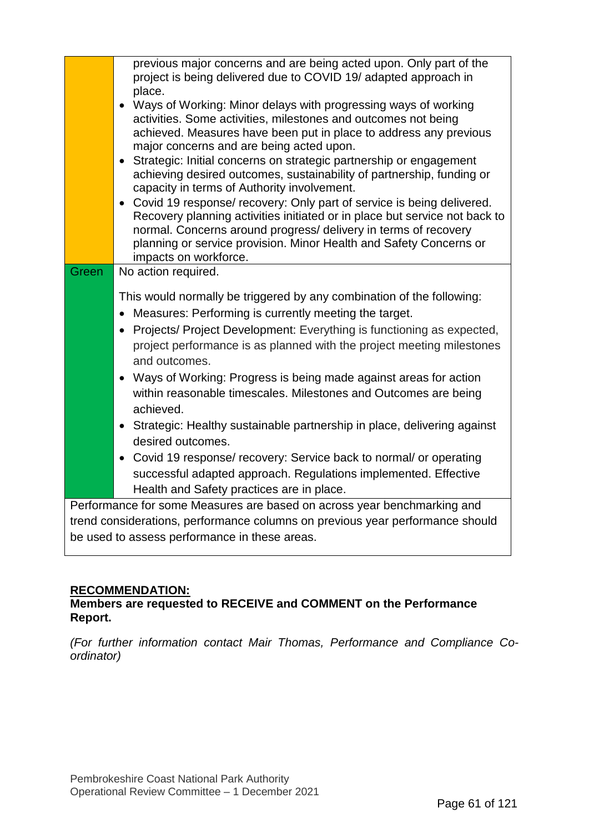| previous major concerns and are being acted upon. Only part of the<br>project is being delivered due to COVID 19/ adapted approach in<br>place.<br>Ways of Working: Minor delays with progressing ways of working<br>activities. Some activities, milestones and outcomes not being<br>achieved. Measures have been put in place to address any previous<br>major concerns and are being acted upon.<br>Strategic: Initial concerns on strategic partnership or engagement<br>achieving desired outcomes, sustainability of partnership, funding or<br>capacity in terms of Authority involvement.<br>• Covid 19 response/ recovery: Only part of service is being delivered.<br>Recovery planning activities initiated or in place but service not back to<br>normal. Concerns around progress/ delivery in terms of recovery<br>planning or service provision. Minor Health and Safety Concerns or<br>impacts on workforce. |
|-------------------------------------------------------------------------------------------------------------------------------------------------------------------------------------------------------------------------------------------------------------------------------------------------------------------------------------------------------------------------------------------------------------------------------------------------------------------------------------------------------------------------------------------------------------------------------------------------------------------------------------------------------------------------------------------------------------------------------------------------------------------------------------------------------------------------------------------------------------------------------------------------------------------------------|
| No action required.<br>Green                                                                                                                                                                                                                                                                                                                                                                                                                                                                                                                                                                                                                                                                                                                                                                                                                                                                                                  |
| This would normally be triggered by any combination of the following:<br>Measures: Performing is currently meeting the target.<br>Projects/ Project Development: Everything is functioning as expected,<br>project performance is as planned with the project meeting milestones<br>and outcomes.<br>Ways of Working: Progress is being made against areas for action<br>within reasonable timescales. Milestones and Outcomes are being<br>achieved.<br>• Strategic: Healthy sustainable partnership in place, delivering against<br>desired outcomes.<br>• Covid 19 response/ recovery: Service back to normal/ or operating<br>successful adapted approach. Regulations implemented. Effective<br>Health and Safety practices are in place.                                                                                                                                                                                |
| Performance for some Measures are based on across year benchmarking and                                                                                                                                                                                                                                                                                                                                                                                                                                                                                                                                                                                                                                                                                                                                                                                                                                                       |
| trend considerations, performance columns on previous year performance should                                                                                                                                                                                                                                                                                                                                                                                                                                                                                                                                                                                                                                                                                                                                                                                                                                                 |

## **RECOMMENDATION:**

## **Members are requested to RECEIVE and COMMENT on the Performance Report.**

*(For further information contact Mair Thomas, Performance and Compliance Coordinator)*

be used to assess performance in these areas.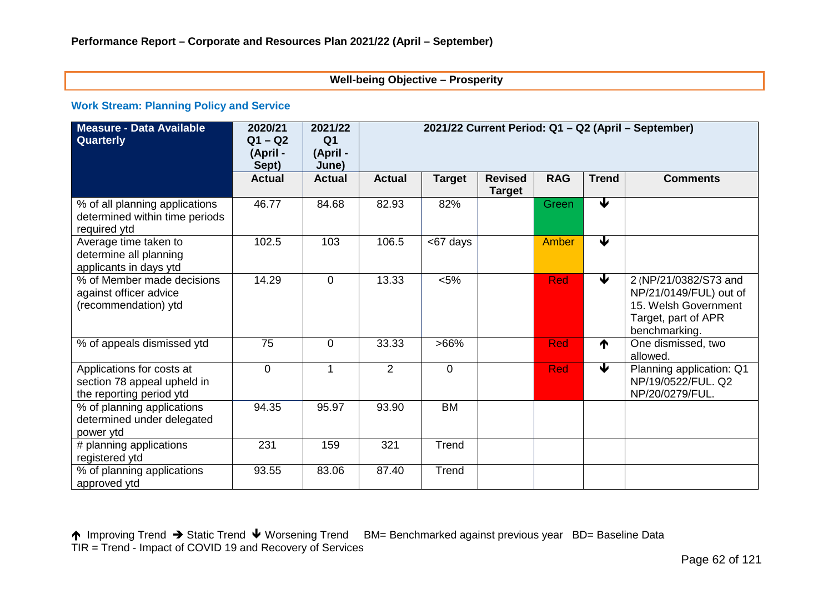### **Well-being Objective – Prosperity**

#### **Work Stream: Planning Policy and Service**

| <b>Measure - Data Available</b><br>Quarterly                                         | 2020/21<br>$Q1 - Q2$<br>(April -<br>Sept) | 2021/22<br>Q <sub>1</sub><br>(April -<br>June) | 2021/22 Current Period: Q1 - Q2 (April - September) |                |                                 |            |                      |                                                                                                                 |
|--------------------------------------------------------------------------------------|-------------------------------------------|------------------------------------------------|-----------------------------------------------------|----------------|---------------------------------|------------|----------------------|-----------------------------------------------------------------------------------------------------------------|
|                                                                                      | <b>Actual</b>                             | <b>Actual</b>                                  | <b>Actual</b>                                       | <b>Target</b>  | <b>Revised</b><br><b>Target</b> | <b>RAG</b> | <b>Trend</b>         | <b>Comments</b>                                                                                                 |
| % of all planning applications<br>determined within time periods<br>required ytd     | 46.77                                     | 84.68                                          | 82.93                                               | 82%            |                                 | Green      | $\blacktriangledown$ |                                                                                                                 |
| Average time taken to<br>determine all planning<br>applicants in days ytd            | 102.5                                     | 103                                            | 106.5                                               | <67 days       |                                 | Amber      | $\blacktriangledown$ |                                                                                                                 |
| % of Member made decisions<br>against officer advice<br>(recommendation) ytd         | 14.29                                     | $\overline{0}$                                 | 13.33                                               | $< 5\%$        |                                 | <b>Red</b> | $\blacklozenge$      | 2 (NP/21/0382/S73 and<br>NP/21/0149/FUL) out of<br>15. Welsh Government<br>Target, part of APR<br>benchmarking. |
| % of appeals dismissed ytd                                                           | 75                                        | $\overline{0}$                                 | 33.33                                               | $>66\%$        |                                 | <b>Red</b> | ↑                    | One dismissed, two<br>allowed.                                                                                  |
| Applications for costs at<br>section 78 appeal upheld in<br>the reporting period ytd | $\overline{0}$                            | 1                                              | 2                                                   | $\overline{0}$ |                                 | <b>Red</b> | €                    | Planning application: Q1<br>NP/19/0522/FUL. Q2<br>NP/20/0279/FUL.                                               |
| % of planning applications<br>determined under delegated<br>power ytd                | 94.35                                     | 95.97                                          | 93.90                                               | <b>BM</b>      |                                 |            |                      |                                                                                                                 |
| # planning applications<br>registered ytd                                            | 231                                       | 159                                            | 321                                                 | Trend          |                                 |            |                      |                                                                                                                 |
| % of planning applications<br>approved ytd                                           | 93.55                                     | 83.06                                          | 87.40                                               | Trend          |                                 |            |                      |                                                                                                                 |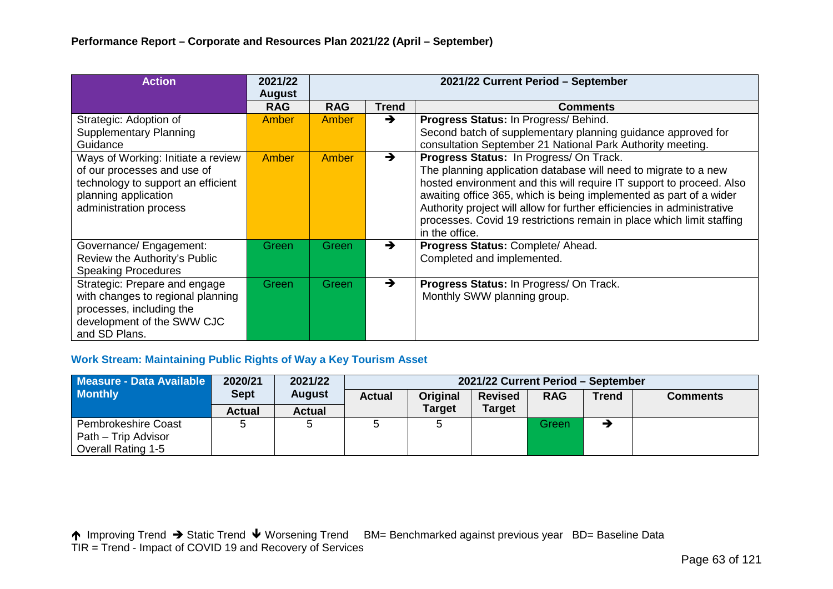| <b>Action</b>                                                                                                                                             | 2021/22<br><b>August</b> |            |               | 2021/22 Current Period - September                                                                                                                                                                                                                                                                                                                                                                                             |
|-----------------------------------------------------------------------------------------------------------------------------------------------------------|--------------------------|------------|---------------|--------------------------------------------------------------------------------------------------------------------------------------------------------------------------------------------------------------------------------------------------------------------------------------------------------------------------------------------------------------------------------------------------------------------------------|
|                                                                                                                                                           | <b>RAG</b>               | <b>RAG</b> | <b>Trend</b>  | <b>Comments</b>                                                                                                                                                                                                                                                                                                                                                                                                                |
| Strategic: Adoption of<br><b>Supplementary Planning</b><br>Guidance                                                                                       | Amber                    | Amber      | $\rightarrow$ | Progress Status: In Progress/ Behind.<br>Second batch of supplementary planning guidance approved for<br>consultation September 21 National Park Authority meeting.                                                                                                                                                                                                                                                            |
| Ways of Working: Initiate a review<br>of our processes and use of<br>technology to support an efficient<br>planning application<br>administration process | Amber                    | Amber      | $\rightarrow$ | Progress Status: In Progress/ On Track.<br>The planning application database will need to migrate to a new<br>hosted environment and this will require IT support to proceed. Also<br>awaiting office 365, which is being implemented as part of a wider<br>Authority project will allow for further efficiencies in administrative<br>processes. Covid 19 restrictions remain in place which limit staffing<br>in the office. |
| Governance/ Engagement:<br>Review the Authority's Public<br><b>Speaking Procedures</b>                                                                    | Green                    | Green      | $\rightarrow$ | Progress Status: Complete/ Ahead.<br>Completed and implemented.                                                                                                                                                                                                                                                                                                                                                                |
| Strategic: Prepare and engage<br>with changes to regional planning<br>processes, including the<br>development of the SWW CJC<br>and SD Plans.             | <b>Green</b>             | Green      | $\rightarrow$ | Progress Status: In Progress/ On Track.<br>Monthly SWW planning group.                                                                                                                                                                                                                                                                                                                                                         |

## **Work Stream: Maintaining Public Rights of Way a Key Tourism Asset**

| Measure - Data Available  | 2020/21       | 2021/22       | 2021/22 Current Period - September |               |                |            |              |                 |
|---------------------------|---------------|---------------|------------------------------------|---------------|----------------|------------|--------------|-----------------|
| <b>Monthly</b>            | <b>Sept</b>   | <b>August</b> | <b>Actual</b>                      | Original      | <b>Revised</b> | <b>RAG</b> | <b>Trend</b> | <b>Comments</b> |
|                           | <b>Actual</b> | <b>Actual</b> |                                    | <b>Target</b> | <b>Target</b>  |            |              |                 |
| Pembrokeshire Coast       |               |               |                                    |               |                | Green      |              |                 |
| Path – Trip Advisor       |               |               |                                    |               |                |            |              |                 |
| <b>Overall Rating 1-5</b> |               |               |                                    |               |                |            |              |                 |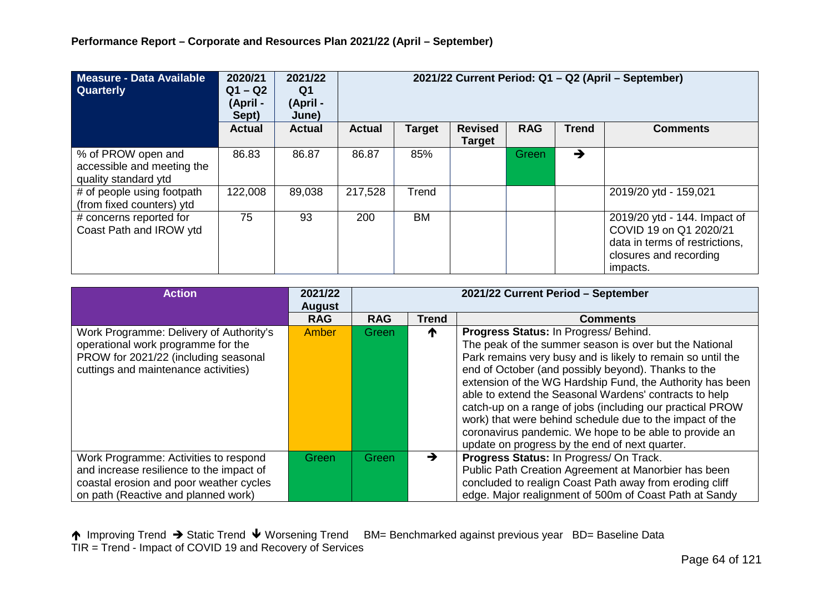| Measure - Data Available<br><b>Quarterly</b>                             | 2020/21<br>$Q1 - Q2$<br>(April -<br>Sept) | 2021/22<br>Q1<br>(April -<br>June) | 2021/22 Current Period: Q1 - Q2 (April - September) |           |                                 |            |              |                                                                                                                                |  |
|--------------------------------------------------------------------------|-------------------------------------------|------------------------------------|-----------------------------------------------------|-----------|---------------------------------|------------|--------------|--------------------------------------------------------------------------------------------------------------------------------|--|
|                                                                          | <b>Actual</b>                             | <b>Actual</b>                      | <b>Actual</b>                                       | Target    | <b>Revised</b><br><b>Target</b> | <b>RAG</b> | <b>Trend</b> | <b>Comments</b>                                                                                                                |  |
| % of PROW open and<br>accessible and meeting the<br>quality standard ytd | 86.83                                     | 86.87                              | 86.87                                               | 85%       |                                 | Green      | →            |                                                                                                                                |  |
| # of people using footpath<br>(from fixed counters) ytd                  | 122,008                                   | 89,038                             | 217,528                                             | Trend     |                                 |            |              | 2019/20 ytd - 159,021                                                                                                          |  |
| # concerns reported for<br>Coast Path and IROW ytd                       | 75                                        | 93                                 | 200                                                 | <b>BM</b> |                                 |            |              | 2019/20 ytd - 144. Impact of<br>COVID 19 on Q1 2020/21<br>data in terms of restrictions,<br>closures and recording<br>impacts. |  |

| <b>Action</b>                                                                                                                                                       | 2021/22<br><b>August</b> | 2021/22 Current Period - September |       |                                                                                                                                                                                                                                                                                                                                                                                                                                                                                                                                                                                   |  |
|---------------------------------------------------------------------------------------------------------------------------------------------------------------------|--------------------------|------------------------------------|-------|-----------------------------------------------------------------------------------------------------------------------------------------------------------------------------------------------------------------------------------------------------------------------------------------------------------------------------------------------------------------------------------------------------------------------------------------------------------------------------------------------------------------------------------------------------------------------------------|--|
|                                                                                                                                                                     | <b>RAG</b>               | <b>RAG</b>                         | Trend | <b>Comments</b>                                                                                                                                                                                                                                                                                                                                                                                                                                                                                                                                                                   |  |
| Work Programme: Delivery of Authority's<br>operational work programme for the<br>PROW for 2021/22 (including seasonal<br>cuttings and maintenance activities)       | Amber                    | Green                              | T     | Progress Status: In Progress/ Behind.<br>The peak of the summer season is over but the National<br>Park remains very busy and is likely to remain so until the<br>end of October (and possibly beyond). Thanks to the<br>extension of the WG Hardship Fund, the Authority has been<br>able to extend the Seasonal Wardens' contracts to help<br>catch-up on a range of jobs (including our practical PROW<br>work) that were behind schedule due to the impact of the<br>coronavirus pandemic. We hope to be able to provide an<br>update on progress by the end of next quarter. |  |
| Work Programme: Activities to respond<br>and increase resilience to the impact of<br>coastal erosion and poor weather cycles<br>on path (Reactive and planned work) | Green                    | Green7                             | →     | Progress Status: In Progress/ On Track.<br>Public Path Creation Agreement at Manorbier has been<br>concluded to realign Coast Path away from eroding cliff<br>edge. Major realignment of 500m of Coast Path at Sandy                                                                                                                                                                                                                                                                                                                                                              |  |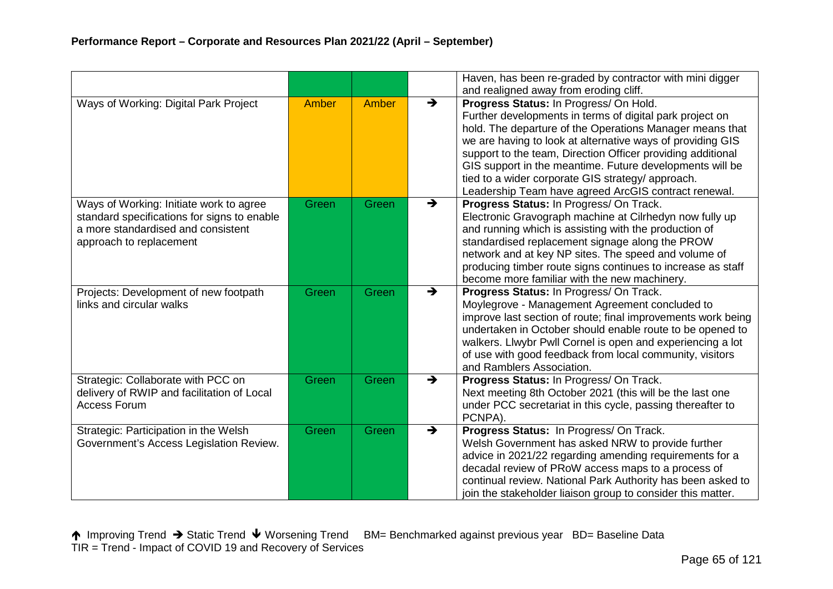|                                                                                                                                                         |       |       |               | Haven, has been re-graded by contractor with mini digger<br>and realigned away from eroding cliff.                                                                                                                                                                                                                                                                                                                                                                   |
|---------------------------------------------------------------------------------------------------------------------------------------------------------|-------|-------|---------------|----------------------------------------------------------------------------------------------------------------------------------------------------------------------------------------------------------------------------------------------------------------------------------------------------------------------------------------------------------------------------------------------------------------------------------------------------------------------|
| Ways of Working: Digital Park Project                                                                                                                   | Amber | Amber | $\rightarrow$ | Progress Status: In Progress/ On Hold.<br>Further developments in terms of digital park project on<br>hold. The departure of the Operations Manager means that<br>we are having to look at alternative ways of providing GIS<br>support to the team, Direction Officer providing additional<br>GIS support in the meantime. Future developments will be<br>tied to a wider corporate GIS strategy/ approach.<br>Leadership Team have agreed ArcGIS contract renewal. |
| Ways of Working: Initiate work to agree<br>standard specifications for signs to enable<br>a more standardised and consistent<br>approach to replacement | Green | Green | $\rightarrow$ | Progress Status: In Progress/On Track.<br>Electronic Gravograph machine at Cilrhedyn now fully up<br>and running which is assisting with the production of<br>standardised replacement signage along the PROW<br>network and at key NP sites. The speed and volume of<br>producing timber route signs continues to increase as staff<br>become more familiar with the new machinery.                                                                                 |
| Projects: Development of new footpath<br>links and circular walks                                                                                       | Green | Green | $\rightarrow$ | Progress Status: In Progress/ On Track.<br>Moylegrove - Management Agreement concluded to<br>improve last section of route; final improvements work being<br>undertaken in October should enable route to be opened to<br>walkers. Llwybr Pwll Cornel is open and experiencing a lot<br>of use with good feedback from local community, visitors<br>and Ramblers Association.                                                                                        |
| Strategic: Collaborate with PCC on<br>delivery of RWIP and facilitation of Local<br><b>Access Forum</b>                                                 | Green | Green | $\rightarrow$ | Progress Status: In Progress/ On Track.<br>Next meeting 8th October 2021 (this will be the last one<br>under PCC secretariat in this cycle, passing thereafter to<br>PCNPA).                                                                                                                                                                                                                                                                                         |
| Strategic: Participation in the Welsh<br>Government's Access Legislation Review.                                                                        | Green | Green | $\rightarrow$ | Progress Status: In Progress/ On Track.<br>Welsh Government has asked NRW to provide further<br>advice in 2021/22 regarding amending requirements for a<br>decadal review of PRoW access maps to a process of<br>continual review. National Park Authority has been asked to<br>join the stakeholder liaison group to consider this matter.                                                                                                                          |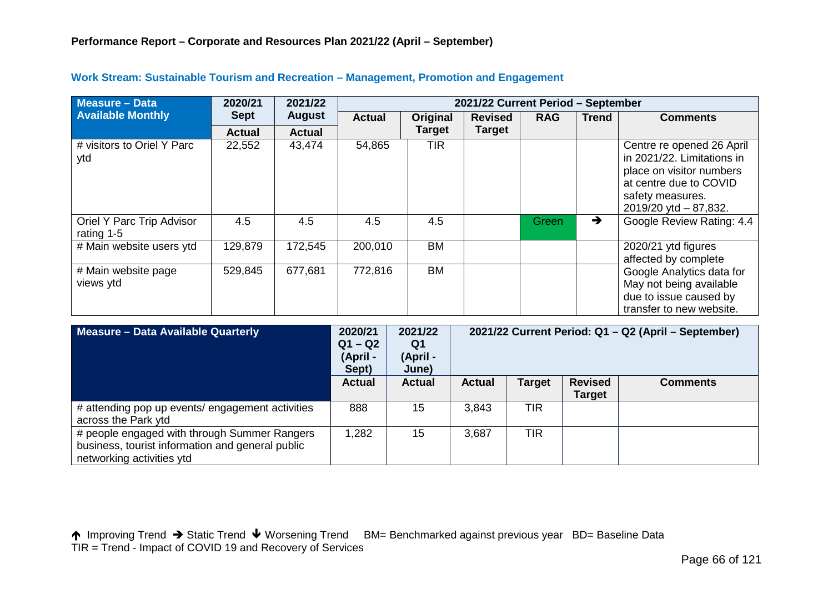| <b>Measure - Data</b>                   | 2020/21       | 2021/22       | 2021/22 Current Period - September |               |                |              |              |                                                                                                                                                               |  |  |
|-----------------------------------------|---------------|---------------|------------------------------------|---------------|----------------|--------------|--------------|---------------------------------------------------------------------------------------------------------------------------------------------------------------|--|--|
| <b>Available Monthly</b>                | <b>Sept</b>   | <b>August</b> | <b>Actual</b>                      | Original      | <b>Revised</b> | <b>RAG</b>   | <b>Trend</b> | <b>Comments</b>                                                                                                                                               |  |  |
|                                         | <b>Actual</b> | <b>Actual</b> |                                    | <b>Target</b> | <b>Target</b>  |              |              |                                                                                                                                                               |  |  |
| # visitors to Oriel Y Parc<br>ytd       | 22,552        | 43,474        | 54,865                             | TIR           |                |              |              | Centre re opened 26 April<br>in 2021/22. Limitations in<br>place on visitor numbers<br>at centre due to COVID<br>safety measures.<br>2019/20 ytd $- 87,832$ . |  |  |
| Oriel Y Parc Trip Advisor<br>rating 1-5 | 4.5           | 4.5           | 4.5                                | 4.5           |                | <b>Green</b> | →            | Google Review Rating: 4.4                                                                                                                                     |  |  |
| # Main website users ytd                | 129,879       | 172,545       | 200,010                            | <b>BM</b>     |                |              |              | 2020/21 ytd figures<br>affected by complete                                                                                                                   |  |  |
| # Main website page<br>views ytd        | 529,845       | 677,681       | 772,816                            | <b>BM</b>     |                |              |              | Google Analytics data for<br>May not being available<br>due to issue caused by<br>transfer to new website.                                                    |  |  |

## **Work Stream: Sustainable Tourism and Recreation – Management, Promotion and Engagement**

| Measure - Data Available Quarterly                                                                                            | 2020/21<br>$Q1 - Q2$<br>(April -<br>Sept) | 2021/22<br>Q1<br>(April -<br>June) | 2021/22 Current Period: Q1 - Q2 (April - September) |               |                                 |                 |
|-------------------------------------------------------------------------------------------------------------------------------|-------------------------------------------|------------------------------------|-----------------------------------------------------|---------------|---------------------------------|-----------------|
|                                                                                                                               | <b>Actual</b>                             | <b>Actual</b>                      | <b>Actual</b>                                       | <b>Target</b> | <b>Revised</b><br><b>Target</b> | <b>Comments</b> |
| # attending pop up events/ engagement activities<br>across the Park ytd                                                       | 888                                       | 15                                 | 3,843                                               | <b>TIR</b>    |                                 |                 |
| # people engaged with through Summer Rangers<br>business, tourist information and general public<br>networking activities ytd | .282                                      | 15                                 | 3,687                                               | <b>TIR</b>    |                                 |                 |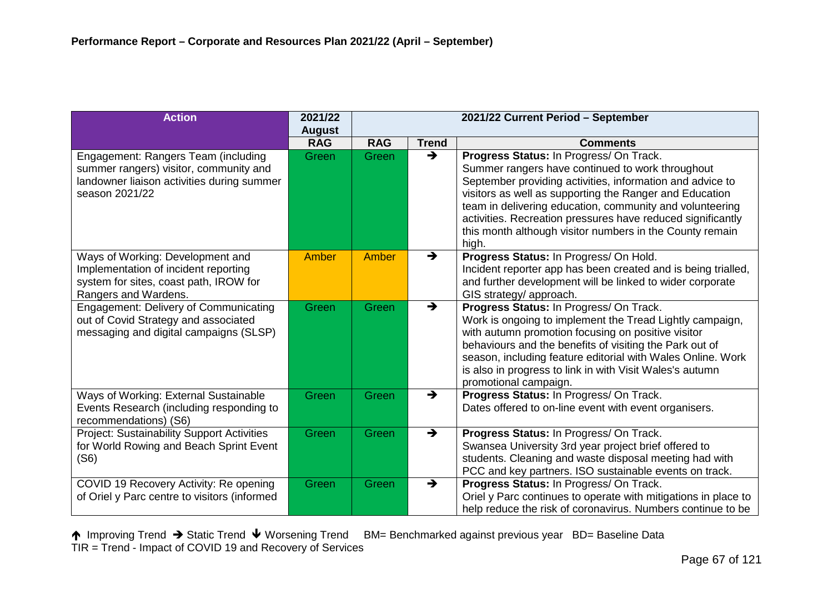| <b>Action</b>                                     | 2021/22       | 2021/22 Current Period - September |               |                                                                                                                         |
|---------------------------------------------------|---------------|------------------------------------|---------------|-------------------------------------------------------------------------------------------------------------------------|
|                                                   | <b>August</b> |                                    |               |                                                                                                                         |
|                                                   | <b>RAG</b>    | <b>RAG</b>                         | <b>Trend</b>  | <b>Comments</b>                                                                                                         |
| Engagement: Rangers Team (including               | Green         | Green                              | $\rightarrow$ | Progress Status: In Progress/ On Track.                                                                                 |
| summer rangers) visitor, community and            |               |                                    |               | Summer rangers have continued to work throughout                                                                        |
| landowner liaison activities during summer        |               |                                    |               | September providing activities, information and advice to                                                               |
| season 2021/22                                    |               |                                    |               | visitors as well as supporting the Ranger and Education                                                                 |
|                                                   |               |                                    |               | team in delivering education, community and volunteering<br>activities. Recreation pressures have reduced significantly |
|                                                   |               |                                    |               | this month although visitor numbers in the County remain                                                                |
|                                                   |               |                                    |               | high.                                                                                                                   |
| Ways of Working: Development and                  | <b>Amber</b>  | Amber                              | $\rightarrow$ | Progress Status: In Progress/ On Hold.                                                                                  |
| Implementation of incident reporting              |               |                                    |               | Incident reporter app has been created and is being trialled,                                                           |
| system for sites, coast path, IROW for            |               |                                    |               | and further development will be linked to wider corporate                                                               |
| Rangers and Wardens.                              |               |                                    |               | GIS strategy/ approach.                                                                                                 |
| <b>Engagement: Delivery of Communicating</b>      | Green         | Green                              | $\rightarrow$ | Progress Status: In Progress/ On Track.                                                                                 |
| out of Covid Strategy and associated              |               |                                    |               | Work is ongoing to implement the Tread Lightly campaign,                                                                |
| messaging and digital campaigns (SLSP)            |               |                                    |               | with autumn promotion focusing on positive visitor<br>behaviours and the benefits of visiting the Park out of           |
|                                                   |               |                                    |               | season, including feature editorial with Wales Online. Work                                                             |
|                                                   |               |                                    |               | is also in progress to link in with Visit Wales's autumn                                                                |
|                                                   |               |                                    |               | promotional campaign.                                                                                                   |
| Ways of Working: External Sustainable             | Green         | Green                              | $\rightarrow$ | Progress Status: In Progress/ On Track.                                                                                 |
| Events Research (including responding to          |               |                                    |               | Dates offered to on-line event with event organisers.                                                                   |
| recommendations) (S6)                             |               |                                    |               |                                                                                                                         |
| <b>Project: Sustainability Support Activities</b> | Green         | Green                              | $\rightarrow$ | Progress Status: In Progress/ On Track.                                                                                 |
| for World Rowing and Beach Sprint Event           |               |                                    |               | Swansea University 3rd year project brief offered to                                                                    |
| (S6)                                              |               |                                    |               | students. Cleaning and waste disposal meeting had with<br>PCC and key partners. ISO sustainable events on track.        |
| COVID 19 Recovery Activity: Re opening            | Green         | Green                              | →             | Progress Status: In Progress/ On Track.                                                                                 |
| of Oriel y Parc centre to visitors (informed      |               |                                    |               | Oriel y Parc continues to operate with mitigations in place to                                                          |
|                                                   |               |                                    |               | help reduce the risk of coronavirus. Numbers continue to be                                                             |
|                                                   |               |                                    |               |                                                                                                                         |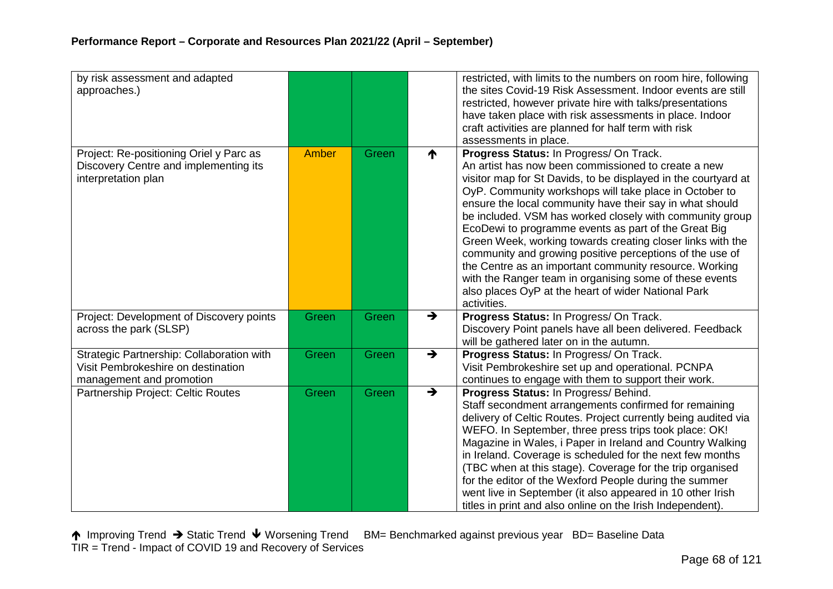| by risk assessment and adapted<br>approaches.)                                                              |       |       |               | restricted, with limits to the numbers on room hire, following<br>the sites Covid-19 Risk Assessment. Indoor events are still<br>restricted, however private hire with talks/presentations<br>have taken place with risk assessments in place. Indoor<br>craft activities are planned for half term with risk<br>assessments in place.                                                                                                                                                                                                                                                                                                                                                                                          |
|-------------------------------------------------------------------------------------------------------------|-------|-------|---------------|---------------------------------------------------------------------------------------------------------------------------------------------------------------------------------------------------------------------------------------------------------------------------------------------------------------------------------------------------------------------------------------------------------------------------------------------------------------------------------------------------------------------------------------------------------------------------------------------------------------------------------------------------------------------------------------------------------------------------------|
| Project: Re-positioning Oriel y Parc as<br>Discovery Centre and implementing its<br>interpretation plan     | Amber | Green | ₼             | Progress Status: In Progress/ On Track.<br>An artist has now been commissioned to create a new<br>visitor map for St Davids, to be displayed in the courtyard at<br>OyP. Community workshops will take place in October to<br>ensure the local community have their say in what should<br>be included. VSM has worked closely with community group<br>EcoDewi to programme events as part of the Great Big<br>Green Week, working towards creating closer links with the<br>community and growing positive perceptions of the use of<br>the Centre as an important community resource. Working<br>with the Ranger team in organising some of these events<br>also places OyP at the heart of wider National Park<br>activities. |
| Project: Development of Discovery points<br>across the park (SLSP)                                          | Green | Green | $\rightarrow$ | Progress Status: In Progress/ On Track.<br>Discovery Point panels have all been delivered. Feedback<br>will be gathered later on in the autumn.                                                                                                                                                                                                                                                                                                                                                                                                                                                                                                                                                                                 |
| Strategic Partnership: Collaboration with<br>Visit Pembrokeshire on destination<br>management and promotion | Green | Green | $\rightarrow$ | Progress Status: In Progress/ On Track.<br>Visit Pembrokeshire set up and operational. PCNPA<br>continues to engage with them to support their work.                                                                                                                                                                                                                                                                                                                                                                                                                                                                                                                                                                            |
| Partnership Project: Celtic Routes                                                                          | Green | Green | $\rightarrow$ | Progress Status: In Progress/ Behind.<br>Staff secondment arrangements confirmed for remaining<br>delivery of Celtic Routes. Project currently being audited via<br>WEFO. In September, three press trips took place: OK!<br>Magazine in Wales, i Paper in Ireland and Country Walking<br>in Ireland. Coverage is scheduled for the next few months<br>(TBC when at this stage). Coverage for the trip organised<br>for the editor of the Wexford People during the summer<br>went live in September (it also appeared in 10 other Irish<br>titles in print and also online on the Irish Independent).                                                                                                                          |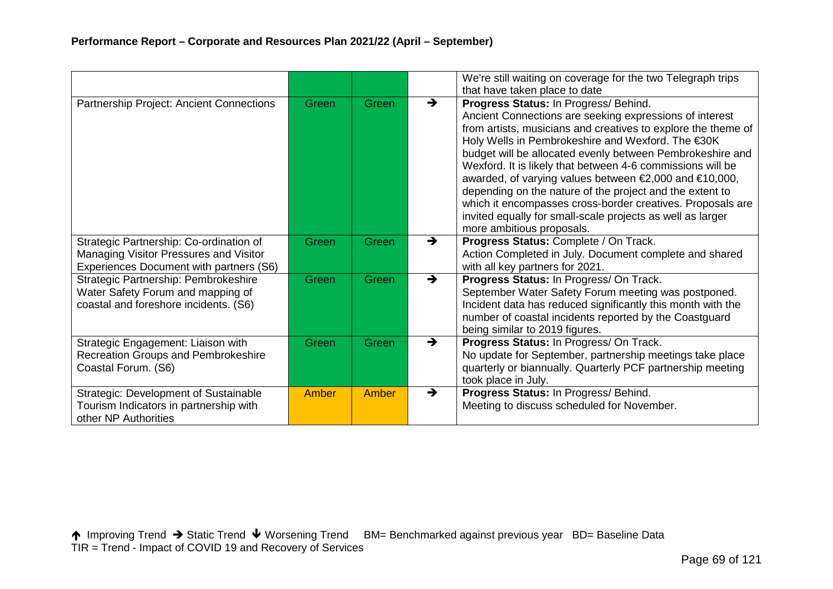|                                                                                                                              |       |       |               | We're still waiting on coverage for the two Telegraph trips<br>that have taken place to date                                                                                                                                                                                                                                                                                                                                                                                                                                                                                                                                     |
|------------------------------------------------------------------------------------------------------------------------------|-------|-------|---------------|----------------------------------------------------------------------------------------------------------------------------------------------------------------------------------------------------------------------------------------------------------------------------------------------------------------------------------------------------------------------------------------------------------------------------------------------------------------------------------------------------------------------------------------------------------------------------------------------------------------------------------|
| Partnership Project: Ancient Connections                                                                                     | Green | Green | $\rightarrow$ | Progress Status: In Progress/ Behind.<br>Ancient Connections are seeking expressions of interest<br>from artists, musicians and creatives to explore the theme of<br>Holy Wells in Pembrokeshire and Wexford. The €30K<br>budget will be allocated evenly between Pembrokeshire and<br>Wexford. It is likely that between 4-6 commissions will be<br>awarded, of varying values between €2,000 and €10,000,<br>depending on the nature of the project and the extent to<br>which it encompasses cross-border creatives. Proposals are<br>invited equally for small-scale projects as well as larger<br>more ambitious proposals. |
| Strategic Partnership: Co-ordination of<br>Managing Visitor Pressures and Visitor<br>Experiences Document with partners (S6) | Green | Green | $\rightarrow$ | Progress Status: Complete / On Track.<br>Action Completed in July. Document complete and shared<br>with all key partners for 2021.                                                                                                                                                                                                                                                                                                                                                                                                                                                                                               |
| Strategic Partnership: Pembrokeshire<br>Water Safety Forum and mapping of<br>coastal and foreshore incidents. (S6)           | Green | Green | $\rightarrow$ | Progress Status: In Progress/ On Track.<br>September Water Safety Forum meeting was postponed.<br>Incident data has reduced significantly this month with the<br>number of coastal incidents reported by the Coastguard<br>being similar to 2019 figures.                                                                                                                                                                                                                                                                                                                                                                        |
| Strategic Engagement: Liaison with<br>Recreation Groups and Pembrokeshire<br>Coastal Forum. (S6)                             | Green | Green | $\rightarrow$ | Progress Status: In Progress/ On Track.<br>No update for September, partnership meetings take place<br>quarterly or biannually. Quarterly PCF partnership meeting<br>took place in July.                                                                                                                                                                                                                                                                                                                                                                                                                                         |
| <b>Strategic: Development of Sustainable</b><br>Tourism Indicators in partnership with<br>other NP Authorities               | Amber | Amber | $\rightarrow$ | Progress Status: In Progress/ Behind.<br>Meeting to discuss scheduled for November.                                                                                                                                                                                                                                                                                                                                                                                                                                                                                                                                              |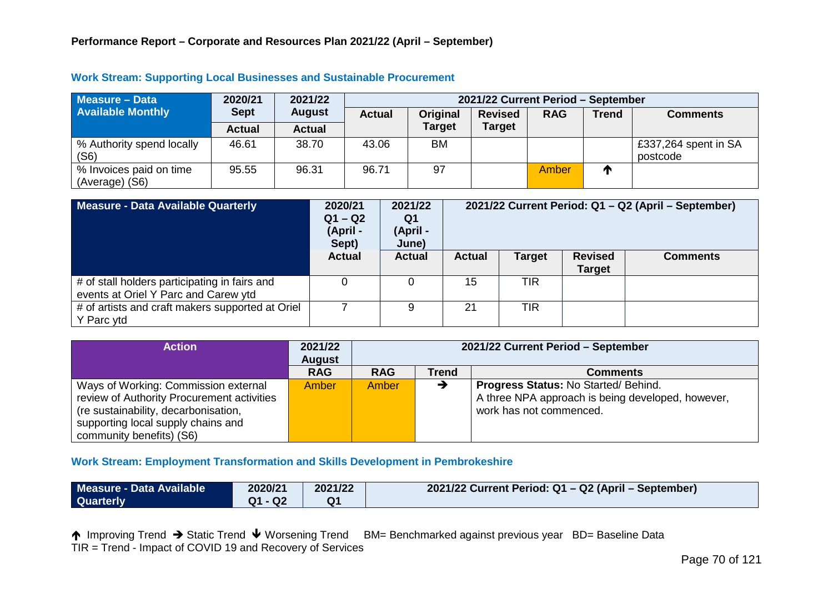| <b>Measure - Data</b>                     | 2020/21       | 2021/22       | 2021/22 Current Period - September |               |                |            |              |                                  |  |
|-------------------------------------------|---------------|---------------|------------------------------------|---------------|----------------|------------|--------------|----------------------------------|--|
| <b>Available Monthly</b>                  | <b>Sept</b>   | <b>August</b> | <b>Actual</b>                      | Original      | <b>Revised</b> | <b>RAG</b> | <b>Trend</b> | <b>Comments</b>                  |  |
|                                           | <b>Actual</b> | <b>Actual</b> |                                    | <b>Target</b> | <b>Target</b>  |            |              |                                  |  |
| % Authority spend locally<br>(S6)         | 46.61         | 38.70         | 43.06                              | <b>BM</b>     |                |            |              | £337,264 spent in SA<br>postcode |  |
| % Invoices paid on time<br>(Average) (S6) | 95.55         | 96.31         | 96.71                              | 97            |                | Amber      | Л            |                                  |  |

#### **Work Stream: Supporting Local Businesses and Sustainable Procurement**

| Measure - Data Available Quarterly                                                    | 2020/21<br>$Q1 - Q2$<br>(April -<br>Sept) | 2021/22<br>Q1<br>(April -<br>June) | 2021/22 Current Period: Q1 - Q2 (April - September) |               |                                 |                 |
|---------------------------------------------------------------------------------------|-------------------------------------------|------------------------------------|-----------------------------------------------------|---------------|---------------------------------|-----------------|
|                                                                                       | <b>Actual</b>                             | <b>Actual</b>                      | <b>Actual</b>                                       | <b>Target</b> | <b>Revised</b><br><b>Target</b> | <b>Comments</b> |
| # of stall holders participating in fairs and<br>events at Oriel Y Parc and Carew ytd |                                           |                                    | 15                                                  | <b>TIR</b>    |                                 |                 |
| # of artists and craft makers supported at Oriel<br>Y Parc ytd                        |                                           |                                    | 21                                                  | <b>TIR</b>    |                                 |                 |

| <b>Action</b>                              | 2021/22<br><b>August</b> | 2021/22 Current Period - September |       |                                                   |  |  |
|--------------------------------------------|--------------------------|------------------------------------|-------|---------------------------------------------------|--|--|
|                                            | <b>RAG</b>               | <b>RAG</b>                         | Trend | <b>Comments</b>                                   |  |  |
| Ways of Working: Commission external       | Amber                    | Amber                              |       | <b>Progress Status: No Started/ Behind.</b>       |  |  |
| review of Authority Procurement activities |                          |                                    |       | A three NPA approach is being developed, however, |  |  |
| (re sustainability, decarbonisation,       |                          |                                    |       | work has not commenced.                           |  |  |
| supporting local supply chains and         |                          |                                    |       |                                                   |  |  |
| community benefits) (S6)                   |                          |                                    |       |                                                   |  |  |

### **Work Stream: Employment Transformation and Skills Development in Pembrokeshire**

| Measure - Data Available | 2020/21 | 2021/22        | 2021/22 Current Period: Q1 - Q2 (April - September) |
|--------------------------|---------|----------------|-----------------------------------------------------|
| <b>Quarterly</b>         | Q1 - Q2 | Q <sub>1</sub> |                                                     |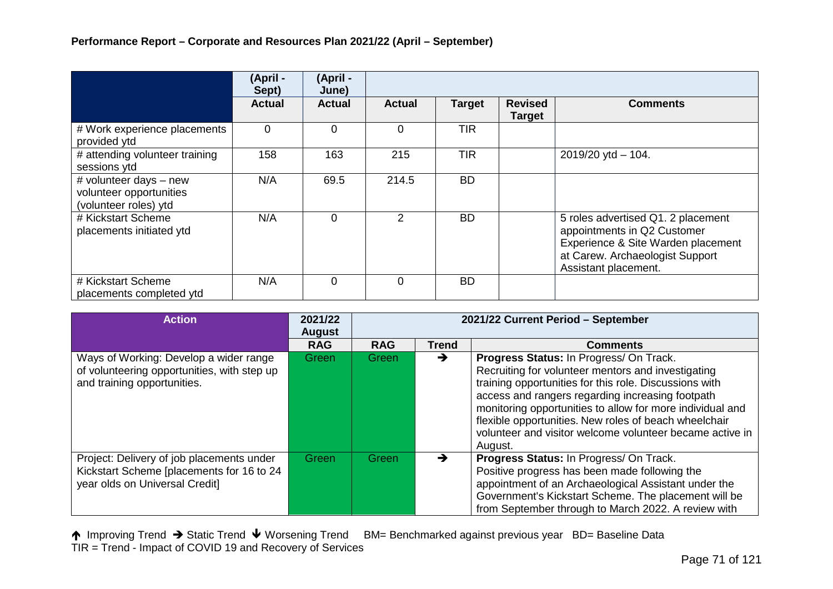|                                                                            | (April -<br>Sept) | (April -<br>June) |                |               |                                 |                                                                                                                                                                    |
|----------------------------------------------------------------------------|-------------------|-------------------|----------------|---------------|---------------------------------|--------------------------------------------------------------------------------------------------------------------------------------------------------------------|
|                                                                            | <b>Actual</b>     | <b>Actual</b>     | <b>Actual</b>  | <b>Target</b> | <b>Revised</b><br><b>Target</b> | <b>Comments</b>                                                                                                                                                    |
| # Work experience placements<br>provided ytd                               | $\Omega$          | 0                 | $\Omega$       | <b>TIR</b>    |                                 |                                                                                                                                                                    |
| # attending volunteer training<br>sessions ytd                             | 158               | 163               | 215            | <b>TIR</b>    |                                 | 2019/20 ytd $-$ 104.                                                                                                                                               |
| # volunteer days - new<br>volunteer opportunities<br>(volunteer roles) ytd | N/A               | 69.5              | 214.5          | <b>BD</b>     |                                 |                                                                                                                                                                    |
| # Kickstart Scheme<br>placements initiated ytd                             | N/A               | $\Omega$          | $\overline{2}$ | <b>BD</b>     |                                 | 5 roles advertised Q1. 2 placement<br>appointments in Q2 Customer<br>Experience & Site Warden placement<br>at Carew. Archaeologist Support<br>Assistant placement. |
| # Kickstart Scheme<br>placements completed ytd                             | N/A               | $\Omega$          | $\Omega$       | <b>BD</b>     |                                 |                                                                                                                                                                    |

| <b>Action</b>                                                                                                            | 2021/22<br><b>August</b> | 2021/22 Current Period - September |       |                                                                                                                                                                                                                                                                                                                                                                                                          |  |  |
|--------------------------------------------------------------------------------------------------------------------------|--------------------------|------------------------------------|-------|----------------------------------------------------------------------------------------------------------------------------------------------------------------------------------------------------------------------------------------------------------------------------------------------------------------------------------------------------------------------------------------------------------|--|--|
|                                                                                                                          | <b>RAG</b>               | <b>RAG</b>                         | Trend | <b>Comments</b>                                                                                                                                                                                                                                                                                                                                                                                          |  |  |
| Ways of Working: Develop a wider range<br>of volunteering opportunities, with step up<br>and training opportunities.     | Green                    | Green                              | →     | Progress Status: In Progress/ On Track.<br>Recruiting for volunteer mentors and investigating<br>training opportunities for this role. Discussions with<br>access and rangers regarding increasing footpath<br>monitoring opportunities to allow for more individual and<br>flexible opportunities. New roles of beach wheelchair<br>volunteer and visitor welcome volunteer became active in<br>August. |  |  |
| Project: Delivery of job placements under<br>Kickstart Scheme [placements for 16 to 24<br>year olds on Universal Credit] | Green                    | Green                              | →     | Progress Status: In Progress/ On Track.<br>Positive progress has been made following the<br>appointment of an Archaeological Assistant under the<br>Government's Kickstart Scheme. The placement will be<br>from September through to March 2022. A review with                                                                                                                                          |  |  |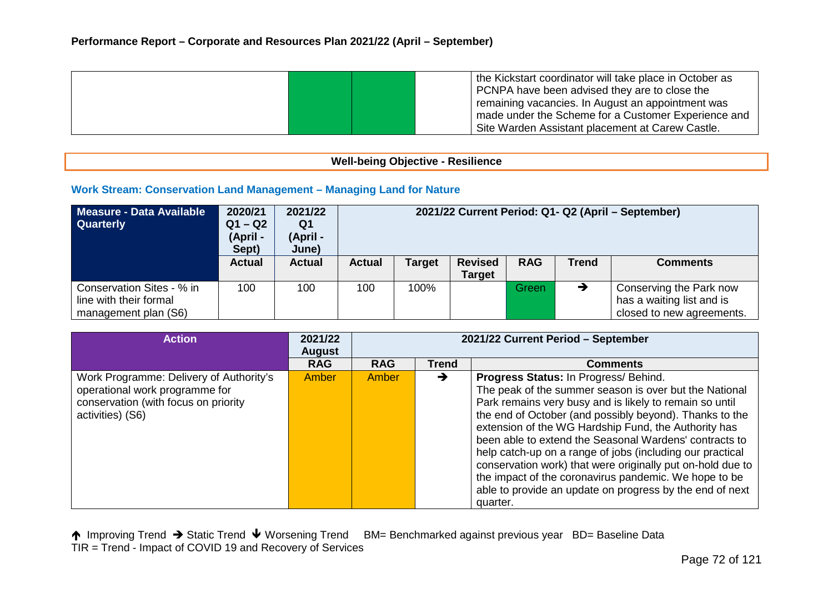|  | the Kickstart coordinator will take place in October as<br>PCNPA have been advised they are to close the |
|--|----------------------------------------------------------------------------------------------------------|
|  | remaining vacancies. In August an appointment was                                                        |
|  | made under the Scheme for a Customer Experience and                                                      |
|  | Site Warden Assistant placement at Carew Castle.                                                         |

## **Well-being Objective - Resilience**

### **Work Stream: Conservation Land Management – Managing Land for Nature**

| Measure - Data Available<br><b>Quarterly</b>                                | 2020/21<br>$Q1 - Q2$<br>(April -<br>Sept) | 2021/22<br>Q1<br>(April -<br>June) | 2021/22 Current Period: Q1- Q2 (April - September) |               |                                 |            |       |                                                                                   |
|-----------------------------------------------------------------------------|-------------------------------------------|------------------------------------|----------------------------------------------------|---------------|---------------------------------|------------|-------|-----------------------------------------------------------------------------------|
|                                                                             | <b>Actual</b>                             | <b>Actual</b>                      | <b>Actual</b>                                      | <b>Target</b> | <b>Revised</b><br><b>Target</b> | <b>RAG</b> | Trend | <b>Comments</b>                                                                   |
| Conservation Sites - % in<br>line with their formal<br>management plan (S6) | 100                                       | 100                                | 100                                                | 100%          |                                 | Green      | →     | Conserving the Park now<br>has a waiting list and is<br>closed to new agreements. |

| <b>Action</b>                                                                                                                         | 2021/22<br><b>August</b> | 2021/22 Current Period - September |              |                                                                                                                                                                                                                                                                                                                                                                                                                                                                                                                                                                                                     |  |  |
|---------------------------------------------------------------------------------------------------------------------------------------|--------------------------|------------------------------------|--------------|-----------------------------------------------------------------------------------------------------------------------------------------------------------------------------------------------------------------------------------------------------------------------------------------------------------------------------------------------------------------------------------------------------------------------------------------------------------------------------------------------------------------------------------------------------------------------------------------------------|--|--|
|                                                                                                                                       | <b>RAG</b>               | <b>RAG</b>                         | <b>Trend</b> | <b>Comments</b>                                                                                                                                                                                                                                                                                                                                                                                                                                                                                                                                                                                     |  |  |
| Work Programme: Delivery of Authority's<br>operational work programme for<br>conservation (with focus on priority<br>activities) (S6) | Amber                    | Amber                              | →            | Progress Status: In Progress/ Behind.<br>The peak of the summer season is over but the National<br>Park remains very busy and is likely to remain so until<br>the end of October (and possibly beyond). Thanks to the<br>extension of the WG Hardship Fund, the Authority has<br>been able to extend the Seasonal Wardens' contracts to<br>help catch-up on a range of jobs (including our practical<br>conservation work) that were originally put on-hold due to<br>the impact of the coronavirus pandemic. We hope to be<br>able to provide an update on progress by the end of next<br>quarter. |  |  |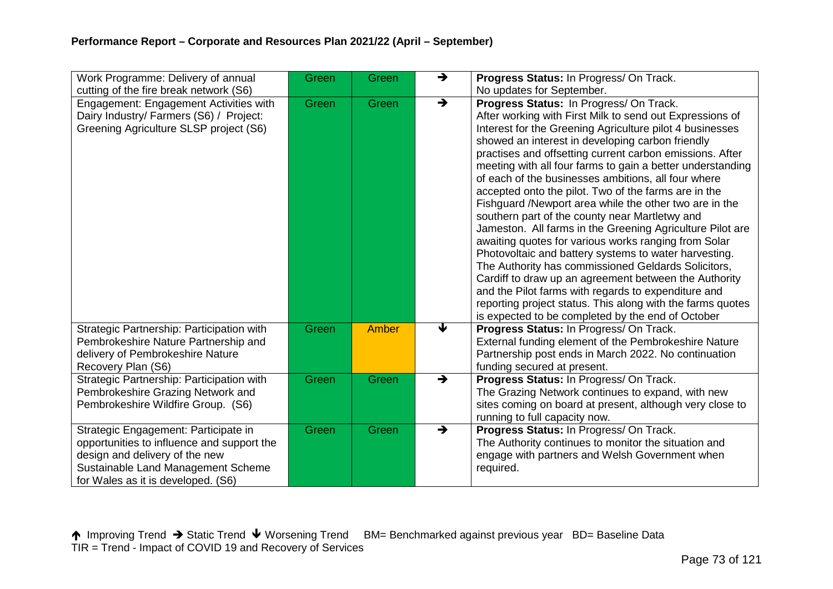| Work Programme: Delivery of annual                                                                                                                                                               | Green | Green | →             | Progress Status: In Progress/ On Track.                                                                                                                                                                                                                                                                                                                                                                                                                                                                                                                                                                                                                                                                                                                                                                                                                                                                                                                                                                                                          |
|--------------------------------------------------------------------------------------------------------------------------------------------------------------------------------------------------|-------|-------|---------------|--------------------------------------------------------------------------------------------------------------------------------------------------------------------------------------------------------------------------------------------------------------------------------------------------------------------------------------------------------------------------------------------------------------------------------------------------------------------------------------------------------------------------------------------------------------------------------------------------------------------------------------------------------------------------------------------------------------------------------------------------------------------------------------------------------------------------------------------------------------------------------------------------------------------------------------------------------------------------------------------------------------------------------------------------|
| cutting of the fire break network (S6)                                                                                                                                                           |       |       |               | No updates for September.                                                                                                                                                                                                                                                                                                                                                                                                                                                                                                                                                                                                                                                                                                                                                                                                                                                                                                                                                                                                                        |
| Engagement: Engagement Activities with<br>Dairy Industry/ Farmers (S6) / Project:<br>Greening Agriculture SLSP project (S6)                                                                      | Green | Green | $\rightarrow$ | Progress Status: In Progress/ On Track.<br>After working with First Milk to send out Expressions of<br>Interest for the Greening Agriculture pilot 4 businesses<br>showed an interest in developing carbon friendly<br>practises and offsetting current carbon emissions. After<br>meeting with all four farms to gain a better understanding<br>of each of the businesses ambitions, all four where<br>accepted onto the pilot. Two of the farms are in the<br>Fishguard /Newport area while the other two are in the<br>southern part of the county near Martletwy and<br>Jameston. All farms in the Greening Agriculture Pilot are<br>awaiting quotes for various works ranging from Solar<br>Photovoltaic and battery systems to water harvesting.<br>The Authority has commissioned Geldards Solicitors,<br>Cardiff to draw up an agreement between the Authority<br>and the Pilot farms with regards to expenditure and<br>reporting project status. This along with the farms quotes<br>is expected to be completed by the end of October |
| Strategic Partnership: Participation with<br>Pembrokeshire Nature Partnership and<br>delivery of Pembrokeshire Nature<br>Recovery Plan (S6)                                                      | Green | Amber | €             | Progress Status: In Progress/ On Track.<br>External funding element of the Pembrokeshire Nature<br>Partnership post ends in March 2022. No continuation<br>funding secured at present.                                                                                                                                                                                                                                                                                                                                                                                                                                                                                                                                                                                                                                                                                                                                                                                                                                                           |
| Strategic Partnership: Participation with<br>Pembrokeshire Grazing Network and<br>Pembrokeshire Wildfire Group. (S6)                                                                             | Green | Green | $\rightarrow$ | Progress Status: In Progress/ On Track.<br>The Grazing Network continues to expand, with new<br>sites coming on board at present, although very close to<br>running to full capacity now.                                                                                                                                                                                                                                                                                                                                                                                                                                                                                                                                                                                                                                                                                                                                                                                                                                                        |
| Strategic Engagement: Participate in<br>opportunities to influence and support the<br>design and delivery of the new<br>Sustainable Land Management Scheme<br>for Wales as it is developed. (S6) | Green | Green | $\rightarrow$ | Progress Status: In Progress/ On Track.<br>The Authority continues to monitor the situation and<br>engage with partners and Welsh Government when<br>required.                                                                                                                                                                                                                                                                                                                                                                                                                                                                                                                                                                                                                                                                                                                                                                                                                                                                                   |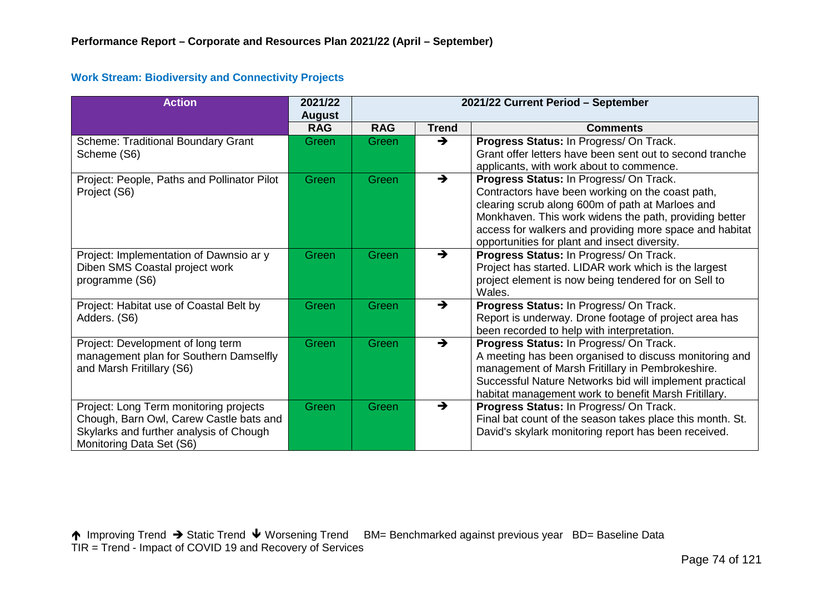#### **Work Stream: Biodiversity and Connectivity Projects**

| <b>Action</b>                                                                                                                                            | 2021/22<br><b>August</b> | 2021/22 Current Period - September |               |                                                                                                                                                                                                                                                                                                                       |  |  |
|----------------------------------------------------------------------------------------------------------------------------------------------------------|--------------------------|------------------------------------|---------------|-----------------------------------------------------------------------------------------------------------------------------------------------------------------------------------------------------------------------------------------------------------------------------------------------------------------------|--|--|
|                                                                                                                                                          | <b>RAG</b>               | <b>RAG</b>                         | <b>Trend</b>  | <b>Comments</b>                                                                                                                                                                                                                                                                                                       |  |  |
| Scheme: Traditional Boundary Grant<br>Scheme (S6)                                                                                                        | Green                    | Green                              | $\rightarrow$ | Progress Status: In Progress/ On Track.<br>Grant offer letters have been sent out to second tranche<br>applicants, with work about to commence.                                                                                                                                                                       |  |  |
| Project: People, Paths and Pollinator Pilot<br>Project (S6)                                                                                              | Green                    | Green                              | $\rightarrow$ | Progress Status: In Progress/ On Track.<br>Contractors have been working on the coast path,<br>clearing scrub along 600m of path at Marloes and<br>Monkhaven. This work widens the path, providing better<br>access for walkers and providing more space and habitat<br>opportunities for plant and insect diversity. |  |  |
| Project: Implementation of Dawnsio ar y<br>Diben SMS Coastal project work<br>programme (S6)                                                              | Green                    | Green                              | $\rightarrow$ | Progress Status: In Progress/ On Track.<br>Project has started. LIDAR work which is the largest<br>project element is now being tendered for on Sell to<br>Wales.                                                                                                                                                     |  |  |
| Project: Habitat use of Coastal Belt by<br>Adders. (S6)                                                                                                  | Green                    | Green                              | $\rightarrow$ | Progress Status: In Progress/ On Track.<br>Report is underway. Drone footage of project area has<br>been recorded to help with interpretation.                                                                                                                                                                        |  |  |
| Project: Development of long term<br>management plan for Southern Damselfly<br>and Marsh Fritillary (S6)                                                 | Green                    | Green                              | $\rightarrow$ | Progress Status: In Progress/ On Track.<br>A meeting has been organised to discuss monitoring and<br>management of Marsh Fritillary in Pembrokeshire.<br>Successful Nature Networks bid will implement practical<br>habitat management work to benefit Marsh Fritillary.                                              |  |  |
| Project: Long Term monitoring projects<br>Chough, Barn Owl, Carew Castle bats and<br>Skylarks and further analysis of Chough<br>Monitoring Data Set (S6) | Green                    | Green                              | $\rightarrow$ | Progress Status: In Progress/ On Track.<br>Final bat count of the season takes place this month. St.<br>David's skylark monitoring report has been received.                                                                                                                                                          |  |  |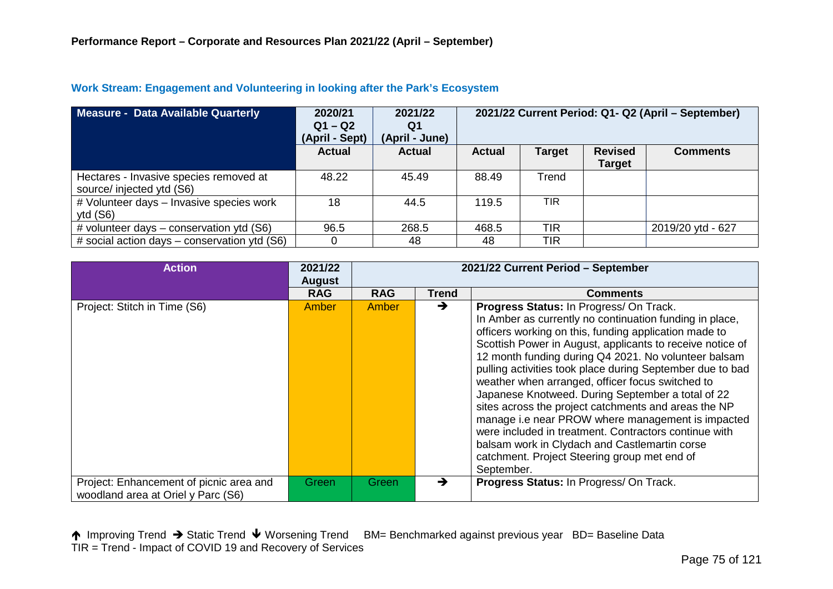| Measure - Data Available Quarterly                                  | 2020/21<br>$Q1 - Q2$<br>(April - Sept) | 2021/22<br>Q1<br>(April - June) | 2021/22 Current Period: Q1- Q2 (April - September) |            |                                 |                   |
|---------------------------------------------------------------------|----------------------------------------|---------------------------------|----------------------------------------------------|------------|---------------------------------|-------------------|
|                                                                     | <b>Actual</b>                          | Actual                          | <b>Actual</b>                                      | Target     | <b>Revised</b><br><b>Target</b> | <b>Comments</b>   |
| Hectares - Invasive species removed at<br>source/ injected ytd (S6) | 48.22                                  | 45.49                           | 88.49                                              | Trend      |                                 |                   |
| # Volunteer days - Invasive species work<br>ytd $(S6)$              | 18                                     | 44.5                            | 119.5                                              | TIR        |                                 |                   |
| # volunteer days $-$ conservation ytd (S6)                          | 96.5                                   | 268.5                           | 468.5                                              | TIR        |                                 | 2019/20 ytd - 627 |
| # social action days $-$ conservation ytd (S6)                      |                                        | 48                              | 48                                                 | <b>TIR</b> |                                 |                   |

#### **Work Stream: Engagement and Volunteering in looking after the Park's Ecosystem**

| <b>Action</b>                                                                 | 2021/22<br><b>August</b> | 2021/22 Current Period - September |               |                                                                                                                                                                                                                                                                                                                                                                                                                                                                                                                                                                                                                                                                                                                                             |  |  |
|-------------------------------------------------------------------------------|--------------------------|------------------------------------|---------------|---------------------------------------------------------------------------------------------------------------------------------------------------------------------------------------------------------------------------------------------------------------------------------------------------------------------------------------------------------------------------------------------------------------------------------------------------------------------------------------------------------------------------------------------------------------------------------------------------------------------------------------------------------------------------------------------------------------------------------------------|--|--|
|                                                                               | <b>RAG</b>               | <b>RAG</b>                         | Trend         | <b>Comments</b>                                                                                                                                                                                                                                                                                                                                                                                                                                                                                                                                                                                                                                                                                                                             |  |  |
| Project: Stitch in Time (S6)                                                  | <b>Amber</b>             | Amber                              | $\rightarrow$ | Progress Status: In Progress/ On Track.<br>In Amber as currently no continuation funding in place,<br>officers working on this, funding application made to<br>Scottish Power in August, applicants to receive notice of<br>12 month funding during Q4 2021. No volunteer balsam<br>pulling activities took place during September due to bad<br>weather when arranged, officer focus switched to<br>Japanese Knotweed. During September a total of 22<br>sites across the project catchments and areas the NP<br>manage i.e near PROW where management is impacted<br>were included in treatment. Contractors continue with<br>balsam work in Clydach and Castlemartin corse<br>catchment. Project Steering group met end of<br>September. |  |  |
| Project: Enhancement of picnic area and<br>woodland area at Oriel y Parc (S6) | Green                    | <b>Green</b>                       | →             | Progress Status: In Progress/ On Track.                                                                                                                                                                                                                                                                                                                                                                                                                                                                                                                                                                                                                                                                                                     |  |  |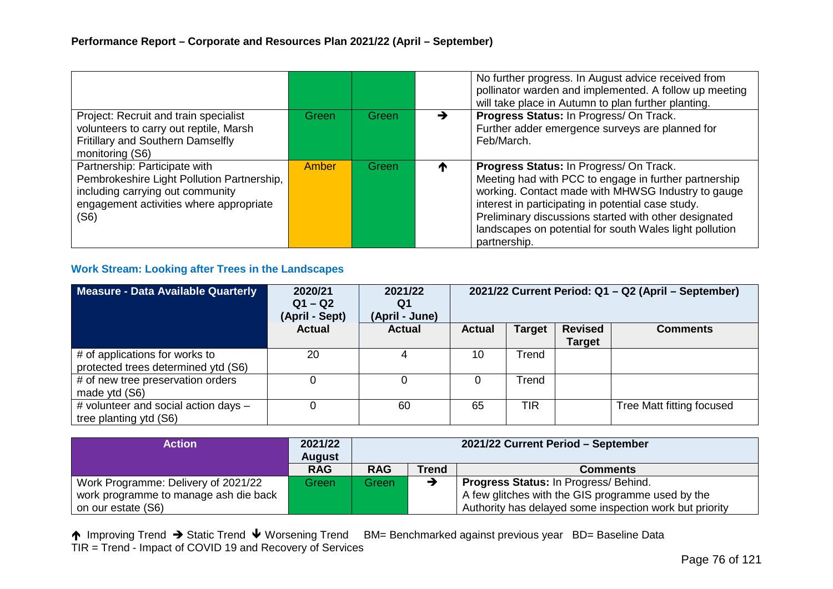|                                                                                                                                                                    |       |       |   | No further progress. In August advice received from<br>pollinator warden and implemented. A follow up meeting<br>will take place in Autumn to plan further planting.                                                                                                                                                                             |
|--------------------------------------------------------------------------------------------------------------------------------------------------------------------|-------|-------|---|--------------------------------------------------------------------------------------------------------------------------------------------------------------------------------------------------------------------------------------------------------------------------------------------------------------------------------------------------|
| Project: Recruit and train specialist<br>volunteers to carry out reptile, Marsh<br>Fritillary and Southern Damselfly<br>monitoring (S6)                            | Green | Green | → | Progress Status: In Progress/ On Track.<br>Further adder emergence surveys are planned for<br>Feb/March.                                                                                                                                                                                                                                         |
| Partnership: Participate with<br>Pembrokeshire Light Pollution Partnership,<br>including carrying out community<br>engagement activities where appropriate<br>(S6) | Amber | Green | T | Progress Status: In Progress/ On Track.<br>Meeting had with PCC to engage in further partnership<br>working. Contact made with MHWSG Industry to gauge<br>interest in participating in potential case study.<br>Preliminary discussions started with other designated<br>landscapes on potential for south Wales light pollution<br>partnership. |

## **Work Stream: Looking after Trees in the Landscapes**

| Measure - Data Available Quarterly                                    | 2020/21<br>$Q1 - Q2$<br>(April - Sept) | 2021/22<br>Q1<br>(April - June) | 2021/22 Current Period: Q1 - Q2 (April - September) |               |                                 |                           |
|-----------------------------------------------------------------------|----------------------------------------|---------------------------------|-----------------------------------------------------|---------------|---------------------------------|---------------------------|
|                                                                       | <b>Actual</b>                          | <b>Actual</b>                   | <b>Actual</b>                                       | <b>Target</b> | <b>Revised</b><br><b>Target</b> | <b>Comments</b>           |
| # of applications for works to<br>protected trees determined ytd (S6) | 20                                     |                                 | 10                                                  | Trend         |                                 |                           |
| # of new tree preservation orders<br>made ytd (S6)                    |                                        | 0                               | 0                                                   | Trend         |                                 |                           |
| # volunteer and social action days -<br>tree planting ytd (S6)        |                                        | 60                              | 65                                                  | TIR           |                                 | Tree Matt fitting focused |

| <b>Action</b>                         | 2021/22<br><b>August</b> | 2021/22 Current Period - September |              |                                                         |  |  |
|---------------------------------------|--------------------------|------------------------------------|--------------|---------------------------------------------------------|--|--|
|                                       | <b>RAG</b>               | <b>RAG</b>                         | <b>Trend</b> | Comments                                                |  |  |
| Work Programme: Delivery of 2021/22   | Green                    | Green                              |              | <b>Progress Status: In Progress/ Behind.</b>            |  |  |
| work programme to manage ash die back |                          |                                    |              | A few glitches with the GIS programme used by the       |  |  |
| on our estate (S6)                    |                          |                                    |              | Authority has delayed some inspection work but priority |  |  |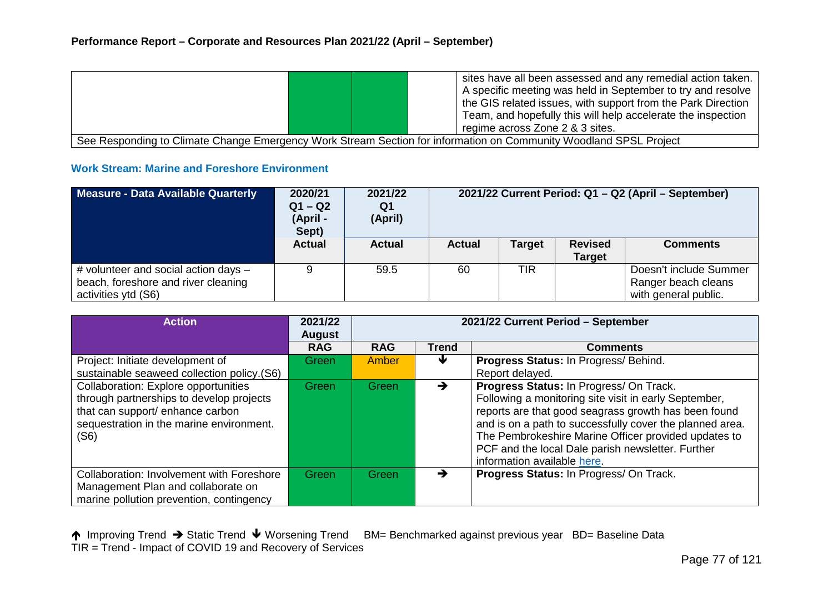|                                                                                                                   |  | sites have all been assessed and any remedial action taken.  |  |  |
|-------------------------------------------------------------------------------------------------------------------|--|--------------------------------------------------------------|--|--|
|                                                                                                                   |  | A specific meeting was held in September to try and resolve  |  |  |
|                                                                                                                   |  | the GIS related issues, with support from the Park Direction |  |  |
|                                                                                                                   |  | Team, and hopefully this will help accelerate the inspection |  |  |
|                                                                                                                   |  | regime across Zone 2 & 3 sites.                              |  |  |
| See Responding to Climate Change Emergency Work Stream Section for information on Community Woodland SPSL Project |  |                                                              |  |  |

## **Work Stream: Marine and Foreshore Environment**

| Measure - Data Available Quarterly                                                                 | 2020/21<br>$Q1 - Q2$<br>(April -<br>Sept) | 2021/22<br>Q1<br>(April) | 2021/22 Current Period: Q1 - Q2 (April - September) |               |                                 |                                                                       |
|----------------------------------------------------------------------------------------------------|-------------------------------------------|--------------------------|-----------------------------------------------------|---------------|---------------------------------|-----------------------------------------------------------------------|
|                                                                                                    | <b>Actual</b>                             | <b>Actual</b>            | <b>Actual</b>                                       | <b>Target</b> | <b>Revised</b><br><b>Target</b> | <b>Comments</b>                                                       |
| # volunteer and social action days -<br>beach, foreshore and river cleaning<br>activities ytd (S6) | 9                                         | 59.5                     | 60                                                  | TIR           |                                 | Doesn't include Summer<br>Ranger beach cleans<br>with general public. |

| <b>Action</b>                                                                                                                                                            | 2021/22<br><b>August</b> | 2021/22 Current Period - September |              |                                                                                                                                                                                                                                                                                                                                                                  |  |  |
|--------------------------------------------------------------------------------------------------------------------------------------------------------------------------|--------------------------|------------------------------------|--------------|------------------------------------------------------------------------------------------------------------------------------------------------------------------------------------------------------------------------------------------------------------------------------------------------------------------------------------------------------------------|--|--|
|                                                                                                                                                                          | <b>RAG</b>               | <b>RAG</b>                         | <b>Trend</b> | <b>Comments</b>                                                                                                                                                                                                                                                                                                                                                  |  |  |
| Project: Initiate development of                                                                                                                                         | Green                    | Amber                              | ₩            | Progress Status: In Progress/ Behind.                                                                                                                                                                                                                                                                                                                            |  |  |
| sustainable seaweed collection policy.(S6)                                                                                                                               |                          |                                    |              | Report delayed.                                                                                                                                                                                                                                                                                                                                                  |  |  |
| Collaboration: Explore opportunities<br>through partnerships to develop projects<br>that can support/ enhance carbon<br>sequestration in the marine environment.<br>(S6) | Green                    | Green                              | →            | Progress Status: In Progress/ On Track.<br>Following a monitoring site visit in early September,<br>reports are that good seagrass growth has been found<br>and is on a path to successfully cover the planned area.<br>The Pembrokeshire Marine Officer provided updates to<br>PCF and the local Dale parish newsletter. Further<br>information available here. |  |  |
| <b>Collaboration: Involvement with Foreshore</b><br>Management Plan and collaborate on<br>marine pollution prevention, contingency                                       | Green                    | Green                              | →            | Progress Status: In Progress/ On Track.                                                                                                                                                                                                                                                                                                                          |  |  |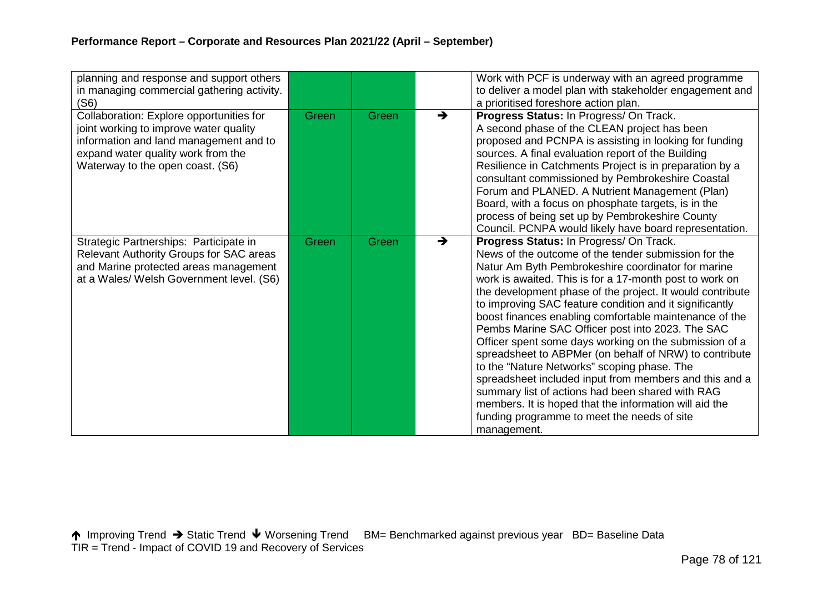| planning and response and support others<br>in managing commercial gathering activity.<br>(S6)                                                                                                         |       |       |               | Work with PCF is underway with an agreed programme<br>to deliver a model plan with stakeholder engagement and<br>a prioritised foreshore action plan.                                                                                                                                                                                                                                                                                                                                                                                                                                                                                                                                                                                                                                                                                                           |
|--------------------------------------------------------------------------------------------------------------------------------------------------------------------------------------------------------|-------|-------|---------------|-----------------------------------------------------------------------------------------------------------------------------------------------------------------------------------------------------------------------------------------------------------------------------------------------------------------------------------------------------------------------------------------------------------------------------------------------------------------------------------------------------------------------------------------------------------------------------------------------------------------------------------------------------------------------------------------------------------------------------------------------------------------------------------------------------------------------------------------------------------------|
| Collaboration: Explore opportunities for<br>joint working to improve water quality<br>information and land management and to<br>expand water quality work from the<br>Waterway to the open coast. (S6) | Green | Green | $\rightarrow$ | Progress Status: In Progress/ On Track.<br>A second phase of the CLEAN project has been<br>proposed and PCNPA is assisting in looking for funding<br>sources. A final evaluation report of the Building<br>Resilience in Catchments Project is in preparation by a<br>consultant commissioned by Pembrokeshire Coastal<br>Forum and PLANED. A Nutrient Management (Plan)<br>Board, with a focus on phosphate targets, is in the<br>process of being set up by Pembrokeshire County<br>Council. PCNPA would likely have board representation.                                                                                                                                                                                                                                                                                                                    |
| Strategic Partnerships: Participate in<br>Relevant Authority Groups for SAC areas<br>and Marine protected areas management<br>at a Wales/ Welsh Government level. (S6)                                 | Green | Green | $\rightarrow$ | Progress Status: In Progress/ On Track.<br>News of the outcome of the tender submission for the<br>Natur Am Byth Pembrokeshire coordinator for marine<br>work is awaited. This is for a 17-month post to work on<br>the development phase of the project. It would contribute<br>to improving SAC feature condition and it significantly<br>boost finances enabling comfortable maintenance of the<br>Pembs Marine SAC Officer post into 2023. The SAC<br>Officer spent some days working on the submission of a<br>spreadsheet to ABPMer (on behalf of NRW) to contribute<br>to the "Nature Networks" scoping phase. The<br>spreadsheet included input from members and this and a<br>summary list of actions had been shared with RAG<br>members. It is hoped that the information will aid the<br>funding programme to meet the needs of site<br>management. |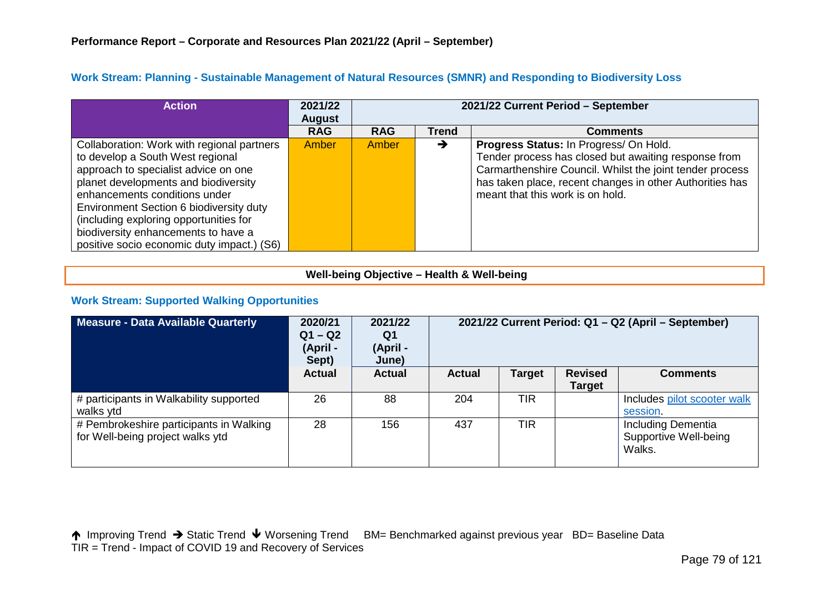| <b>Action</b>                                                                                                                                                                                                                                                                        | 2021/22<br><b>August</b> | 2021/22 Current Period - September |              |                                                                                                                                                                                                                                                            |  |  |
|--------------------------------------------------------------------------------------------------------------------------------------------------------------------------------------------------------------------------------------------------------------------------------------|--------------------------|------------------------------------|--------------|------------------------------------------------------------------------------------------------------------------------------------------------------------------------------------------------------------------------------------------------------------|--|--|
|                                                                                                                                                                                                                                                                                      | <b>RAG</b>               | <b>RAG</b>                         | <b>Trend</b> | <b>Comments</b>                                                                                                                                                                                                                                            |  |  |
| Collaboration: Work with regional partners<br>to develop a South West regional<br>approach to specialist advice on one<br>planet developments and biodiversity<br>enhancements conditions under<br>Environment Section 6 biodiversity duty<br>(including exploring opportunities for | Amber                    | Amber                              | →            | Progress Status: In Progress/ On Hold.<br>Tender process has closed but awaiting response from<br>Carmarthenshire Council. Whilst the joint tender process<br>has taken place, recent changes in other Authorities has<br>meant that this work is on hold. |  |  |
| biodiversity enhancements to have a<br>positive socio economic duty impact.) (S6)                                                                                                                                                                                                    |                          |                                    |              |                                                                                                                                                                                                                                                            |  |  |

### **Work Stream: Planning - Sustainable Management of Natural Resources (SMNR) and Responding to Biodiversity Loss**

### **Well-being Objective – Health & Well-being**

## **Work Stream: Supported Walking Opportunities**

| <b>Measure - Data Available Quarterly</b>                                   | 2020/21<br>$Q1 - Q2$<br>(April -<br>Sept) | 2021/22<br>Q1<br>(April -<br>June) | 2021/22 Current Period: Q1 - Q2 (April - September) |               |                                 |                                                              |
|-----------------------------------------------------------------------------|-------------------------------------------|------------------------------------|-----------------------------------------------------|---------------|---------------------------------|--------------------------------------------------------------|
|                                                                             | <b>Actual</b>                             | <b>Actual</b>                      | <b>Actual</b>                                       | <b>Target</b> | <b>Revised</b><br><b>Target</b> | <b>Comments</b>                                              |
| # participants in Walkability supported<br>walks ytd                        | 26                                        | 88                                 | 204                                                 | TIR           |                                 | Includes pilot scooter walk<br>session.                      |
| # Pembrokeshire participants in Walking<br>for Well-being project walks ytd | 28                                        | 156                                | 437                                                 | TIR           |                                 | <b>Including Dementia</b><br>Supportive Well-being<br>Walks. |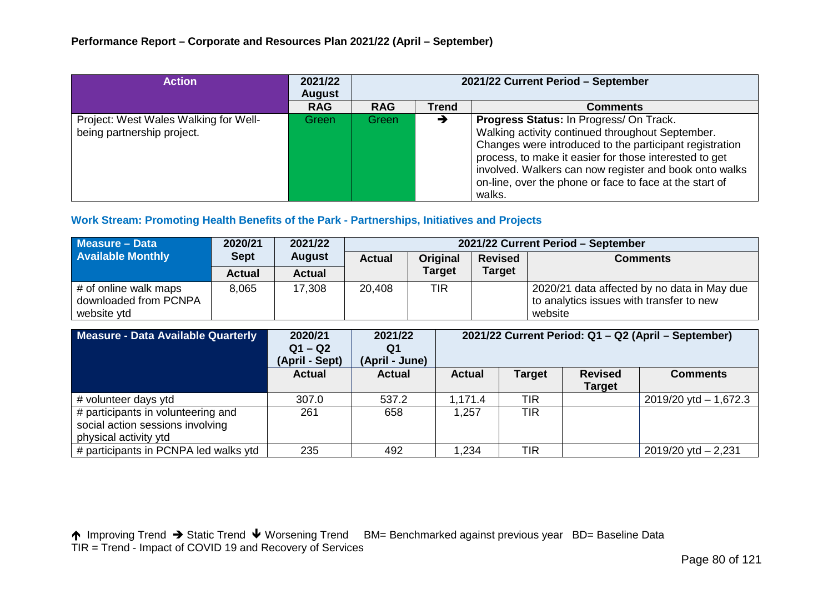| <b>Action</b>                                                       | 2021/22<br><b>August</b> | 2021/22 Current Period - September |              |                                                                                                                                                                                                                                                                                                                                                 |  |
|---------------------------------------------------------------------|--------------------------|------------------------------------|--------------|-------------------------------------------------------------------------------------------------------------------------------------------------------------------------------------------------------------------------------------------------------------------------------------------------------------------------------------------------|--|
|                                                                     | <b>RAG</b>               | <b>RAG</b>                         | <b>Trend</b> | <b>Comments</b>                                                                                                                                                                                                                                                                                                                                 |  |
| Project: West Wales Walking for Well-<br>being partnership project. | Green                    | Green                              | →            | Progress Status: In Progress/ On Track.<br>Walking activity continued throughout September.<br>Changes were introduced to the participant registration<br>process, to make it easier for those interested to get<br>involved. Walkers can now register and book onto walks<br>on-line, over the phone or face to face at the start of<br>walks. |  |

#### **Work Stream: Promoting Health Benefits of the Park - Partnerships, Initiatives and Projects**

| Measure - Data                                                | 2020/21       | 2021/22       | 2021/22 Current Period - September |               |                |                                                                                                    |  |  |  |
|---------------------------------------------------------------|---------------|---------------|------------------------------------|---------------|----------------|----------------------------------------------------------------------------------------------------|--|--|--|
| <b>Available Monthly</b>                                      | <b>Sept</b>   | <b>August</b> | <b>Actual</b>                      | Original      | <b>Revised</b> | <b>Comments</b>                                                                                    |  |  |  |
|                                                               | <b>Actual</b> | Actual        |                                    | <b>Target</b> | <b>Target</b>  |                                                                                                    |  |  |  |
| # of online walk maps<br>downloaded from PCNPA<br>website ytd | 8,065         | 17,308        | 20,408                             | TIR           |                | 2020/21 data affected by no data in May due<br>to analytics issues with transfer to new<br>website |  |  |  |

| Measure - Data Available Quarterly                                                              | 2020/21<br>$Q1 - Q2$<br>(April - Sept) | 2021/22<br>Q1<br>(April - June) | 2021/22 Current Period: Q1 - Q2 (April - September) |               |                                 |                           |
|-------------------------------------------------------------------------------------------------|----------------------------------------|---------------------------------|-----------------------------------------------------|---------------|---------------------------------|---------------------------|
|                                                                                                 | <b>Actual</b>                          | <b>Actual</b>                   | <b>Actual</b>                                       | <b>Target</b> | <b>Revised</b><br><b>Target</b> | <b>Comments</b>           |
| # volunteer days ytd                                                                            | 307.0                                  | 537.2                           | .171.4                                              | <b>TIR</b>    |                                 | $2019/20$ ytd $- 1,672.3$ |
| # participants in volunteering and<br>social action sessions involving<br>physical activity ytd | 261                                    | 658                             | 1,257                                               | <b>TIR</b>    |                                 |                           |
| # participants in PCNPA led walks ytd                                                           | 235                                    | 492                             | 1,234                                               | <b>TIR</b>    |                                 | $2019/20$ ytd $- 2,231$   |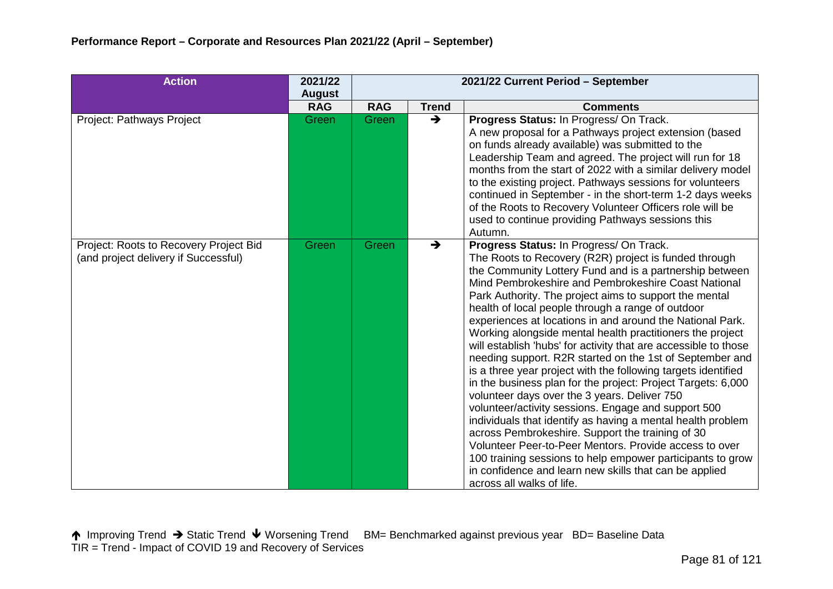| <b>Action</b>                                                                  | 2021/22       | 2021/22 Current Period - September |               |                                                                                                                                                                                                                                                                                                                                                                                                                                                                                                                                                                                                                                                                                                                                                                                                                                                                                                                                                                                                                                                                                                                                                                      |  |  |  |  |
|--------------------------------------------------------------------------------|---------------|------------------------------------|---------------|----------------------------------------------------------------------------------------------------------------------------------------------------------------------------------------------------------------------------------------------------------------------------------------------------------------------------------------------------------------------------------------------------------------------------------------------------------------------------------------------------------------------------------------------------------------------------------------------------------------------------------------------------------------------------------------------------------------------------------------------------------------------------------------------------------------------------------------------------------------------------------------------------------------------------------------------------------------------------------------------------------------------------------------------------------------------------------------------------------------------------------------------------------------------|--|--|--|--|
|                                                                                | <b>August</b> |                                    |               |                                                                                                                                                                                                                                                                                                                                                                                                                                                                                                                                                                                                                                                                                                                                                                                                                                                                                                                                                                                                                                                                                                                                                                      |  |  |  |  |
|                                                                                | <b>RAG</b>    | <b>RAG</b>                         | <b>Trend</b>  | <b>Comments</b>                                                                                                                                                                                                                                                                                                                                                                                                                                                                                                                                                                                                                                                                                                                                                                                                                                                                                                                                                                                                                                                                                                                                                      |  |  |  |  |
| Project: Pathways Project                                                      | Green         | Green                              | $\rightarrow$ | Progress Status: In Progress/ On Track.<br>A new proposal for a Pathways project extension (based<br>on funds already available) was submitted to the<br>Leadership Team and agreed. The project will run for 18<br>months from the start of 2022 with a similar delivery model<br>to the existing project. Pathways sessions for volunteers<br>continued in September - in the short-term 1-2 days weeks<br>of the Roots to Recovery Volunteer Officers role will be<br>used to continue providing Pathways sessions this<br>Autumn.                                                                                                                                                                                                                                                                                                                                                                                                                                                                                                                                                                                                                                |  |  |  |  |
| Project: Roots to Recovery Project Bid<br>(and project delivery if Successful) | Green         | Green                              | $\rightarrow$ | Progress Status: In Progress/ On Track.<br>The Roots to Recovery (R2R) project is funded through<br>the Community Lottery Fund and is a partnership between<br>Mind Pembrokeshire and Pembrokeshire Coast National<br>Park Authority. The project aims to support the mental<br>health of local people through a range of outdoor<br>experiences at locations in and around the National Park.<br>Working alongside mental health practitioners the project<br>will establish 'hubs' for activity that are accessible to those<br>needing support. R2R started on the 1st of September and<br>is a three year project with the following targets identified<br>in the business plan for the project: Project Targets: 6,000<br>volunteer days over the 3 years. Deliver 750<br>volunteer/activity sessions. Engage and support 500<br>individuals that identify as having a mental health problem<br>across Pembrokeshire. Support the training of 30<br>Volunteer Peer-to-Peer Mentors. Provide access to over<br>100 training sessions to help empower participants to grow<br>in confidence and learn new skills that can be applied<br>across all walks of life. |  |  |  |  |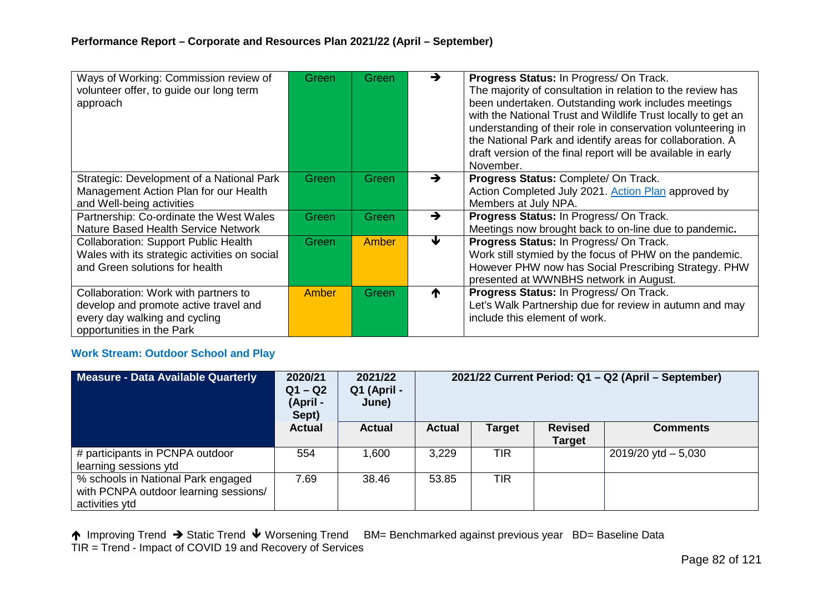| Ways of Working: Commission review of<br>volunteer offer, to guide our long term<br>approach                                                | Green | Green | $\rightarrow$ | Progress Status: In Progress/ On Track.<br>The majority of consultation in relation to the review has<br>been undertaken. Outstanding work includes meetings<br>with the National Trust and Wildlife Trust locally to get an<br>understanding of their role in conservation volunteering in<br>the National Park and identify areas for collaboration. A<br>draft version of the final report will be available in early<br>November. |
|---------------------------------------------------------------------------------------------------------------------------------------------|-------|-------|---------------|---------------------------------------------------------------------------------------------------------------------------------------------------------------------------------------------------------------------------------------------------------------------------------------------------------------------------------------------------------------------------------------------------------------------------------------|
| Strategic: Development of a National Park<br>Management Action Plan for our Health<br>and Well-being activities                             | Green | Green | $\rightarrow$ | Progress Status: Complete/ On Track.<br>Action Completed July 2021. Action Plan approved by<br>Members at July NPA.                                                                                                                                                                                                                                                                                                                   |
| Partnership: Co-ordinate the West Wales<br>Nature Based Health Service Network                                                              | Green | Green | $\rightarrow$ | Progress Status: In Progress/ On Track.<br>Meetings now brought back to on-line due to pandemic.                                                                                                                                                                                                                                                                                                                                      |
| <b>Collaboration: Support Public Health</b><br>Wales with its strategic activities on social<br>and Green solutions for health              | Green | Amber | ₩             | Progress Status: In Progress/ On Track.<br>Work still stymied by the focus of PHW on the pandemic.<br>However PHW now has Social Prescribing Strategy. PHW<br>presented at WWNBHS network in August.                                                                                                                                                                                                                                  |
| Collaboration: Work with partners to<br>develop and promote active travel and<br>every day walking and cycling<br>opportunities in the Park | Amber | Green | ₼             | Progress Status: In Progress/ On Track.<br>Let's Walk Partnership due for review in autumn and may<br>include this element of work.                                                                                                                                                                                                                                                                                                   |

## **Work Stream: Outdoor School and Play**

| Measure - Data Available Quarterly                                                            | 2020/21<br>$Q1 - Q2$<br>(April -<br>Sept) | 2021/22<br>Q1 (April -<br>June) | 2021/22 Current Period: Q1 - Q2 (April - September) |               |                                 |                        |
|-----------------------------------------------------------------------------------------------|-------------------------------------------|---------------------------------|-----------------------------------------------------|---------------|---------------------------------|------------------------|
|                                                                                               | <b>Actual</b>                             | <b>Actual</b>                   | <b>Actual</b>                                       | <b>Target</b> | <b>Revised</b><br><b>Target</b> | <b>Comments</b>        |
| # participants in PCNPA outdoor<br>learning sessions ytd                                      | 554                                       | 1,600                           | 3,229                                               | <b>TIR</b>    |                                 | $2019/20$ ytd $-5,030$ |
| % schools in National Park engaged<br>with PCNPA outdoor learning sessions/<br>activities ytd | 7.69                                      | 38.46                           | 53.85                                               | <b>TIR</b>    |                                 |                        |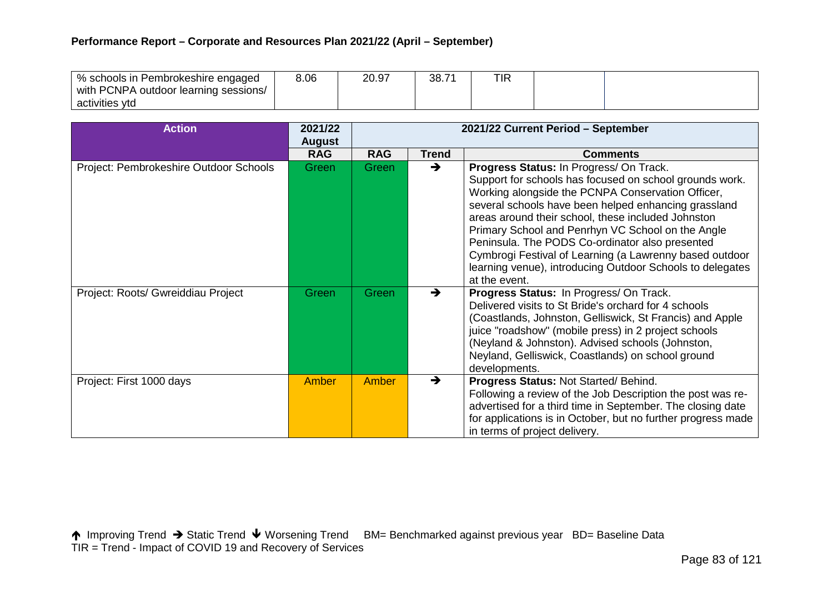## **Performance Report – Corporate and Resources Plan 2021/22 (April – September)**

| I % schools in Pembrokeshire engaged  | 8.06 | 20.97 | 38.7' | <b>TIR</b> |  |
|---------------------------------------|------|-------|-------|------------|--|
| with PCNPA outdoor learning sessions/ |      |       |       |            |  |
| activities ytd                        |      |       |       |            |  |

| <b>Action</b>                          | 2021/22<br><b>August</b> | 2021/22 Current Period - September |               |                                                                                                                                                                                                                                                                                                                                                                                                                                                                                                                        |  |  |
|----------------------------------------|--------------------------|------------------------------------|---------------|------------------------------------------------------------------------------------------------------------------------------------------------------------------------------------------------------------------------------------------------------------------------------------------------------------------------------------------------------------------------------------------------------------------------------------------------------------------------------------------------------------------------|--|--|
|                                        | <b>RAG</b>               | <b>RAG</b>                         | <b>Trend</b>  | <b>Comments</b>                                                                                                                                                                                                                                                                                                                                                                                                                                                                                                        |  |  |
| Project: Pembrokeshire Outdoor Schools | Green                    | Green                              | $\rightarrow$ | Progress Status: In Progress/ On Track.<br>Support for schools has focused on school grounds work.<br>Working alongside the PCNPA Conservation Officer,<br>several schools have been helped enhancing grassland<br>areas around their school, these included Johnston<br>Primary School and Penrhyn VC School on the Angle<br>Peninsula. The PODS Co-ordinator also presented<br>Cymbrogi Festival of Learning (a Lawrenny based outdoor<br>learning venue), introducing Outdoor Schools to delegates<br>at the event. |  |  |
| Project: Roots/ Gwreiddiau Project     | Green                    | Green                              | $\rightarrow$ | Progress Status: In Progress/ On Track.<br>Delivered visits to St Bride's orchard for 4 schools<br>(Coastlands, Johnston, Gelliswick, St Francis) and Apple<br>juice "roadshow" (mobile press) in 2 project schools<br>(Neyland & Johnston). Advised schools (Johnston,<br>Neyland, Gelliswick, Coastlands) on school ground<br>developments.                                                                                                                                                                          |  |  |
| Project: First 1000 days               | Amber                    | <b>Amber</b>                       | $\rightarrow$ | Progress Status: Not Started/ Behind.<br>Following a review of the Job Description the post was re-<br>advertised for a third time in September. The closing date<br>for applications is in October, but no further progress made<br>in terms of project delivery.                                                                                                                                                                                                                                                     |  |  |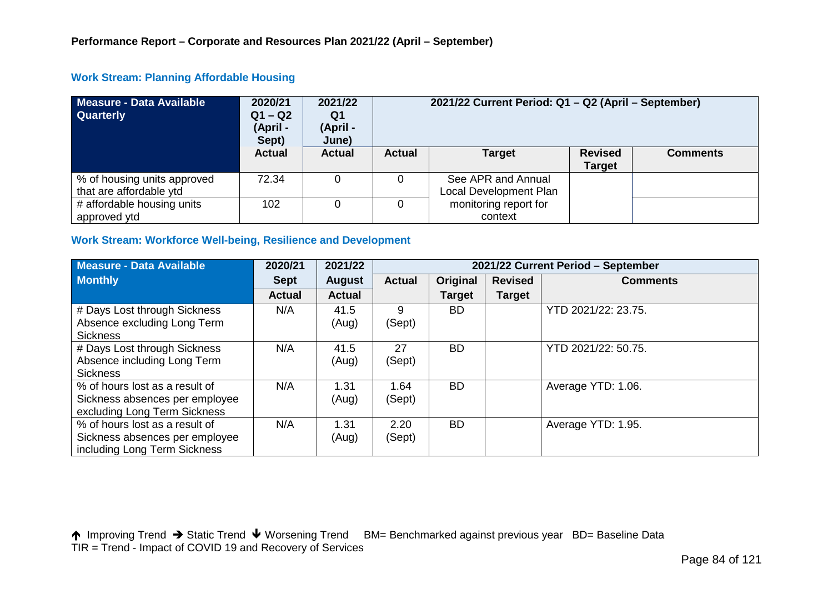| Measure - Data Available<br><b>Quarterly</b>           | 2020/21<br>$Q1 - Q2$<br>(April -<br>Sept) | 2021/22<br>Q1<br>(April -<br>June) | 2021/22 Current Period: Q1 - Q2 (April - September)                                  |                                              |  |  |  |  |  |
|--------------------------------------------------------|-------------------------------------------|------------------------------------|--------------------------------------------------------------------------------------|----------------------------------------------|--|--|--|--|--|
|                                                        | <b>Actual</b>                             | <b>Actual</b>                      | <b>Revised</b><br><b>Target</b><br><b>Actual</b><br><b>Comments</b><br><b>Target</b> |                                              |  |  |  |  |  |
| % of housing units approved<br>that are affordable ytd | 72.34                                     |                                    |                                                                                      | See APR and Annual<br>Local Development Plan |  |  |  |  |  |
| # affordable housing units<br>approved ytd             | 102                                       |                                    | monitoring report for<br>context                                                     |                                              |  |  |  |  |  |

## **Work Stream: Planning Affordable Housing**

### **Work Stream: Workforce Well-being, Resilience and Development**

| Measure - Data Available                                                                         | 2020/21       | 2021/22       | 2021/22 Current Period - September |               |                |                     |  |  |
|--------------------------------------------------------------------------------------------------|---------------|---------------|------------------------------------|---------------|----------------|---------------------|--|--|
| <b>Monthly</b>                                                                                   | <b>Sept</b>   | <b>August</b> | <b>Actual</b>                      | Original      | <b>Revised</b> | <b>Comments</b>     |  |  |
|                                                                                                  | <b>Actual</b> | <b>Actual</b> |                                    | <b>Target</b> | <b>Target</b>  |                     |  |  |
| # Days Lost through Sickness<br>Absence excluding Long Term<br><b>Sickness</b>                   | N/A           | 41.5<br>(Aug) | 9<br>(Sept)                        | <b>BD</b>     |                | YTD 2021/22: 23.75. |  |  |
| # Days Lost through Sickness<br>Absence including Long Term<br><b>Sickness</b>                   | N/A           | 41.5<br>(Aug) | 27<br>(Sept)                       | <b>BD</b>     |                | YTD 2021/22: 50.75. |  |  |
| % of hours lost as a result of<br>Sickness absences per employee<br>excluding Long Term Sickness | N/A           | 1.31<br>(Aug) | 1.64<br>(Sept)                     | <b>BD</b>     |                | Average YTD: 1.06.  |  |  |
| % of hours lost as a result of<br>Sickness absences per employee<br>including Long Term Sickness | N/A           | 1.31<br>(Aug) | 2.20<br>(Sept)                     | <b>BD</b>     |                | Average YTD: 1.95.  |  |  |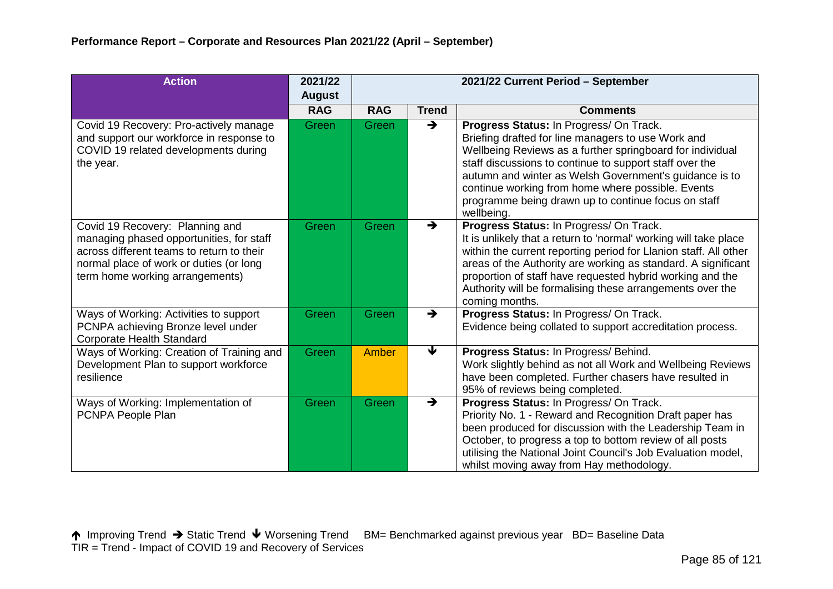| <b>Action</b>                                                                                                                                                                                          | 2021/22       | 2021/22 Current Period - September |               |                                                                                                                                                                                                                                                                                                                                                                                                           |  |  |
|--------------------------------------------------------------------------------------------------------------------------------------------------------------------------------------------------------|---------------|------------------------------------|---------------|-----------------------------------------------------------------------------------------------------------------------------------------------------------------------------------------------------------------------------------------------------------------------------------------------------------------------------------------------------------------------------------------------------------|--|--|
|                                                                                                                                                                                                        | <b>August</b> |                                    |               |                                                                                                                                                                                                                                                                                                                                                                                                           |  |  |
|                                                                                                                                                                                                        | <b>RAG</b>    | <b>RAG</b>                         | <b>Trend</b>  | <b>Comments</b>                                                                                                                                                                                                                                                                                                                                                                                           |  |  |
| Covid 19 Recovery: Pro-actively manage<br>and support our workforce in response to<br>COVID 19 related developments during<br>the year.                                                                | Green         | Green                              | $\rightarrow$ | Progress Status: In Progress/ On Track.<br>Briefing drafted for line managers to use Work and<br>Wellbeing Reviews as a further springboard for individual<br>staff discussions to continue to support staff over the<br>autumn and winter as Welsh Government's guidance is to<br>continue working from home where possible. Events<br>programme being drawn up to continue focus on staff<br>wellbeing. |  |  |
| Covid 19 Recovery: Planning and<br>managing phased opportunities, for staff<br>across different teams to return to their<br>normal place of work or duties (or long<br>term home working arrangements) | Green         | Green                              | $\rightarrow$ | Progress Status: In Progress/ On Track.<br>It is unlikely that a return to 'normal' working will take place<br>within the current reporting period for Llanion staff. All other<br>areas of the Authority are working as standard. A significant<br>proportion of staff have requested hybrid working and the<br>Authority will be formalising these arrangements over the<br>coming months.              |  |  |
| Ways of Working: Activities to support<br>PCNPA achieving Bronze level under<br>Corporate Health Standard                                                                                              | Green         | Green                              | $\rightarrow$ | Progress Status: In Progress/ On Track.<br>Evidence being collated to support accreditation process.                                                                                                                                                                                                                                                                                                      |  |  |
| Ways of Working: Creation of Training and<br>Development Plan to support workforce<br>resilience                                                                                                       | Green         | Amber                              | ↓             | Progress Status: In Progress/ Behind.<br>Work slightly behind as not all Work and Wellbeing Reviews<br>have been completed. Further chasers have resulted in<br>95% of reviews being completed.                                                                                                                                                                                                           |  |  |
| Ways of Working: Implementation of<br>PCNPA People Plan                                                                                                                                                | Green         | Green                              | $\rightarrow$ | Progress Status: In Progress/ On Track.<br>Priority No. 1 - Reward and Recognition Draft paper has<br>been produced for discussion with the Leadership Team in<br>October, to progress a top to bottom review of all posts<br>utilising the National Joint Council's Job Evaluation model,<br>whilst moving away from Hay methodology.                                                                    |  |  |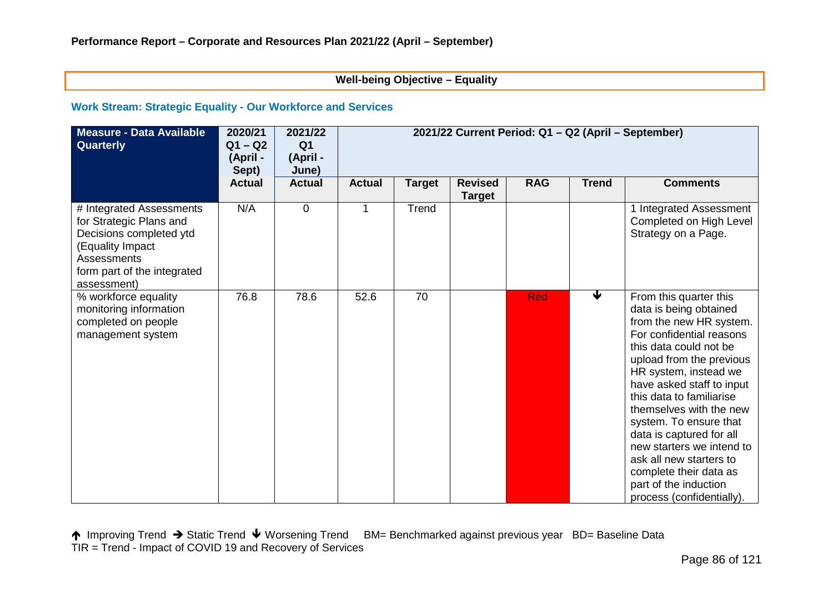#### **Well-being Objective – Equality**

#### **Work Stream: Strategic Equality - Our Workforce and Services**

| <b>Measure - Data Available</b><br>Quarterly                                                                                                                    | 2020/21<br>$Q1 - Q2$<br>(April -<br>Sept) | 2021/22<br>Q <sub>1</sub><br>(April -<br>June) | 2021/22 Current Period: Q1 - Q2 (April - September) |               |                                 |            |              |                                                                                                                                                                                                                                                                                                                                                                                                                                                                          |
|-----------------------------------------------------------------------------------------------------------------------------------------------------------------|-------------------------------------------|------------------------------------------------|-----------------------------------------------------|---------------|---------------------------------|------------|--------------|--------------------------------------------------------------------------------------------------------------------------------------------------------------------------------------------------------------------------------------------------------------------------------------------------------------------------------------------------------------------------------------------------------------------------------------------------------------------------|
|                                                                                                                                                                 | <b>Actual</b>                             | <b>Actual</b>                                  | <b>Actual</b>                                       | <b>Target</b> | <b>Revised</b><br><b>Target</b> | <b>RAG</b> | <b>Trend</b> | <b>Comments</b>                                                                                                                                                                                                                                                                                                                                                                                                                                                          |
| # Integrated Assessments<br>for Strategic Plans and<br>Decisions completed ytd<br>(Equality Impact<br>Assessments<br>form part of the integrated<br>assessment) | N/A                                       | $\mathbf 0$                                    |                                                     | Trend         |                                 |            |              | 1 Integrated Assessment<br>Completed on High Level<br>Strategy on a Page.                                                                                                                                                                                                                                                                                                                                                                                                |
| % workforce equality<br>monitoring information<br>completed on people<br>management system                                                                      | 76.8                                      | 78.6                                           | 52.6                                                | 70            |                                 | <b>Red</b> |              | From this quarter this<br>data is being obtained<br>from the new HR system.<br>For confidential reasons<br>this data could not be<br>upload from the previous<br>HR system, instead we<br>have asked staff to input<br>this data to familiarise<br>themselves with the new<br>system. To ensure that<br>data is captured for all<br>new starters we intend to<br>ask all new starters to<br>complete their data as<br>part of the induction<br>process (confidentially). |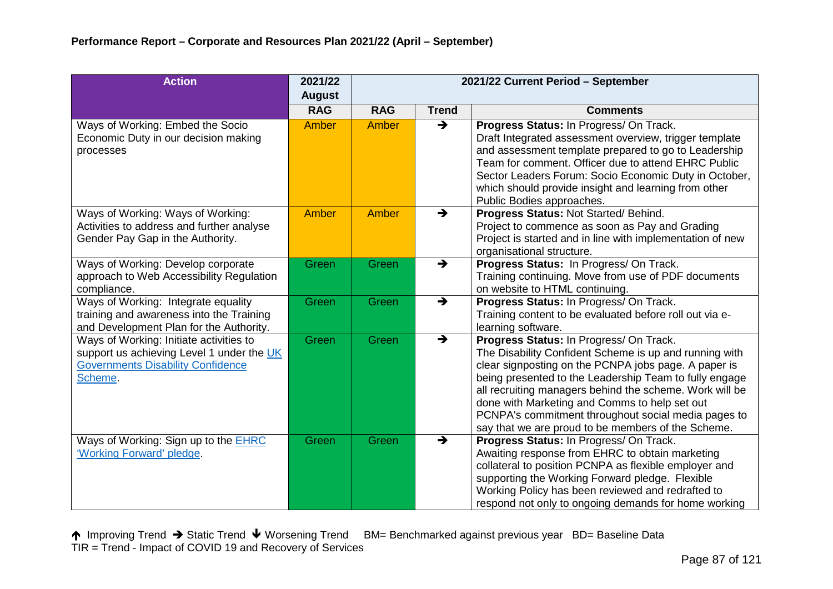| <b>Action</b>                                                                                                                               | 2021/22       | 2021/22 Current Period - September |               |                                                                                                                                                                                                                                                                                                                                                                                                                                              |  |  |  |
|---------------------------------------------------------------------------------------------------------------------------------------------|---------------|------------------------------------|---------------|----------------------------------------------------------------------------------------------------------------------------------------------------------------------------------------------------------------------------------------------------------------------------------------------------------------------------------------------------------------------------------------------------------------------------------------------|--|--|--|
|                                                                                                                                             | <b>August</b> |                                    |               |                                                                                                                                                                                                                                                                                                                                                                                                                                              |  |  |  |
|                                                                                                                                             | <b>RAG</b>    | <b>RAG</b>                         | <b>Trend</b>  | <b>Comments</b>                                                                                                                                                                                                                                                                                                                                                                                                                              |  |  |  |
| Ways of Working: Embed the Socio<br>Economic Duty in our decision making<br>processes                                                       | Amber         | Amber                              | $\rightarrow$ | Progress Status: In Progress/ On Track.<br>Draft Integrated assessment overview, trigger template<br>and assessment template prepared to go to Leadership<br>Team for comment. Officer due to attend EHRC Public<br>Sector Leaders Forum: Socio Economic Duty in October,<br>which should provide insight and learning from other<br>Public Bodies approaches.                                                                               |  |  |  |
| Ways of Working: Ways of Working:<br>Activities to address and further analyse<br>Gender Pay Gap in the Authority.                          | <b>Amber</b>  | Amber                              | $\rightarrow$ | Progress Status: Not Started/ Behind.<br>Project to commence as soon as Pay and Grading<br>Project is started and in line with implementation of new<br>organisational structure.                                                                                                                                                                                                                                                            |  |  |  |
| Ways of Working: Develop corporate<br>approach to Web Accessibility Regulation<br>compliance.                                               | Green         | Green                              | $\rightarrow$ | Progress Status: In Progress/ On Track.<br>Training continuing. Move from use of PDF documents<br>on website to HTML continuing.                                                                                                                                                                                                                                                                                                             |  |  |  |
| Ways of Working: Integrate equality<br>training and awareness into the Training<br>and Development Plan for the Authority.                  | Green         | <b>Green</b>                       | $\rightarrow$ | Progress Status: In Progress/ On Track.<br>Training content to be evaluated before roll out via e-<br>learning software.                                                                                                                                                                                                                                                                                                                     |  |  |  |
| Ways of Working: Initiate activities to<br>support us achieving Level 1 under the UK<br><b>Governments Disability Confidence</b><br>Scheme. | Green         | Green                              | $\rightarrow$ | Progress Status: In Progress/ On Track.<br>The Disability Confident Scheme is up and running with<br>clear signposting on the PCNPA jobs page. A paper is<br>being presented to the Leadership Team to fully engage<br>all recruiting managers behind the scheme. Work will be<br>done with Marketing and Comms to help set out<br>PCNPA's commitment throughout social media pages to<br>say that we are proud to be members of the Scheme. |  |  |  |
| Ways of Working: Sign up to the EHRC<br>'Working Forward' pledge.                                                                           | Green         | Green                              | $\rightarrow$ | Progress Status: In Progress/ On Track.<br>Awaiting response from EHRC to obtain marketing<br>collateral to position PCNPA as flexible employer and<br>supporting the Working Forward pledge. Flexible<br>Working Policy has been reviewed and redrafted to<br>respond not only to ongoing demands for home working                                                                                                                          |  |  |  |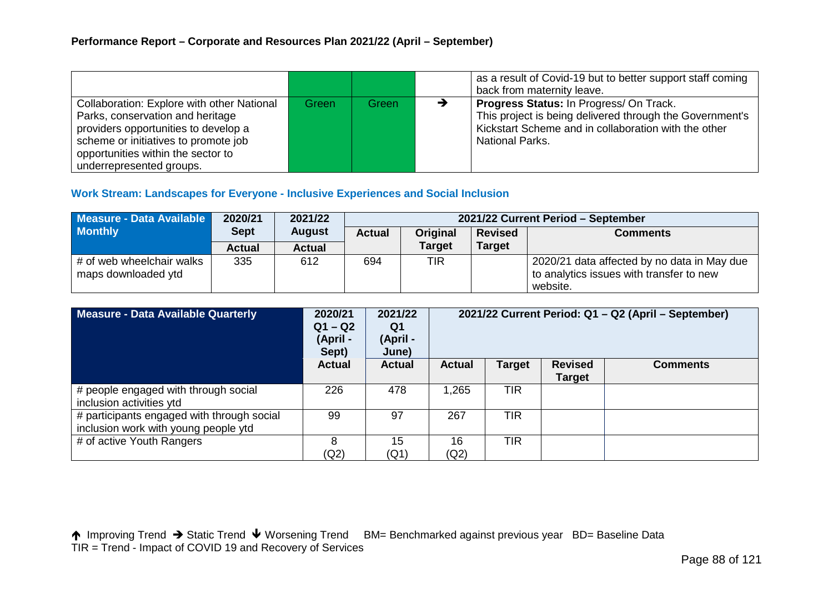|                                                                                                                                                                                                                                         |       |       |   | as a result of Covid-19 but to better support staff coming<br>back from maternity leave.                                                                                                     |
|-----------------------------------------------------------------------------------------------------------------------------------------------------------------------------------------------------------------------------------------|-------|-------|---|----------------------------------------------------------------------------------------------------------------------------------------------------------------------------------------------|
| <b>Collaboration: Explore with other National</b><br>Parks, conservation and heritage<br>providers opportunities to develop a<br>scheme or initiatives to promote job<br>opportunities within the sector to<br>underrepresented groups. | Green | Green | → | <b>Progress Status: In Progress/ On Track.</b><br>This project is being delivered through the Government's<br>Kickstart Scheme and in collaboration with the other<br><b>National Parks.</b> |

### **Work Stream: Landscapes for Everyone - Inclusive Experiences and Social Inclusion**

| Measure - Data Available                         | 2020/21       | 2021/22       | 2021/22 Current Period - September |               |                |                                                                                                     |  |  |  |
|--------------------------------------------------|---------------|---------------|------------------------------------|---------------|----------------|-----------------------------------------------------------------------------------------------------|--|--|--|
| <b>Monthly</b>                                   | <b>Sept</b>   | <b>August</b> | <b>Original</b><br><b>Actual</b>   |               | <b>Revised</b> | <b>Comments</b>                                                                                     |  |  |  |
|                                                  | <b>Actual</b> | <b>Actual</b> |                                    | <b>Target</b> | <b>Target</b>  |                                                                                                     |  |  |  |
| # of web wheelchair walks<br>maps downloaded ytd | 335           | 612           | 694                                | TIR           |                | 2020/21 data affected by no data in May due<br>to analytics issues with transfer to new<br>website. |  |  |  |

| Measure - Data Available Quarterly                                                 | 2020/21<br>$Q1 - Q2$<br>(April -<br>Sept) | 2021/22<br>Q1<br>(April -<br>June) | 2021/22 Current Period: Q1 - Q2 (April - September) |               |                                 |                 |  |
|------------------------------------------------------------------------------------|-------------------------------------------|------------------------------------|-----------------------------------------------------|---------------|---------------------------------|-----------------|--|
|                                                                                    | <b>Actual</b>                             | <b>Actual</b>                      | <b>Actual</b>                                       | <b>Target</b> | <b>Revised</b><br><b>Target</b> | <b>Comments</b> |  |
| # people engaged with through social<br>inclusion activities ytd                   | 226                                       | 478                                | 1,265                                               | <b>TIR</b>    |                                 |                 |  |
| # participants engaged with through social<br>inclusion work with young people ytd | 99                                        | 97                                 | 267                                                 | <b>TIR</b>    |                                 |                 |  |
| # of active Youth Rangers                                                          | 8<br>(Q2)                                 | 15<br>(Q1)                         | 16<br>(Q2)                                          | <b>TIR</b>    |                                 |                 |  |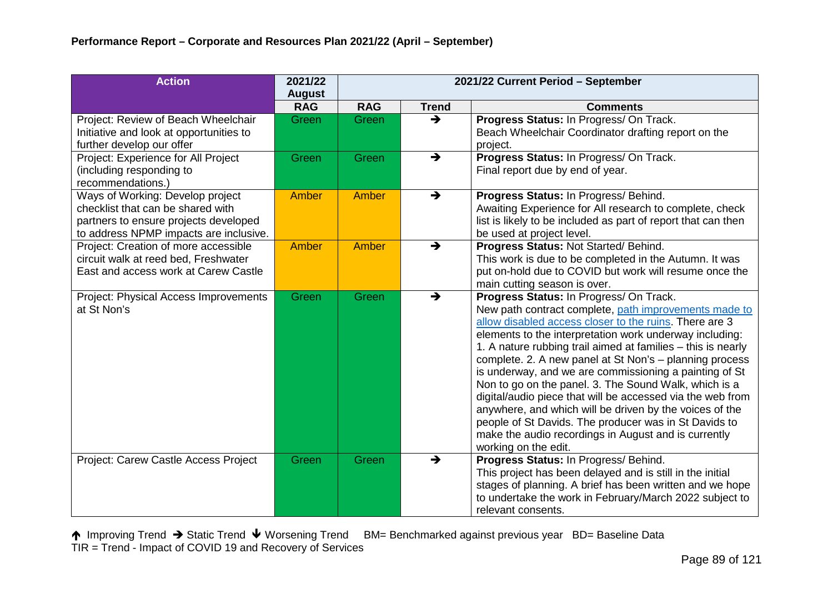| <b>Action</b>                                                                                                                                            | 2021/22<br><b>August</b> | 2021/22 Current Period - September |                                  |                                                                                                                                                                                                                                                                                                                                                                                                                                                                                                                                                                                                                                                                                                                                       |  |  |
|----------------------------------------------------------------------------------------------------------------------------------------------------------|--------------------------|------------------------------------|----------------------------------|---------------------------------------------------------------------------------------------------------------------------------------------------------------------------------------------------------------------------------------------------------------------------------------------------------------------------------------------------------------------------------------------------------------------------------------------------------------------------------------------------------------------------------------------------------------------------------------------------------------------------------------------------------------------------------------------------------------------------------------|--|--|
|                                                                                                                                                          | <b>RAG</b>               | <b>RAG</b>                         | <b>Trend</b>                     | <b>Comments</b>                                                                                                                                                                                                                                                                                                                                                                                                                                                                                                                                                                                                                                                                                                                       |  |  |
| Project: Review of Beach Wheelchair<br>Initiative and look at opportunities to<br>further develop our offer                                              | Green                    | Green                              | $\rightarrow$                    | Progress Status: In Progress/ On Track.<br>Beach Wheelchair Coordinator drafting report on the<br>project.                                                                                                                                                                                                                                                                                                                                                                                                                                                                                                                                                                                                                            |  |  |
| Project: Experience for All Project<br>(including responding to<br>recommendations.)                                                                     | Green                    | Green                              | $\rightarrow$                    | Progress Status: In Progress/ On Track.<br>Final report due by end of year.                                                                                                                                                                                                                                                                                                                                                                                                                                                                                                                                                                                                                                                           |  |  |
| Ways of Working: Develop project<br>checklist that can be shared with<br>partners to ensure projects developed<br>to address NPMP impacts are inclusive. | Amber                    | Amber                              | $\rightarrow$                    | Progress Status: In Progress/ Behind.<br>Awaiting Experience for All research to complete, check<br>list is likely to be included as part of report that can then<br>be used at project level.                                                                                                                                                                                                                                                                                                                                                                                                                                                                                                                                        |  |  |
| Project: Creation of more accessible<br>circuit walk at reed bed, Freshwater<br>East and access work at Carew Castle                                     | <b>Amber</b>             | Amber                              | $\rightarrow$                    | Progress Status: Not Started/ Behind.<br>This work is due to be completed in the Autumn. It was<br>put on-hold due to COVID but work will resume once the<br>main cutting season is over.                                                                                                                                                                                                                                                                                                                                                                                                                                                                                                                                             |  |  |
| Project: Physical Access Improvements<br>at St Non's                                                                                                     | Green                    | Green                              | $\overline{\blacktriangleright}$ | Progress Status: In Progress/ On Track.<br>New path contract complete, path improvements made to<br>allow disabled access closer to the ruins. There are 3<br>elements to the interpretation work underway including:<br>1. A nature rubbing trail aimed at families - this is nearly<br>complete. 2. A new panel at St Non's - planning process<br>is underway, and we are commissioning a painting of St<br>Non to go on the panel. 3. The Sound Walk, which is a<br>digital/audio piece that will be accessed via the web from<br>anywhere, and which will be driven by the voices of the<br>people of St Davids. The producer was in St Davids to<br>make the audio recordings in August and is currently<br>working on the edit. |  |  |
| Project: Carew Castle Access Project                                                                                                                     | Green                    | Green                              | $\rightarrow$                    | Progress Status: In Progress/ Behind.<br>This project has been delayed and is still in the initial<br>stages of planning. A brief has been written and we hope<br>to undertake the work in February/March 2022 subject to<br>relevant consents.                                                                                                                                                                                                                                                                                                                                                                                                                                                                                       |  |  |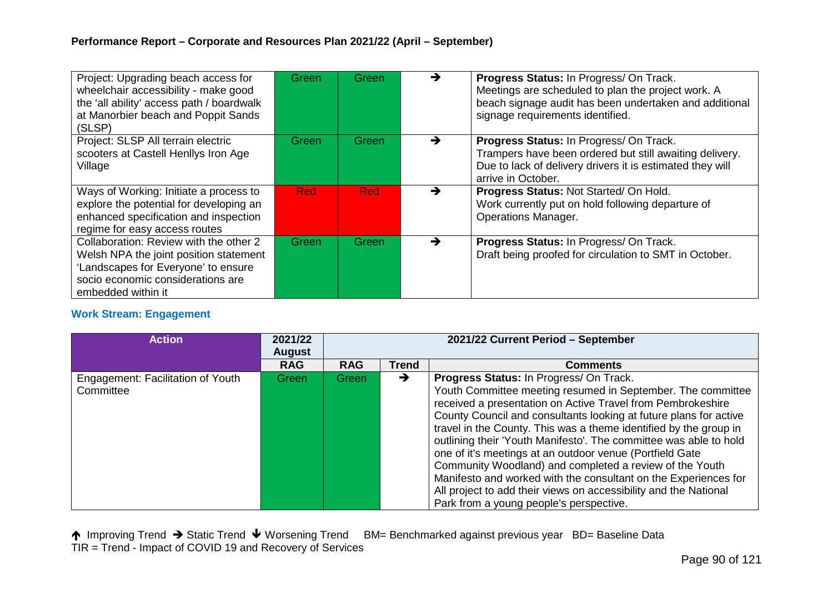| Project: Upgrading beach access for<br>wheelchair accessibility - make good<br>the 'all ability' access path / boardwalk<br>at Manorbier beach and Poppit Sands<br>(SLSP)          | Green      | Green      | →             | Progress Status: In Progress/ On Track.<br>Meetings are scheduled to plan the project work. A<br>beach signage audit has been undertaken and additional<br>signage requirements identified. |
|------------------------------------------------------------------------------------------------------------------------------------------------------------------------------------|------------|------------|---------------|---------------------------------------------------------------------------------------------------------------------------------------------------------------------------------------------|
| Project: SLSP All terrain electric<br>scooters at Castell Henllys Iron Age<br>Village                                                                                              | Green      | Green      | $\rightarrow$ | Progress Status: In Progress/ On Track.<br>Trampers have been ordered but still awaiting delivery.<br>Due to lack of delivery drivers it is estimated they will<br>arrive in October.       |
| Ways of Working: Initiate a process to<br>explore the potential for developing an<br>enhanced specification and inspection<br>regime for easy access routes                        | <b>Red</b> | <b>Red</b> |               | Progress Status: Not Started/On Hold.<br>Work currently put on hold following departure of<br><b>Operations Manager.</b>                                                                    |
| Collaboration: Review with the other 2<br>Welsh NPA the joint position statement<br>'Landscapes for Everyone' to ensure<br>socio economic considerations are<br>embedded within it | Green      | Green      | →             | Progress Status: In Progress/ On Track.<br>Draft being proofed for circulation to SMT in October.                                                                                           |

## **Work Stream: Engagement**

| <b>Action</b>                                  | 2021/22<br><b>August</b> | 2021/22 Current Period - September |               |                                                                                                                                                                                                                                                                                                                                                                                                                                                                                                                                                                                                                                                                                               |  |  |
|------------------------------------------------|--------------------------|------------------------------------|---------------|-----------------------------------------------------------------------------------------------------------------------------------------------------------------------------------------------------------------------------------------------------------------------------------------------------------------------------------------------------------------------------------------------------------------------------------------------------------------------------------------------------------------------------------------------------------------------------------------------------------------------------------------------------------------------------------------------|--|--|
|                                                | <b>RAG</b>               | <b>RAG</b>                         | <b>Trend</b>  | <b>Comments</b>                                                                                                                                                                                                                                                                                                                                                                                                                                                                                                                                                                                                                                                                               |  |  |
| Engagement: Facilitation of Youth<br>Committee | Green                    | Green                              | $\rightarrow$ | Progress Status: In Progress/ On Track.<br>Youth Committee meeting resumed in September. The committee<br>received a presentation on Active Travel from Pembrokeshire<br>County Council and consultants looking at future plans for active<br>travel in the County. This was a theme identified by the group in<br>outlining their 'Youth Manifesto'. The committee was able to hold<br>one of it's meetings at an outdoor venue (Portfield Gate<br>Community Woodland) and completed a review of the Youth<br>Manifesto and worked with the consultant on the Experiences for<br>All project to add their views on accessibility and the National<br>Park from a young people's perspective. |  |  |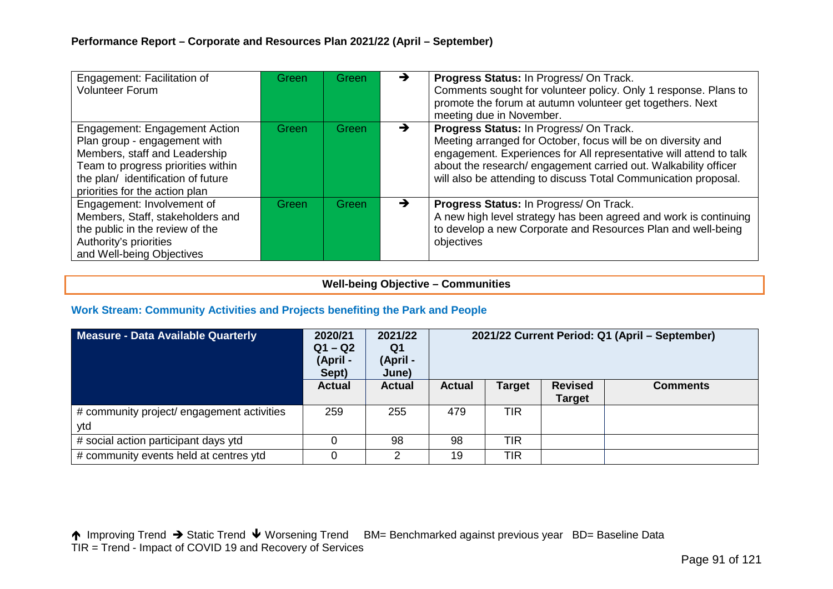| Engagement: Facilitation of<br><b>Volunteer Forum</b>                                                                                                                                                       | Green | Green | →             | Progress Status: In Progress/ On Track.<br>Comments sought for volunteer policy. Only 1 response. Plans to<br>promote the forum at autumn volunteer get togethers. Next<br>meeting due in November.                                                                                                                 |
|-------------------------------------------------------------------------------------------------------------------------------------------------------------------------------------------------------------|-------|-------|---------------|---------------------------------------------------------------------------------------------------------------------------------------------------------------------------------------------------------------------------------------------------------------------------------------------------------------------|
| Engagement: Engagement Action<br>Plan group - engagement with<br>Members, staff and Leadership<br>Team to progress priorities within<br>the plan/identification of future<br>priorities for the action plan | Green | Green | $\rightarrow$ | Progress Status: In Progress/ On Track.<br>Meeting arranged for October, focus will be on diversity and<br>engagement. Experiences for All representative will attend to talk<br>about the research/ engagement carried out. Walkability officer<br>will also be attending to discuss Total Communication proposal. |
| Engagement: Involvement of<br>Members, Staff, stakeholders and<br>the public in the review of the<br>Authority's priorities<br>and Well-being Objectives                                                    | Green | Green | →             | Progress Status: In Progress/ On Track.<br>A new high level strategy has been agreed and work is continuing<br>to develop a new Corporate and Resources Plan and well-being<br>objectives                                                                                                                           |

### **Well-being Objective – Communities**

### **Work Stream: Community Activities and Projects benefiting the Park and People**

| <b>Measure - Data Available Quarterly</b>         | 2020/21<br>$Q1 - Q2$<br>(April -<br>Sept) | 2021/22<br>Q1<br>(April -<br>June) | 2021/22 Current Period: Q1 (April – September) |               |                                 |                 |  |
|---------------------------------------------------|-------------------------------------------|------------------------------------|------------------------------------------------|---------------|---------------------------------|-----------------|--|
|                                                   | <b>Actual</b>                             | <b>Actual</b>                      | <b>Actual</b>                                  | <b>Target</b> | <b>Revised</b><br><b>Target</b> | <b>Comments</b> |  |
| # community project/ engagement activities<br>ytd | 259                                       | 255                                | 479                                            | <b>TIR</b>    |                                 |                 |  |
| # social action participant days ytd              |                                           | 98                                 | 98                                             | <b>TIR</b>    |                                 |                 |  |
| # community events held at centres ytd            |                                           |                                    | 19                                             | <b>TIR</b>    |                                 |                 |  |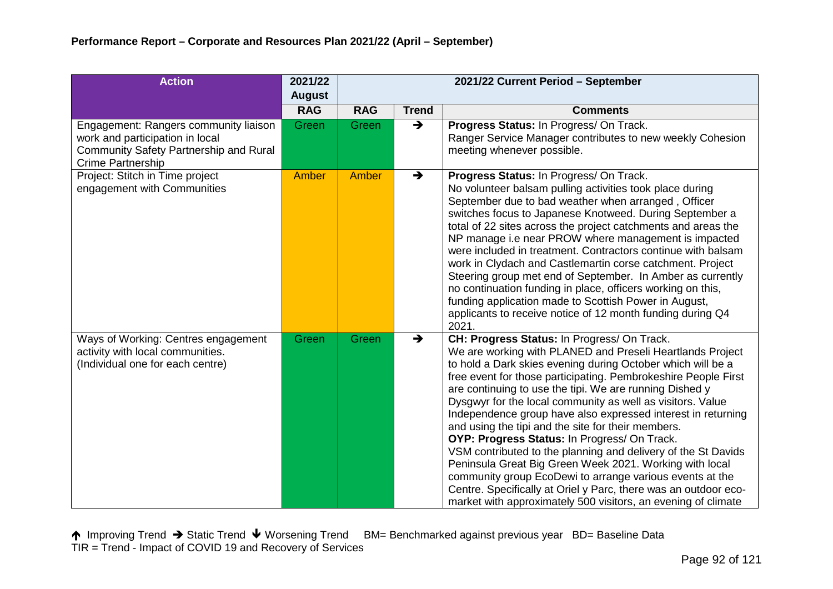| <b>Action</b>                                                                                                                                         | 2021/22       | 2021/22 Current Period - September |               |                                                                                                                                                                                                                                                                                                                                                                                                                                                                                                                                                                                                                                                                                                                                                                                                                                                                      |  |  |
|-------------------------------------------------------------------------------------------------------------------------------------------------------|---------------|------------------------------------|---------------|----------------------------------------------------------------------------------------------------------------------------------------------------------------------------------------------------------------------------------------------------------------------------------------------------------------------------------------------------------------------------------------------------------------------------------------------------------------------------------------------------------------------------------------------------------------------------------------------------------------------------------------------------------------------------------------------------------------------------------------------------------------------------------------------------------------------------------------------------------------------|--|--|
|                                                                                                                                                       | <b>August</b> |                                    |               |                                                                                                                                                                                                                                                                                                                                                                                                                                                                                                                                                                                                                                                                                                                                                                                                                                                                      |  |  |
|                                                                                                                                                       | <b>RAG</b>    | <b>RAG</b>                         | <b>Trend</b>  | <b>Comments</b>                                                                                                                                                                                                                                                                                                                                                                                                                                                                                                                                                                                                                                                                                                                                                                                                                                                      |  |  |
| Engagement: Rangers community liaison<br>work and participation in local<br><b>Community Safety Partnership and Rural</b><br><b>Crime Partnership</b> | Green         | Green                              | $\rightarrow$ | Progress Status: In Progress/ On Track.<br>Ranger Service Manager contributes to new weekly Cohesion<br>meeting whenever possible.                                                                                                                                                                                                                                                                                                                                                                                                                                                                                                                                                                                                                                                                                                                                   |  |  |
| Project: Stitch in Time project<br>engagement with Communities                                                                                        | Amber         | Amber                              | $\rightarrow$ | Progress Status: In Progress/ On Track.<br>No volunteer balsam pulling activities took place during<br>September due to bad weather when arranged, Officer<br>switches focus to Japanese Knotweed. During September a<br>total of 22 sites across the project catchments and areas the<br>NP manage i.e near PROW where management is impacted<br>were included in treatment. Contractors continue with balsam<br>work in Clydach and Castlemartin corse catchment. Project<br>Steering group met end of September. In Amber as currently<br>no continuation funding in place, officers working on this,<br>funding application made to Scottish Power in August,<br>applicants to receive notice of 12 month funding during Q4<br>2021.                                                                                                                             |  |  |
| Ways of Working: Centres engagement<br>activity with local communities.<br>(Individual one for each centre)                                           | Green         | Green                              | $\rightarrow$ | CH: Progress Status: In Progress/ On Track.<br>We are working with PLANED and Preseli Heartlands Project<br>to hold a Dark skies evening during October which will be a<br>free event for those participating. Pembrokeshire People First<br>are continuing to use the tipi. We are running Dished y<br>Dysgwyr for the local community as well as visitors. Value<br>Independence group have also expressed interest in returning<br>and using the tipi and the site for their members.<br>OYP: Progress Status: In Progress/ On Track.<br>VSM contributed to the planning and delivery of the St Davids<br>Peninsula Great Big Green Week 2021. Working with local<br>community group EcoDewi to arrange various events at the<br>Centre. Specifically at Oriel y Parc, there was an outdoor eco-<br>market with approximately 500 visitors, an evening of climate |  |  |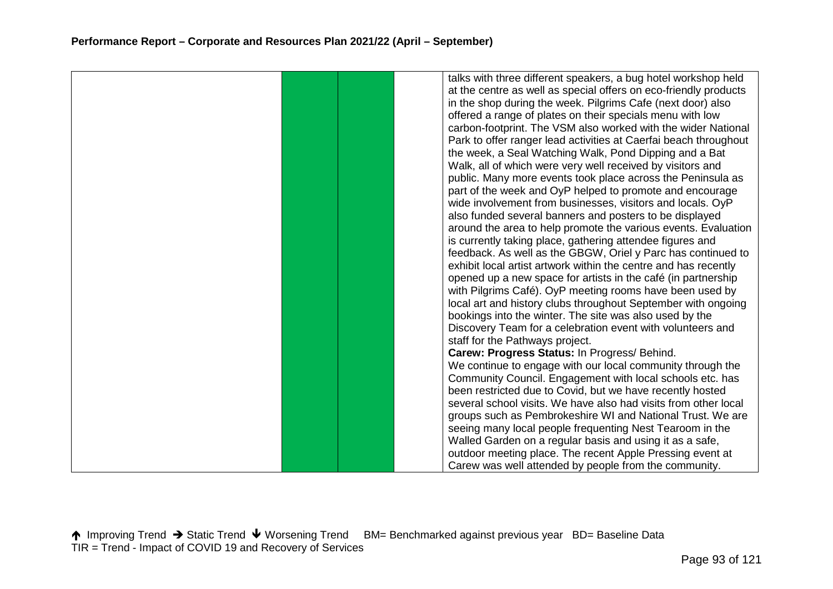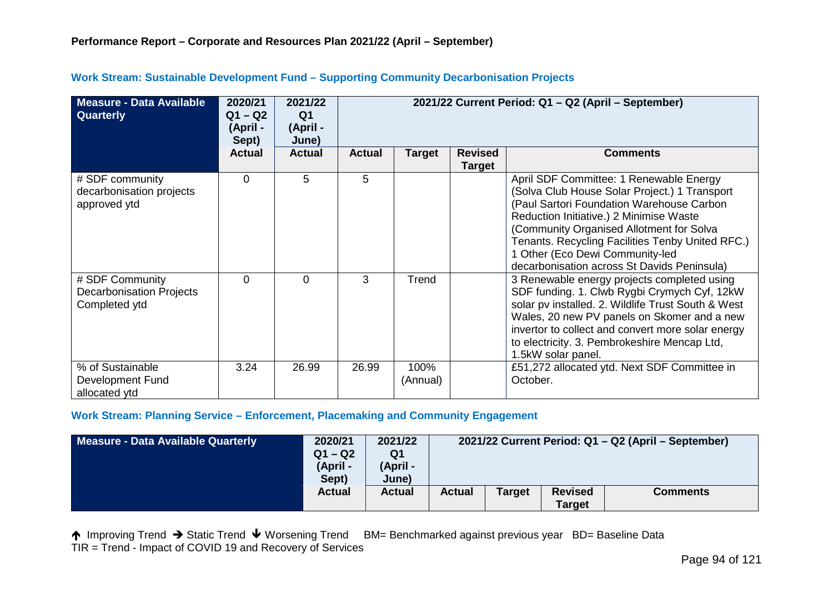| Measure - Data Available<br><b>Quarterly</b>                        | 2020/21<br>$Q1 - Q2$<br>(April -<br>Sept) | 2021/22<br>Q <sub>1</sub><br>(April -<br>June) | 2021/22 Current Period: Q1 - Q2 (April - September) |                  |                                 |                                                                                                                                                                                                                                                                                                                                                                    |  |  |  |
|---------------------------------------------------------------------|-------------------------------------------|------------------------------------------------|-----------------------------------------------------|------------------|---------------------------------|--------------------------------------------------------------------------------------------------------------------------------------------------------------------------------------------------------------------------------------------------------------------------------------------------------------------------------------------------------------------|--|--|--|
|                                                                     | <b>Actual</b>                             | <b>Actual</b>                                  | <b>Actual</b>                                       | Target           | <b>Revised</b><br><b>Target</b> | <b>Comments</b>                                                                                                                                                                                                                                                                                                                                                    |  |  |  |
| # SDF community<br>decarbonisation projects<br>approved ytd         | $\Omega$                                  | 5                                              | 5                                                   |                  |                                 | April SDF Committee: 1 Renewable Energy<br>(Solva Club House Solar Project.) 1 Transport<br>(Paul Sartori Foundation Warehouse Carbon<br>Reduction Initiative.) 2 Minimise Waste<br>(Community Organised Allotment for Solva<br>Tenants. Recycling Facilities Tenby United RFC.)<br>1 Other (Eco Dewi Community-led<br>decarbonisation across St Davids Peninsula) |  |  |  |
| # SDF Community<br><b>Decarbonisation Projects</b><br>Completed ytd | $\Omega$                                  | $\Omega$                                       | 3                                                   | Trend            |                                 | 3 Renewable energy projects completed using<br>SDF funding. 1. Clwb Rygbi Crymych Cyf, 12kW<br>solar pv installed. 2. Wildlife Trust South & West<br>Wales, 20 new PV panels on Skomer and a new<br>invertor to collect and convert more solar energy<br>to electricity. 3. Pembrokeshire Mencap Ltd,<br>1.5kW solar panel.                                        |  |  |  |
| % of Sustainable<br>Development Fund<br>allocated ytd               | 3.24                                      | 26.99                                          | 26.99                                               | 100%<br>(Annual) |                                 | £51,272 allocated ytd. Next SDF Committee in<br>October.                                                                                                                                                                                                                                                                                                           |  |  |  |

## **Work Stream: Sustainable Development Fund – Supporting Community Decarbonisation Projects**

#### **Work Stream: Planning Service – Enforcement, Placemaking and Community Engagement**

| Measure - Data Available Quarterly | 2021/22<br>2020/21<br>$Q1 - Q2$<br>Q1<br>(April -<br>(April -<br>Sept)<br>June) |               | 2021/22 Current Period: Q1 - Q2 (April - September) |               |                                 |                 |  |  |
|------------------------------------|---------------------------------------------------------------------------------|---------------|-----------------------------------------------------|---------------|---------------------------------|-----------------|--|--|
|                                    | <b>Actual</b>                                                                   | <b>Actual</b> | <b>Actual</b>                                       | <b>Target</b> | <b>Revised</b><br><b>Target</b> | <b>Comments</b> |  |  |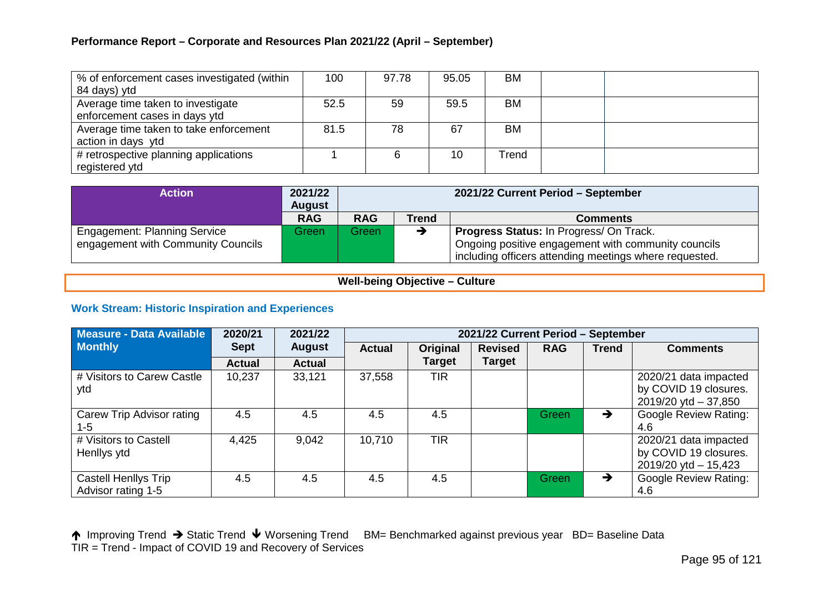## **Performance Report – Corporate and Resources Plan 2021/22 (April – September)**

| % of enforcement cases investigated (within<br>84 days) ytd        | 100  | 97.78 | 95.05 | BM        |  |
|--------------------------------------------------------------------|------|-------|-------|-----------|--|
| Average time taken to investigate<br>enforcement cases in days ytd | 52.5 | 59    | 59.5  | <b>BM</b> |  |
| Average time taken to take enforcement<br>action in days ytd       | 81.5 | 78    | 67    | <b>BM</b> |  |
| # retrospective planning applications<br>registered ytd            |      |       | 10    | Trend     |  |

| <b>Action</b>                       | 2021/22<br><b>August</b> | 2021/22 Current Period - September            |   |                                                        |  |  |  |
|-------------------------------------|--------------------------|-----------------------------------------------|---|--------------------------------------------------------|--|--|--|
|                                     | <b>RAG</b>               | <b>RAG</b><br><b>Trend</b><br><b>Comments</b> |   |                                                        |  |  |  |
| <b>Engagement: Planning Service</b> | Green                    | Greenl                                        | → | <b>Progress Status: In Progress/ On Track.</b>         |  |  |  |
| engagement with Community Councils  |                          |                                               |   | Ongoing positive engagement with community councils    |  |  |  |
|                                     |                          |                                               |   | including officers attending meetings where requested. |  |  |  |

### **Well-being Objective – Culture**

### **Work Stream: Historic Inspiration and Experiences**

| <b>Measure - Data Available</b>                   | 2020/21       | 2021/22       |               | 2021/22 Current Period - September |                |            |              |                                                                            |  |  |
|---------------------------------------------------|---------------|---------------|---------------|------------------------------------|----------------|------------|--------------|----------------------------------------------------------------------------|--|--|
| <b>Monthly</b>                                    | <b>Sept</b>   | <b>August</b> | <b>Actual</b> | Original                           | <b>Revised</b> | <b>RAG</b> | <b>Trend</b> | <b>Comments</b>                                                            |  |  |
|                                                   | <b>Actual</b> | <b>Actual</b> |               | <b>Target</b>                      | <b>Target</b>  |            |              |                                                                            |  |  |
| # Visitors to Carew Castle<br>ytd                 | 10,237        | 33,121        | 37,558        | <b>TIR</b>                         |                |            |              | 2020/21 data impacted<br>by COVID 19 closures.<br>2019/20 ytd $-37,850$    |  |  |
| Carew Trip Advisor rating<br>1-5                  | 4.5           | 4.5           | 4.5           | 4.5                                |                | Green      | →            | <b>Google Review Rating:</b><br>4.6                                        |  |  |
| # Visitors to Castell<br>Henllys ytd              | 4,425         | 9,042         | 10,710        | <b>TIR</b>                         |                |            |              | 2020/21 data impacted<br>by COVID 19 closures.<br>$2019/20$ ytd $- 15,423$ |  |  |
| <b>Castell Henllys Trip</b><br>Advisor rating 1-5 | 4.5           | 4.5           | 4.5           | 4.5                                |                | Green      | →            | <b>Google Review Rating:</b><br>4.6                                        |  |  |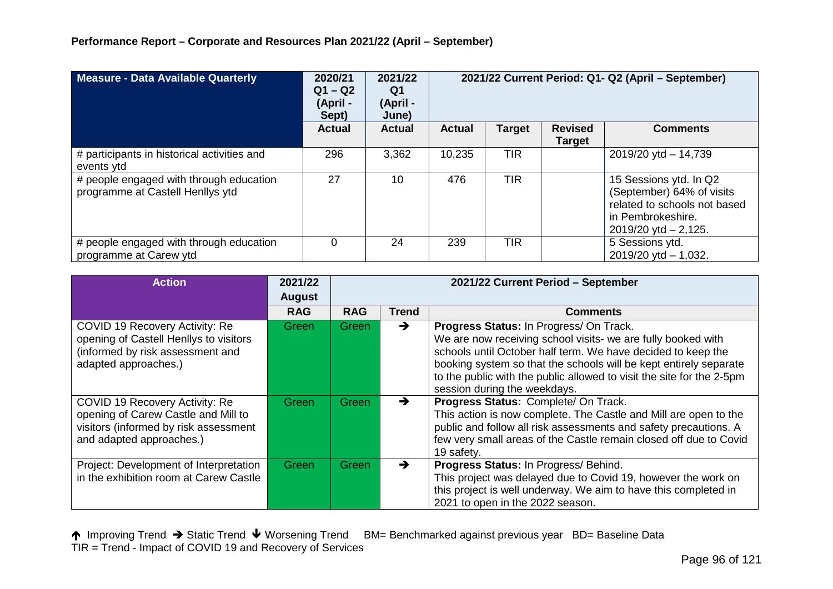| Measure - Data Available Quarterly                                          | 2020/21<br>$Q1 - Q2$<br>(April -<br>Sept) | 2021/22<br>Q1<br>(April -<br>June) | 2021/22 Current Period: Q1- Q2 (April - September) |               |                                 |                                                                                                                                       |
|-----------------------------------------------------------------------------|-------------------------------------------|------------------------------------|----------------------------------------------------|---------------|---------------------------------|---------------------------------------------------------------------------------------------------------------------------------------|
|                                                                             | <b>Actual</b>                             | <b>Actual</b>                      | <b>Actual</b>                                      | <b>Target</b> | <b>Revised</b><br><b>Target</b> | <b>Comments</b>                                                                                                                       |
| # participants in historical activities and<br>events ytd                   | 296                                       | 3,362                              | 10,235                                             | <b>TIR</b>    |                                 | $2019/20$ ytd $- 14,739$                                                                                                              |
| # people engaged with through education<br>programme at Castell Henllys ytd | 27                                        | 10                                 | 476                                                | <b>TIR</b>    |                                 | 15 Sessions ytd. In Q2<br>(September) 64% of visits<br>related to schools not based<br>in Pembrokeshire.<br>$2019/20$ ytd $- 2,125$ . |
| # people engaged with through education<br>programme at Carew ytd           | 0                                         | 24                                 | 239                                                | <b>TIR</b>    |                                 | 5 Sessions ytd.<br>$2019/20$ ytd $- 1,032$ .                                                                                          |

| <b>Action</b>                                                                                                                              | 2021/22       | 2021/22 Current Period - September |               |                                                                                                                                                                                                                                                                                                                                                       |  |  |
|--------------------------------------------------------------------------------------------------------------------------------------------|---------------|------------------------------------|---------------|-------------------------------------------------------------------------------------------------------------------------------------------------------------------------------------------------------------------------------------------------------------------------------------------------------------------------------------------------------|--|--|
|                                                                                                                                            | <b>August</b> |                                    |               |                                                                                                                                                                                                                                                                                                                                                       |  |  |
|                                                                                                                                            | <b>RAG</b>    | <b>RAG</b>                         | <b>Trend</b>  | <b>Comments</b>                                                                                                                                                                                                                                                                                                                                       |  |  |
| COVID 19 Recovery Activity: Re<br>opening of Castell Henllys to visitors<br>(informed by risk assessment and<br>adapted approaches.)       | Green         | Green                              | $\rightarrow$ | Progress Status: In Progress/ On Track.<br>We are now receiving school visits- we are fully booked with<br>schools until October half term. We have decided to keep the<br>booking system so that the schools will be kept entirely separate<br>to the public with the public allowed to visit the site for the 2-5pm<br>session during the weekdays. |  |  |
| COVID 19 Recovery Activity: Re<br>opening of Carew Castle and Mill to<br>visitors (informed by risk assessment<br>and adapted approaches.) | Green         | Green                              | $\rightarrow$ | Progress Status: Complete/ On Track.<br>This action is now complete. The Castle and Mill are open to the<br>public and follow all risk assessments and safety precautions. A<br>few very small areas of the Castle remain closed off due to Covid<br>19 safety.                                                                                       |  |  |
| Project: Development of Interpretation<br>in the exhibition room at Carew Castle                                                           | Green         | Green                              | $\rightarrow$ | Progress Status: In Progress/ Behind.<br>This project was delayed due to Covid 19, however the work on<br>this project is well underway. We aim to have this completed in<br>2021 to open in the 2022 season.                                                                                                                                         |  |  |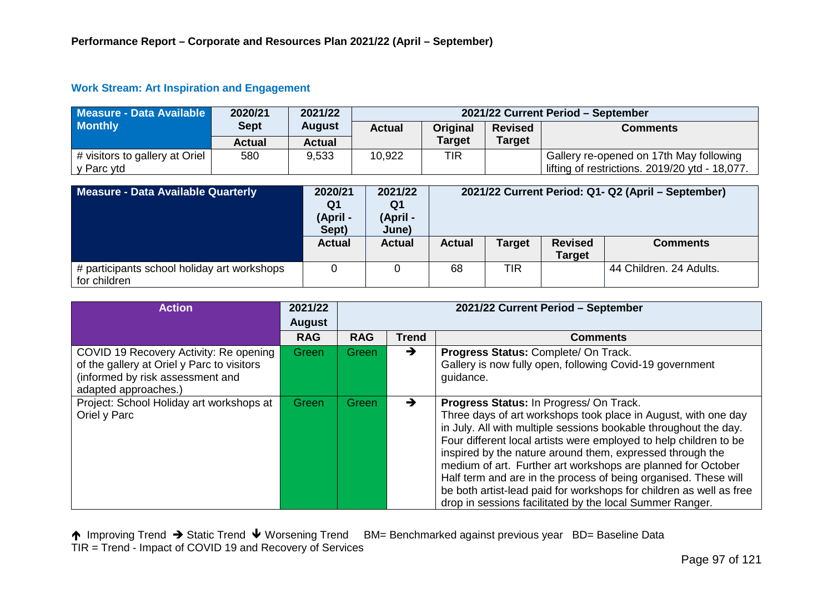## **Work Stream: Art Inspiration and Engagement**

| Measure - Data Available                     | 2020/21     | 2021/22       | 2021/22 Current Period - September |               |                |                                                                                           |  |  |
|----------------------------------------------|-------------|---------------|------------------------------------|---------------|----------------|-------------------------------------------------------------------------------------------|--|--|
| <b>Monthly</b>                               | <b>Sept</b> | <b>August</b> | <b>Actual</b>                      | Original      | <b>Revised</b> | <b>Comments</b>                                                                           |  |  |
|                                              | Actual      | <b>Actual</b> |                                    | <b>Target</b> | <b>Target</b>  |                                                                                           |  |  |
| # visitors to gallery at Oriel<br>v Parc ytd | 580         | 9,533         | 10,922                             | TIR           |                | Gallery re-opened on 17th May following<br>lifting of restrictions. 2019/20 ytd - 18,077. |  |  |

| Measure - Data Available Quarterly                          | 2020/21<br>Q1<br>(April -<br>Sept) | 2021/22<br>Q1<br>(April -<br>June) |               | 2021/22 Current Period: Q1- Q2 (April – September) |                                 |                         |
|-------------------------------------------------------------|------------------------------------|------------------------------------|---------------|----------------------------------------------------|---------------------------------|-------------------------|
|                                                             | <b>Actual</b>                      | Actual                             | <b>Actual</b> | Target                                             | <b>Revised</b><br><b>Target</b> | <b>Comments</b>         |
| # participants school holiday art workshops<br>for children |                                    |                                    | 68            | <b>TIR</b>                                         |                                 | 44 Children. 24 Adults. |

| <b>Action</b>                                                                                                                                    | 2021/22<br><b>August</b> | 2021/22 Current Period - September |               |                                                                                                                                                                                                                                                                                                                                                                                                                                                                                                                                                                                       |  |  |
|--------------------------------------------------------------------------------------------------------------------------------------------------|--------------------------|------------------------------------|---------------|---------------------------------------------------------------------------------------------------------------------------------------------------------------------------------------------------------------------------------------------------------------------------------------------------------------------------------------------------------------------------------------------------------------------------------------------------------------------------------------------------------------------------------------------------------------------------------------|--|--|
|                                                                                                                                                  | <b>RAG</b>               | <b>RAG</b>                         | <b>Trend</b>  | <b>Comments</b>                                                                                                                                                                                                                                                                                                                                                                                                                                                                                                                                                                       |  |  |
| COVID 19 Recovery Activity: Re opening<br>of the gallery at Oriel y Parc to visitors<br>(informed by risk assessment and<br>adapted approaches.) | Green                    | Green                              | $\rightarrow$ | Progress Status: Complete/ On Track.<br>Gallery is now fully open, following Covid-19 government<br>quidance.                                                                                                                                                                                                                                                                                                                                                                                                                                                                         |  |  |
| Project: School Holiday art workshops at<br>Oriel y Parc                                                                                         | Green                    | Green                              | $\rightarrow$ | Progress Status: In Progress/ On Track.<br>Three days of art workshops took place in August, with one day<br>in July. All with multiple sessions bookable throughout the day.<br>Four different local artists were employed to help children to be<br>inspired by the nature around them, expressed through the<br>medium of art. Further art workshops are planned for October<br>Half term and are in the process of being organised. These will<br>be both artist-lead paid for workshops for children as well as free<br>drop in sessions facilitated by the local Summer Ranger. |  |  |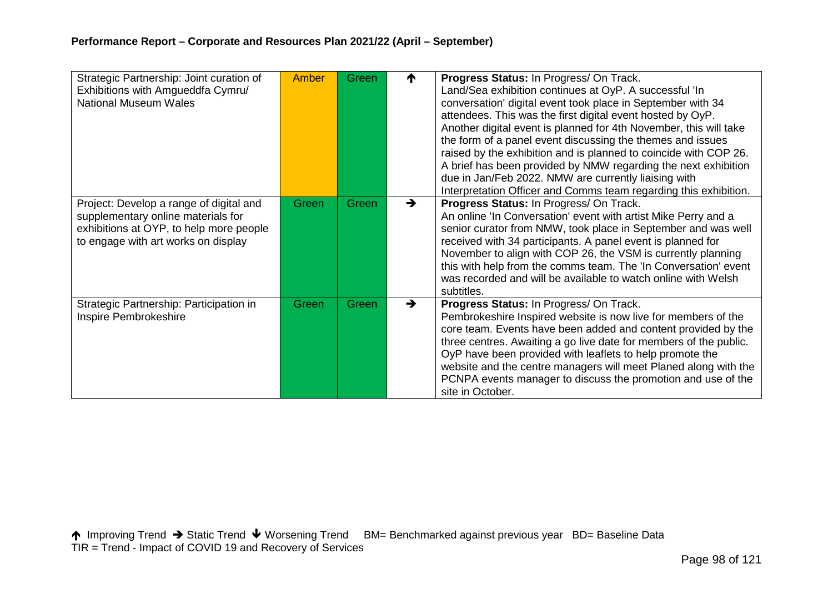| Strategic Partnership: Joint curation of<br>Exhibitions with Amgueddfa Cymru/<br><b>National Museum Wales</b>                                                   | Amber | <b>Green</b> | ₼             | Progress Status: In Progress/ On Track.<br>Land/Sea exhibition continues at OyP. A successful 'In<br>conversation' digital event took place in September with 34<br>attendees. This was the first digital event hosted by OyP.<br>Another digital event is planned for 4th November, this will take<br>the form of a panel event discussing the themes and issues<br>raised by the exhibition and is planned to coincide with COP 26.<br>A brief has been provided by NMW regarding the next exhibition<br>due in Jan/Feb 2022. NMW are currently liaising with<br>Interpretation Officer and Comms team regarding this exhibition. |
|-----------------------------------------------------------------------------------------------------------------------------------------------------------------|-------|--------------|---------------|-------------------------------------------------------------------------------------------------------------------------------------------------------------------------------------------------------------------------------------------------------------------------------------------------------------------------------------------------------------------------------------------------------------------------------------------------------------------------------------------------------------------------------------------------------------------------------------------------------------------------------------|
| Project: Develop a range of digital and<br>supplementary online materials for<br>exhibitions at OYP, to help more people<br>to engage with art works on display | Green | Green        | $\rightarrow$ | Progress Status: In Progress/ On Track.<br>An online 'In Conversation' event with artist Mike Perry and a<br>senior curator from NMW, took place in September and was well<br>received with 34 participants. A panel event is planned for<br>November to align with COP 26, the VSM is currently planning<br>this with help from the comms team. The 'In Conversation' event<br>was recorded and will be available to watch online with Welsh<br>subtitles.                                                                                                                                                                         |
| Strategic Partnership: Participation in<br>Inspire Pembrokeshire                                                                                                | Green | Green        | $\rightarrow$ | Progress Status: In Progress/ On Track.<br>Pembrokeshire Inspired website is now live for members of the<br>core team. Events have been added and content provided by the<br>three centres. Awaiting a go live date for members of the public.<br>OyP have been provided with leaflets to help promote the<br>website and the centre managers will meet Planed along with the<br>PCNPA events manager to discuss the promotion and use of the<br>site in October.                                                                                                                                                                   |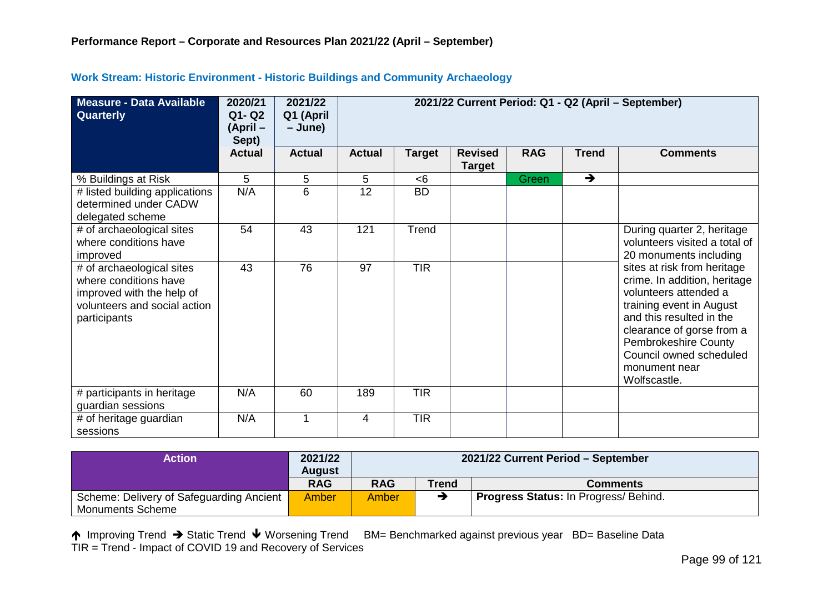| Measure - Data Available<br>Quarterly                                                                                           | 2020/21<br>Q1-Q2<br>(April –<br>Sept) | 2021/22<br>Q1 (April<br>– June) | 2021/22 Current Period: Q1 - Q2 (April – September) |               |                                 |              |               |                                                                                                                                                                                                                                                               |  |
|---------------------------------------------------------------------------------------------------------------------------------|---------------------------------------|---------------------------------|-----------------------------------------------------|---------------|---------------------------------|--------------|---------------|---------------------------------------------------------------------------------------------------------------------------------------------------------------------------------------------------------------------------------------------------------------|--|
|                                                                                                                                 | <b>Actual</b>                         | <b>Actual</b>                   | <b>Actual</b>                                       | <b>Target</b> | <b>Revised</b><br><b>Target</b> | <b>RAG</b>   | <b>Trend</b>  | <b>Comments</b>                                                                                                                                                                                                                                               |  |
| % Buildings at Risk                                                                                                             | 5                                     | 5                               | 5                                                   | < 6           |                                 | <b>Green</b> | $\rightarrow$ |                                                                                                                                                                                                                                                               |  |
| # listed building applications<br>determined under CADW<br>delegated scheme                                                     | N/A                                   | 6                               | 12                                                  | <b>BD</b>     |                                 |              |               |                                                                                                                                                                                                                                                               |  |
| # of archaeological sites<br>where conditions have<br>improved                                                                  | 54                                    | 43                              | 121                                                 | Trend         |                                 |              |               | During quarter 2, heritage<br>volunteers visited a total of<br>20 monuments including                                                                                                                                                                         |  |
| # of archaeological sites<br>where conditions have<br>improved with the help of<br>volunteers and social action<br>participants | 43                                    | 76                              | 97                                                  | <b>TIR</b>    |                                 |              |               | sites at risk from heritage<br>crime. In addition, heritage<br>volunteers attended a<br>training event in August<br>and this resulted in the<br>clearance of gorse from a<br>Pembrokeshire County<br>Council owned scheduled<br>monument near<br>Wolfscastle. |  |
| # participants in heritage<br>guardian sessions                                                                                 | N/A                                   | 60                              | 189                                                 | <b>TIR</b>    |                                 |              |               |                                                                                                                                                                                                                                                               |  |
| # of heritage guardian<br>sessions                                                                                              | N/A                                   |                                 | $\overline{4}$                                      | <b>TIR</b>    |                                 |              |               |                                                                                                                                                                                                                                                               |  |

### **Work Stream: Historic Environment - Historic Buildings and Community Archaeology**

| Action                                                              | 2021/22<br>August | 2021/22 Current Period - September                           |  |  |  |  |  |
|---------------------------------------------------------------------|-------------------|--------------------------------------------------------------|--|--|--|--|--|
|                                                                     | <b>RAG</b>        | <b>RAG</b><br>Trend<br><b>Comments</b>                       |  |  |  |  |  |
| Scheme: Delivery of Safeguarding Ancient<br><b>Monuments Scheme</b> | Amber             | <b>Progress Status: In Progress/ Behind.</b><br><b>Amber</b> |  |  |  |  |  |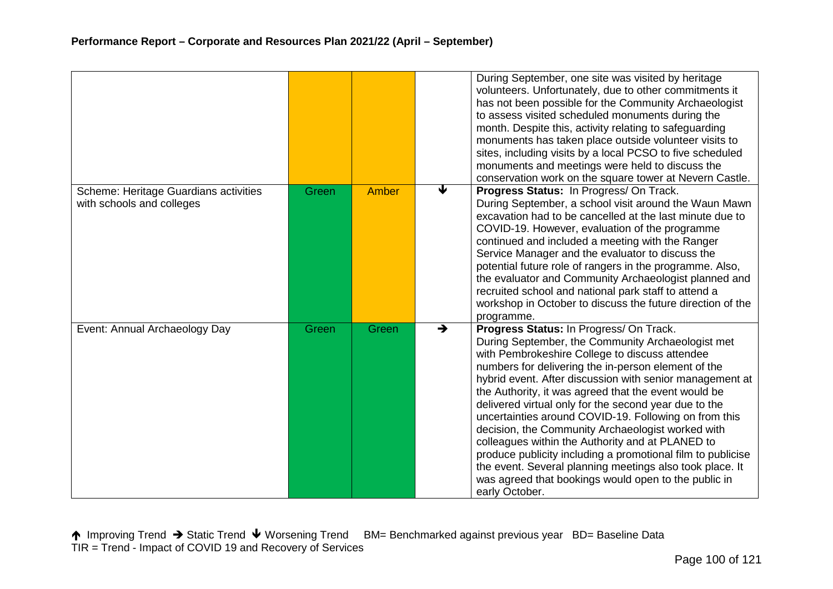|                                                                    |       |       |               | During September, one site was visited by heritage<br>volunteers. Unfortunately, due to other commitments it<br>has not been possible for the Community Archaeologist<br>to assess visited scheduled monuments during the<br>month. Despite this, activity relating to safeguarding<br>monuments has taken place outside volunteer visits to<br>sites, including visits by a local PCSO to five scheduled<br>monuments and meetings were held to discuss the<br>conservation work on the square tower at Nevern Castle.                                                                                                                                                                                                                                   |
|--------------------------------------------------------------------|-------|-------|---------------|-----------------------------------------------------------------------------------------------------------------------------------------------------------------------------------------------------------------------------------------------------------------------------------------------------------------------------------------------------------------------------------------------------------------------------------------------------------------------------------------------------------------------------------------------------------------------------------------------------------------------------------------------------------------------------------------------------------------------------------------------------------|
| Scheme: Heritage Guardians activities<br>with schools and colleges | Green | Amber | ↓             | Progress Status: In Progress/ On Track.<br>During September, a school visit around the Waun Mawn<br>excavation had to be cancelled at the last minute due to<br>COVID-19. However, evaluation of the programme<br>continued and included a meeting with the Ranger<br>Service Manager and the evaluator to discuss the<br>potential future role of rangers in the programme. Also,<br>the evaluator and Community Archaeologist planned and<br>recruited school and national park staff to attend a<br>workshop in October to discuss the future direction of the<br>programme.                                                                                                                                                                           |
| Event: Annual Archaeology Day                                      | Green | Green | $\rightarrow$ | Progress Status: In Progress/ On Track.<br>During September, the Community Archaeologist met<br>with Pembrokeshire College to discuss attendee<br>numbers for delivering the in-person element of the<br>hybrid event. After discussion with senior management at<br>the Authority, it was agreed that the event would be<br>delivered virtual only for the second year due to the<br>uncertainties around COVID-19. Following on from this<br>decision, the Community Archaeologist worked with<br>colleagues within the Authority and at PLANED to<br>produce publicity including a promotional film to publicise<br>the event. Several planning meetings also took place. It<br>was agreed that bookings would open to the public in<br>early October. |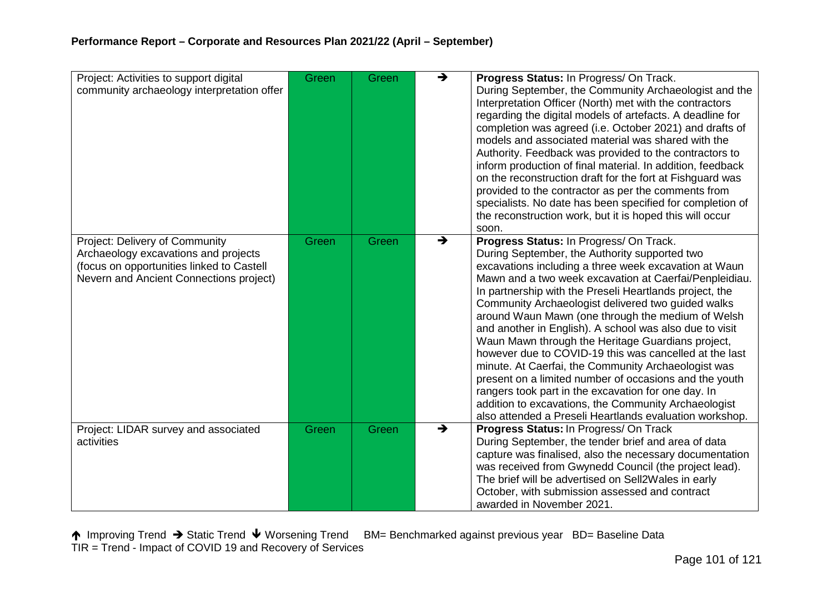| Project: Activities to support digital<br>community archaeology interpretation offer                                                                           | Green | Green | $\rightarrow$ | Progress Status: In Progress/ On Track.<br>During September, the Community Archaeologist and the<br>Interpretation Officer (North) met with the contractors<br>regarding the digital models of artefacts. A deadline for<br>completion was agreed (i.e. October 2021) and drafts of<br>models and associated material was shared with the<br>Authority. Feedback was provided to the contractors to<br>inform production of final material. In addition, feedback<br>on the reconstruction draft for the fort at Fishguard was<br>provided to the contractor as per the comments from<br>specialists. No date has been specified for completion of<br>the reconstruction work, but it is hoped this will occur<br>soon.                                                                                                                                |
|----------------------------------------------------------------------------------------------------------------------------------------------------------------|-------|-------|---------------|--------------------------------------------------------------------------------------------------------------------------------------------------------------------------------------------------------------------------------------------------------------------------------------------------------------------------------------------------------------------------------------------------------------------------------------------------------------------------------------------------------------------------------------------------------------------------------------------------------------------------------------------------------------------------------------------------------------------------------------------------------------------------------------------------------------------------------------------------------|
| Project: Delivery of Community<br>Archaeology excavations and projects<br>(focus on opportunities linked to Castell<br>Nevern and Ancient Connections project) | Green | Green | $\rightarrow$ | Progress Status: In Progress/ On Track.<br>During September, the Authority supported two<br>excavations including a three week excavation at Waun<br>Mawn and a two week excavation at Caerfai/Penpleidiau.<br>In partnership with the Preseli Heartlands project, the<br>Community Archaeologist delivered two guided walks<br>around Waun Mawn (one through the medium of Welsh<br>and another in English). A school was also due to visit<br>Waun Mawn through the Heritage Guardians project,<br>however due to COVID-19 this was cancelled at the last<br>minute. At Caerfai, the Community Archaeologist was<br>present on a limited number of occasions and the youth<br>rangers took part in the excavation for one day. In<br>addition to excavations, the Community Archaeologist<br>also attended a Preseli Heartlands evaluation workshop. |
| Project: LIDAR survey and associated<br>activities                                                                                                             | Green | Green | $\rightarrow$ | Progress Status: In Progress/ On Track<br>During September, the tender brief and area of data<br>capture was finalised, also the necessary documentation<br>was received from Gwynedd Council (the project lead).<br>The brief will be advertised on Sell2Wales in early<br>October, with submission assessed and contract<br>awarded in November 2021.                                                                                                                                                                                                                                                                                                                                                                                                                                                                                                |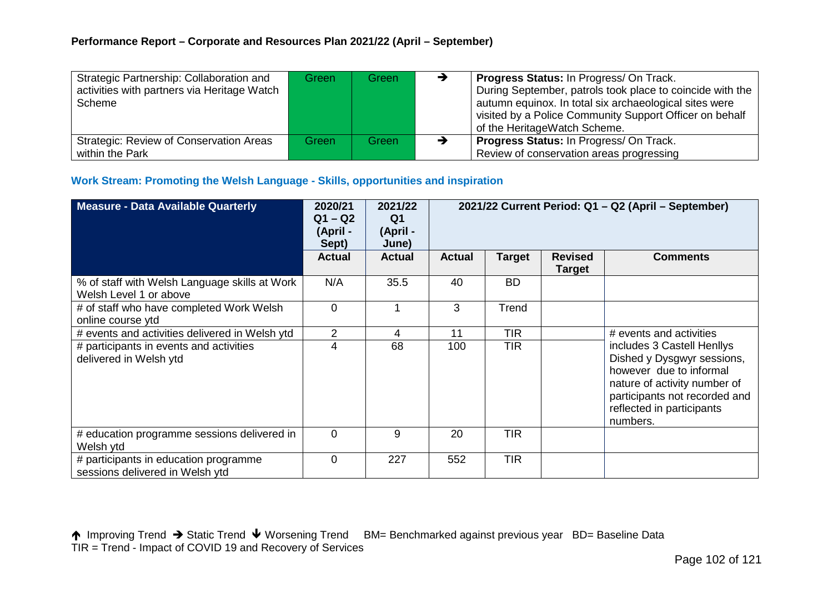| Strategic Partnership: Collaboration and       | Green | Green | → | <b>Progress Status: In Progress/ On Track.</b>            |
|------------------------------------------------|-------|-------|---|-----------------------------------------------------------|
| activities with partners via Heritage Watch    |       |       |   | During September, patrols took place to coincide with the |
| Scheme                                         |       |       |   | autumn equinox. In total six archaeological sites were    |
|                                                |       |       |   | visited by a Police Community Support Officer on behalf   |
|                                                |       |       |   | of the HeritageWatch Scheme.                              |
| <b>Strategic: Review of Conservation Areas</b> | Green | Green | → | <b>Progress Status: In Progress/ On Track.</b>            |
| within the Park                                |       |       |   | Review of conservation areas progressing                  |

## **Work Stream: Promoting the Welsh Language - Skills, opportunities and inspiration**

| Measure - Data Available Quarterly                                       | 2020/21<br>$Q1 - Q2$<br>(April -<br>Sept) | 2021/22<br>Q <sub>1</sub><br>(April -<br>June) | 2021/22 Current Period: Q1 - Q2 (April - September) |               |                                 |                                                                                                                                                                                               |
|--------------------------------------------------------------------------|-------------------------------------------|------------------------------------------------|-----------------------------------------------------|---------------|---------------------------------|-----------------------------------------------------------------------------------------------------------------------------------------------------------------------------------------------|
|                                                                          | <b>Actual</b>                             | <b>Actual</b>                                  | <b>Actual</b>                                       | <b>Target</b> | <b>Revised</b><br><b>Target</b> | <b>Comments</b>                                                                                                                                                                               |
| % of staff with Welsh Language skills at Work<br>Welsh Level 1 or above  | N/A                                       | 35.5                                           | 40                                                  | <b>BD</b>     |                                 |                                                                                                                                                                                               |
| # of staff who have completed Work Welsh<br>online course ytd            | $\overline{0}$                            |                                                | 3                                                   | Trend         |                                 |                                                                                                                                                                                               |
| # events and activities delivered in Welsh ytd                           | 2                                         | 4                                              | 11                                                  | <b>TIR</b>    |                                 | # events and activities                                                                                                                                                                       |
| # participants in events and activities<br>delivered in Welsh ytd        | 4                                         | 68                                             | 100                                                 | <b>TIR</b>    |                                 | includes 3 Castell Henllys<br>Dished y Dysgwyr sessions,<br>however due to informal<br>nature of activity number of<br>participants not recorded and<br>reflected in participants<br>numbers. |
| # education programme sessions delivered in<br>Welsh ytd                 | $\overline{0}$                            | 9                                              | 20                                                  | <b>TIR</b>    |                                 |                                                                                                                                                                                               |
| # participants in education programme<br>sessions delivered in Welsh ytd | $\overline{0}$                            | 227                                            | 552                                                 | <b>TIR</b>    |                                 |                                                                                                                                                                                               |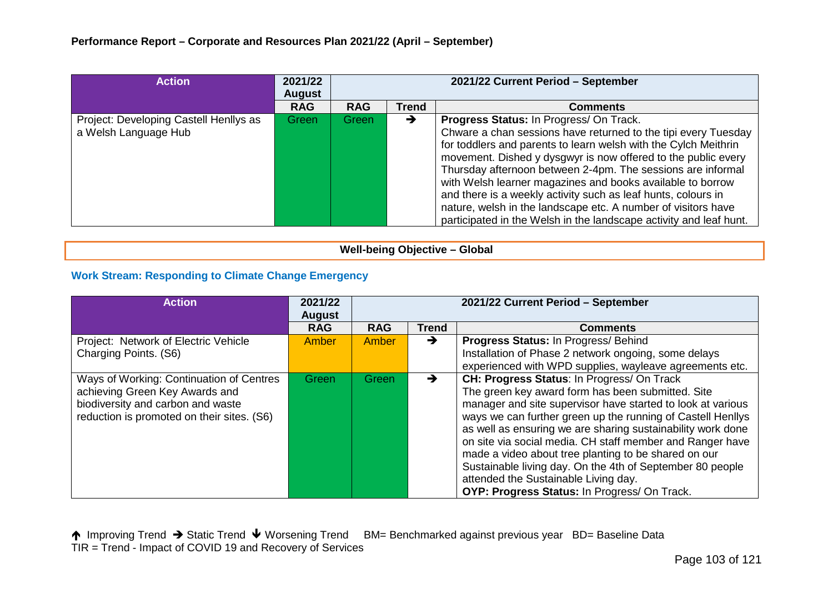| <b>Action</b>                                                  | 2021/22<br><b>August</b> | 2021/22 Current Period - September |              |                                                                                                                                                                                                                                                                                                                                                                                                                                                                                                                                                                                    |  |  |  |
|----------------------------------------------------------------|--------------------------|------------------------------------|--------------|------------------------------------------------------------------------------------------------------------------------------------------------------------------------------------------------------------------------------------------------------------------------------------------------------------------------------------------------------------------------------------------------------------------------------------------------------------------------------------------------------------------------------------------------------------------------------------|--|--|--|
|                                                                | <b>RAG</b>               | <b>RAG</b>                         | <b>Trend</b> | <b>Comments</b>                                                                                                                                                                                                                                                                                                                                                                                                                                                                                                                                                                    |  |  |  |
| Project: Developing Castell Henllys as<br>a Welsh Language Hub | Green                    | Green                              | →            | Progress Status: In Progress/ On Track.<br>Chware a chan sessions have returned to the tipi every Tuesday<br>for toddlers and parents to learn welsh with the Cylch Meithrin<br>movement. Dished y dysgwyr is now offered to the public every<br>Thursday afternoon between 2-4pm. The sessions are informal<br>with Welsh learner magazines and books available to borrow<br>and there is a weekly activity such as leaf hunts, colours in<br>nature, welsh in the landscape etc. A number of visitors have<br>participated in the Welsh in the landscape activity and leaf hunt. |  |  |  |

**Well-being Objective – Global**

## **Work Stream: Responding to Climate Change Emergency**

| <b>Action</b>                                                                                                                                                 | 2021/22<br><b>August</b> | 2021/22 Current Period - September |              |                                                                                                                                                                                                                                                                                                                                                                                                                                                                                                                                                                        |  |  |
|---------------------------------------------------------------------------------------------------------------------------------------------------------------|--------------------------|------------------------------------|--------------|------------------------------------------------------------------------------------------------------------------------------------------------------------------------------------------------------------------------------------------------------------------------------------------------------------------------------------------------------------------------------------------------------------------------------------------------------------------------------------------------------------------------------------------------------------------------|--|--|
|                                                                                                                                                               | <b>RAG</b>               | <b>RAG</b>                         | <b>Trend</b> | <b>Comments</b>                                                                                                                                                                                                                                                                                                                                                                                                                                                                                                                                                        |  |  |
| Project: Network of Electric Vehicle<br>Charging Points. (S6)                                                                                                 | Amber                    | Amber                              | →            | Progress Status: In Progress/Behind<br>Installation of Phase 2 network ongoing, some delays<br>experienced with WPD supplies, wayleave agreements etc.                                                                                                                                                                                                                                                                                                                                                                                                                 |  |  |
| Ways of Working: Continuation of Centres<br>achieving Green Key Awards and<br>biodiversity and carbon and waste<br>reduction is promoted on their sites. (S6) | <b>Green</b>             | Green                              | →            | CH: Progress Status: In Progress/ On Track<br>The green key award form has been submitted. Site<br>manager and site supervisor have started to look at various<br>ways we can further green up the running of Castell Henllys<br>as well as ensuring we are sharing sustainability work done<br>on site via social media. CH staff member and Ranger have<br>made a video about tree planting to be shared on our<br>Sustainable living day. On the 4th of September 80 people<br>attended the Sustainable Living day.<br>OYP: Progress Status: In Progress/ On Track. |  |  |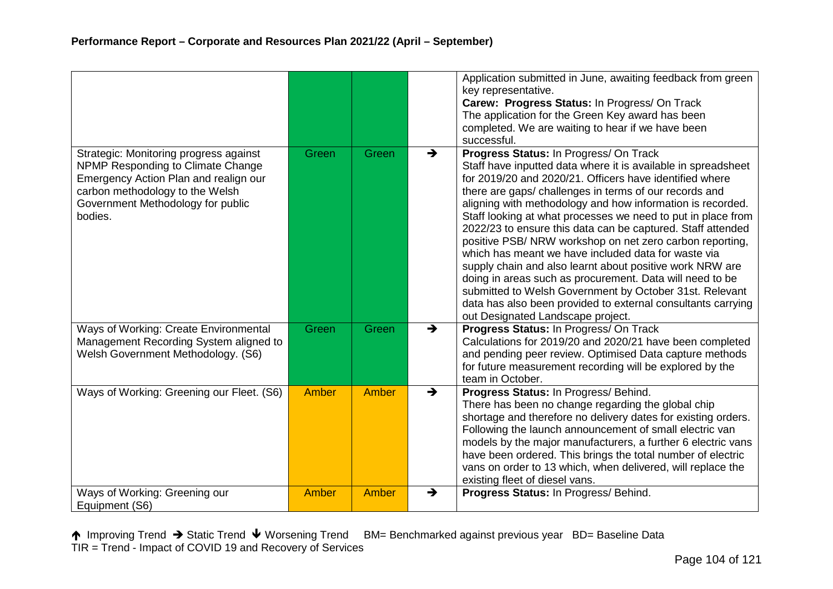|                                                                                                                                                                                                         |              |       |               | Application submitted in June, awaiting feedback from green<br>key representative.<br>Carew: Progress Status: In Progress/ On Track<br>The application for the Green Key award has been<br>completed. We are waiting to hear if we have been<br>successful.                                                                                                                                                                                                                                                                                                                                                                                                                                                                                                                                                                          |
|---------------------------------------------------------------------------------------------------------------------------------------------------------------------------------------------------------|--------------|-------|---------------|--------------------------------------------------------------------------------------------------------------------------------------------------------------------------------------------------------------------------------------------------------------------------------------------------------------------------------------------------------------------------------------------------------------------------------------------------------------------------------------------------------------------------------------------------------------------------------------------------------------------------------------------------------------------------------------------------------------------------------------------------------------------------------------------------------------------------------------|
| Strategic: Monitoring progress against<br>NPMP Responding to Climate Change<br>Emergency Action Plan and realign our<br>carbon methodology to the Welsh<br>Government Methodology for public<br>bodies. | Green        | Green | $\rightarrow$ | Progress Status: In Progress/ On Track<br>Staff have inputted data where it is available in spreadsheet<br>for 2019/20 and 2020/21. Officers have identified where<br>there are gaps/ challenges in terms of our records and<br>aligning with methodology and how information is recorded.<br>Staff looking at what processes we need to put in place from<br>2022/23 to ensure this data can be captured. Staff attended<br>positive PSB/ NRW workshop on net zero carbon reporting,<br>which has meant we have included data for waste via<br>supply chain and also learnt about positive work NRW are<br>doing in areas such as procurement. Data will need to be<br>submitted to Welsh Government by October 31st. Relevant<br>data has also been provided to external consultants carrying<br>out Designated Landscape project. |
| Ways of Working: Create Environmental<br>Management Recording System aligned to<br>Welsh Government Methodology. (S6)                                                                                   | Green        | Green | $\rightarrow$ | Progress Status: In Progress/ On Track<br>Calculations for 2019/20 and 2020/21 have been completed<br>and pending peer review. Optimised Data capture methods<br>for future measurement recording will be explored by the<br>team in October.                                                                                                                                                                                                                                                                                                                                                                                                                                                                                                                                                                                        |
| Ways of Working: Greening our Fleet. (S6)                                                                                                                                                               | <b>Amber</b> | Amber | $\rightarrow$ | Progress Status: In Progress/ Behind.<br>There has been no change regarding the global chip<br>shortage and therefore no delivery dates for existing orders.<br>Following the launch announcement of small electric van<br>models by the major manufacturers, a further 6 electric vans<br>have been ordered. This brings the total number of electric<br>vans on order to 13 which, when delivered, will replace the<br>existing fleet of diesel vans.                                                                                                                                                                                                                                                                                                                                                                              |
| Ways of Working: Greening our<br>Equipment (S6)                                                                                                                                                         | Amber        | Amber | →             | Progress Status: In Progress/ Behind.                                                                                                                                                                                                                                                                                                                                                                                                                                                                                                                                                                                                                                                                                                                                                                                                |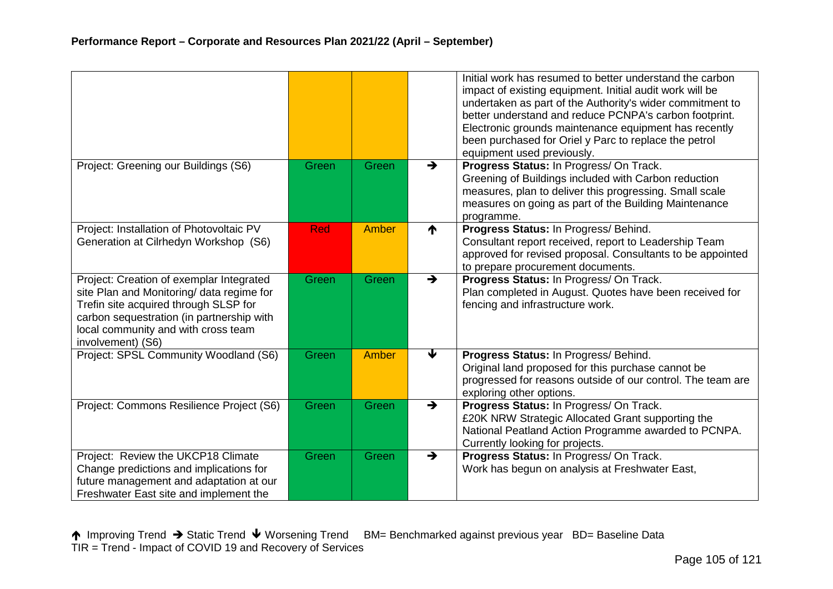|                                                                                                                                                                                                                                         |            |       |               | Initial work has resumed to better understand the carbon<br>impact of existing equipment. Initial audit work will be<br>undertaken as part of the Authority's wider commitment to<br>better understand and reduce PCNPA's carbon footprint.<br>Electronic grounds maintenance equipment has recently<br>been purchased for Oriel y Parc to replace the petrol<br>equipment used previously. |
|-----------------------------------------------------------------------------------------------------------------------------------------------------------------------------------------------------------------------------------------|------------|-------|---------------|---------------------------------------------------------------------------------------------------------------------------------------------------------------------------------------------------------------------------------------------------------------------------------------------------------------------------------------------------------------------------------------------|
| Project: Greening our Buildings (S6)                                                                                                                                                                                                    | Green      | Green | $\rightarrow$ | Progress Status: In Progress/ On Track.<br>Greening of Buildings included with Carbon reduction<br>measures, plan to deliver this progressing. Small scale<br>measures on going as part of the Building Maintenance<br>programme.                                                                                                                                                           |
| Project: Installation of Photovoltaic PV<br>Generation at Cilrhedyn Workshop (S6)                                                                                                                                                       | <b>Red</b> | Amber | ↑             | Progress Status: In Progress/ Behind.<br>Consultant report received, report to Leadership Team<br>approved for revised proposal. Consultants to be appointed<br>to prepare procurement documents.                                                                                                                                                                                           |
| Project: Creation of exemplar Integrated<br>site Plan and Monitoring/ data regime for<br>Trefin site acquired through SLSP for<br>carbon sequestration (in partnership with<br>local community and with cross team<br>involvement) (S6) | Green      | Green | $\rightarrow$ | Progress Status: In Progress/ On Track.<br>Plan completed in August. Quotes have been received for<br>fencing and infrastructure work.                                                                                                                                                                                                                                                      |
| Project: SPSL Community Woodland (S6)                                                                                                                                                                                                   | Green      | Amber | €             | Progress Status: In Progress/ Behind.<br>Original land proposed for this purchase cannot be<br>progressed for reasons outside of our control. The team are<br>exploring other options.                                                                                                                                                                                                      |
| Project: Commons Resilience Project (S6)                                                                                                                                                                                                | Green      | Green | $\rightarrow$ | Progress Status: In Progress/ On Track.<br>£20K NRW Strategic Allocated Grant supporting the<br>National Peatland Action Programme awarded to PCNPA.<br>Currently looking for projects.                                                                                                                                                                                                     |
| Project: Review the UKCP18 Climate<br>Change predictions and implications for<br>future management and adaptation at our<br>Freshwater East site and implement the                                                                      | Green      | Green | $\rightarrow$ | Progress Status: In Progress/ On Track.<br>Work has begun on analysis at Freshwater East,                                                                                                                                                                                                                                                                                                   |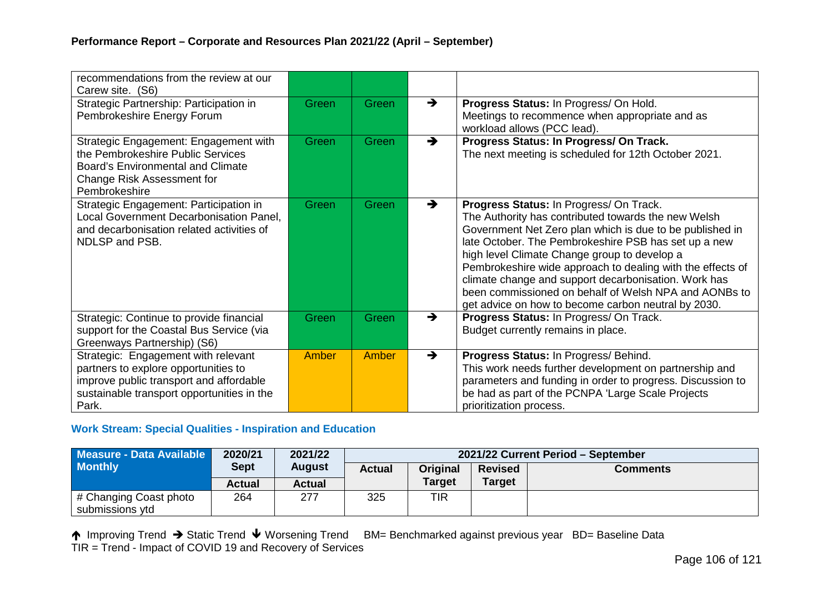| recommendations from the review at our<br>Carew site. (S6)                                                                                                                    |       |       |               |                                                                                                                                                                                                                                                                                                                                                                                                                                                                                                          |
|-------------------------------------------------------------------------------------------------------------------------------------------------------------------------------|-------|-------|---------------|----------------------------------------------------------------------------------------------------------------------------------------------------------------------------------------------------------------------------------------------------------------------------------------------------------------------------------------------------------------------------------------------------------------------------------------------------------------------------------------------------------|
| Strategic Partnership: Participation in<br>Pembrokeshire Energy Forum                                                                                                         | Green | Green | →             | Progress Status: In Progress/ On Hold.<br>Meetings to recommence when appropriate and as<br>workload allows (PCC lead).                                                                                                                                                                                                                                                                                                                                                                                  |
| Strategic Engagement: Engagement with<br>the Pembrokeshire Public Services<br><b>Board's Environmental and Climate</b><br><b>Change Risk Assessment for</b><br>Pembrokeshire  | Green | Green | $\rightarrow$ | Progress Status: In Progress/ On Track.<br>The next meeting is scheduled for 12th October 2021.                                                                                                                                                                                                                                                                                                                                                                                                          |
| Strategic Engagement: Participation in<br>Local Government Decarbonisation Panel,<br>and decarbonisation related activities of<br>NDLSP and PSB.                              | Green | Green | →             | Progress Status: In Progress/ On Track.<br>The Authority has contributed towards the new Welsh<br>Government Net Zero plan which is due to be published in<br>late October. The Pembrokeshire PSB has set up a new<br>high level Climate Change group to develop a<br>Pembrokeshire wide approach to dealing with the effects of<br>climate change and support decarbonisation. Work has<br>been commissioned on behalf of Welsh NPA and AONBs to<br>get advice on how to become carbon neutral by 2030. |
| Strategic: Continue to provide financial<br>support for the Coastal Bus Service (via<br>Greenways Partnership) (S6)                                                           | Green | Green | $\rightarrow$ | Progress Status: In Progress/ On Track.<br>Budget currently remains in place.                                                                                                                                                                                                                                                                                                                                                                                                                            |
| Strategic: Engagement with relevant<br>partners to explore opportunities to<br>improve public transport and affordable<br>sustainable transport opportunities in the<br>Park. | Amber | Amber | $\rightarrow$ | Progress Status: In Progress/ Behind.<br>This work needs further development on partnership and<br>parameters and funding in order to progress. Discussion to<br>be had as part of the PCNPA 'Large Scale Projects<br>prioritization process.                                                                                                                                                                                                                                                            |

#### **Work Stream: Special Qualities - Inspiration and Education**

| Measure - Data Available                  | 2020/21     | 2021/22       | 2021/22 Current Period - September |                 |                |          |  |  |  |
|-------------------------------------------|-------------|---------------|------------------------------------|-----------------|----------------|----------|--|--|--|
| <b>Monthly</b>                            | <b>Sept</b> | <b>August</b> | <b>Actual</b>                      | <b>Original</b> | <b>Revised</b> | Comments |  |  |  |
|                                           | Actual      | <b>Actual</b> |                                    | <b>Target</b>   | <b>Target</b>  |          |  |  |  |
| # Changing Coast photo<br>submissions ytd | 264         | 277           | 325                                | TIR             |                |          |  |  |  |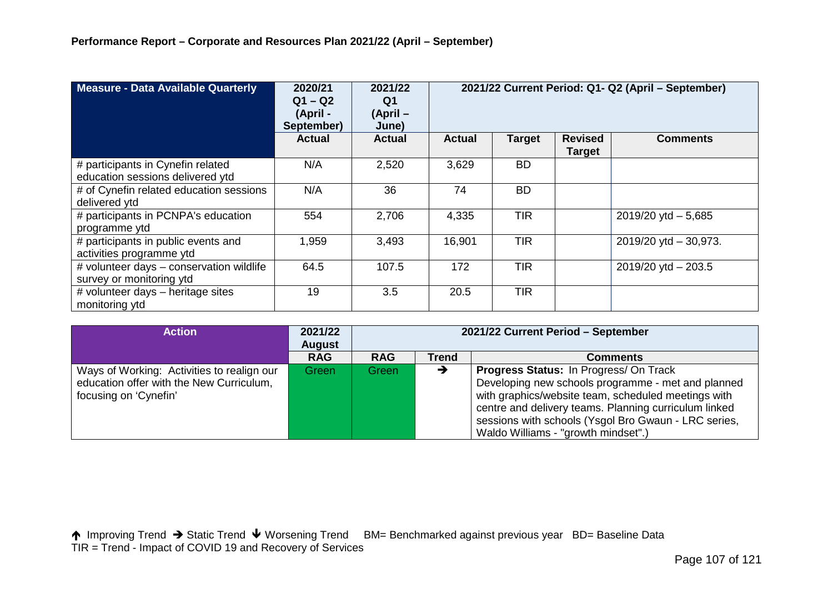| Measure - Data Available Quarterly                                    | 2020/21<br>$Q1 - Q2$<br>(April -<br>September) | 2021/22<br>Q <sub>1</sub><br>$(April -$<br>June) | 2021/22 Current Period: Q1- Q2 (April - September) |               |                                 |                           |  |
|-----------------------------------------------------------------------|------------------------------------------------|--------------------------------------------------|----------------------------------------------------|---------------|---------------------------------|---------------------------|--|
|                                                                       | <b>Actual</b>                                  | <b>Actual</b>                                    | <b>Actual</b>                                      | <b>Target</b> | <b>Revised</b><br><b>Target</b> | <b>Comments</b>           |  |
| # participants in Cynefin related<br>education sessions delivered ytd | N/A                                            | 2,520                                            | 3,629                                              | <b>BD</b>     |                                 |                           |  |
| # of Cynefin related education sessions<br>delivered ytd              | N/A                                            | 36                                               | 74                                                 | <b>BD</b>     |                                 |                           |  |
| # participants in PCNPA's education<br>programme ytd                  | 554                                            | 2,706                                            | 4,335                                              | <b>TIR</b>    |                                 | $2019/20$ ytd $-5,685$    |  |
| # participants in public events and<br>activities programme ytd       | 1,959                                          | 3,493                                            | 16,901                                             | <b>TIR</b>    |                                 | $2019/20$ ytd $-30,973$ . |  |
| # volunteer days - conservation wildlife<br>survey or monitoring ytd  | 64.5                                           | 107.5                                            | 172                                                | <b>TIR</b>    |                                 | $2019/20$ ytd $- 203.5$   |  |
| # volunteer days - heritage sites<br>monitoring ytd                   | 19                                             | 3.5                                              | 20.5                                               | <b>TIR</b>    |                                 |                           |  |

| <b>Action</b>                                                                                                   | 2021/22<br><b>August</b> | 2021/22 Current Period - September |              |                                                                                                                                                                                                                                                                                                                    |  |  |
|-----------------------------------------------------------------------------------------------------------------|--------------------------|------------------------------------|--------------|--------------------------------------------------------------------------------------------------------------------------------------------------------------------------------------------------------------------------------------------------------------------------------------------------------------------|--|--|
|                                                                                                                 | <b>RAG</b>               | <b>RAG</b>                         | <b>Trend</b> | <b>Comments</b>                                                                                                                                                                                                                                                                                                    |  |  |
| Ways of Working: Activities to realign our<br>education offer with the New Curriculum,<br>focusing on 'Cynefin' | Green                    | Green                              | →            | <b>Progress Status: In Progress/ On Track</b><br>Developing new schools programme - met and planned<br>with graphics/website team, scheduled meetings with<br>centre and delivery teams. Planning curriculum linked<br>sessions with schools (Ysgol Bro Gwaun - LRC series,<br>Waldo Williams - "growth mindset".) |  |  |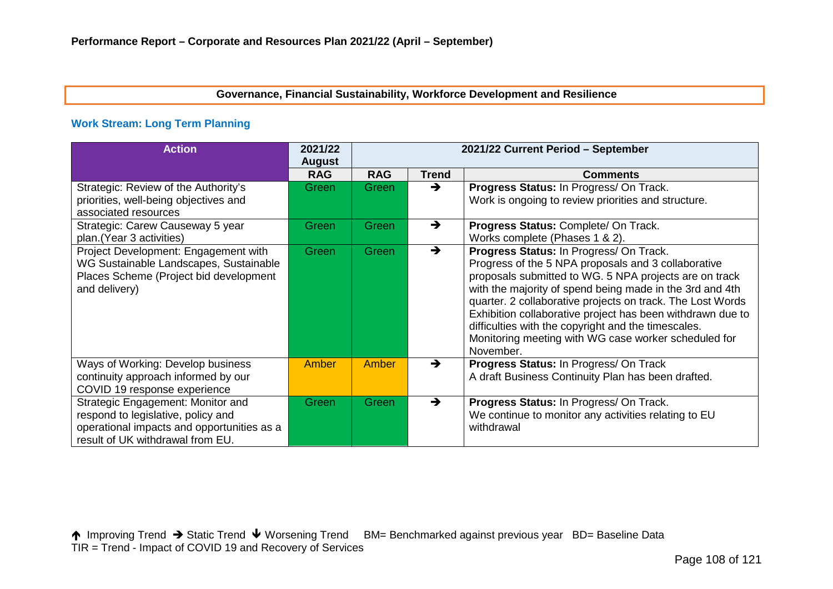## **Governance, Financial Sustainability, Workforce Development and Resilience**

## **Work Stream: Long Term Planning**

| <b>Action</b>                                                                                                                                             | 2021/22<br><b>August</b> | 2021/22 Current Period - September |               |                                                                                                                                                                                                                                                                                                                                                                                                                                                                              |  |  |  |  |  |  |
|-----------------------------------------------------------------------------------------------------------------------------------------------------------|--------------------------|------------------------------------|---------------|------------------------------------------------------------------------------------------------------------------------------------------------------------------------------------------------------------------------------------------------------------------------------------------------------------------------------------------------------------------------------------------------------------------------------------------------------------------------------|--|--|--|--|--|--|
|                                                                                                                                                           | <b>RAG</b>               | <b>RAG</b>                         | <b>Trend</b>  | <b>Comments</b>                                                                                                                                                                                                                                                                                                                                                                                                                                                              |  |  |  |  |  |  |
| Strategic: Review of the Authority's<br>priorities, well-being objectives and<br>associated resources                                                     | Green                    | Green                              | $\rightarrow$ | Progress Status: In Progress/ On Track.<br>Work is ongoing to review priorities and structure.                                                                                                                                                                                                                                                                                                                                                                               |  |  |  |  |  |  |
| Strategic: Carew Causeway 5 year<br>plan.(Year 3 activities)                                                                                              | Green                    | Green                              | $\rightarrow$ | Progress Status: Complete/ On Track.<br>Works complete (Phases 1 & 2).                                                                                                                                                                                                                                                                                                                                                                                                       |  |  |  |  |  |  |
| Project Development: Engagement with<br>WG Sustainable Landscapes, Sustainable<br>Places Scheme (Project bid development<br>and delivery)                 | Green                    | Green                              | $\rightarrow$ | Progress Status: In Progress/ On Track.<br>Progress of the 5 NPA proposals and 3 collaborative<br>proposals submitted to WG. 5 NPA projects are on track<br>with the majority of spend being made in the 3rd and 4th<br>quarter. 2 collaborative projects on track. The Lost Words<br>Exhibition collaborative project has been withdrawn due to<br>difficulties with the copyright and the timescales.<br>Monitoring meeting with WG case worker scheduled for<br>November. |  |  |  |  |  |  |
| Ways of Working: Develop business<br>continuity approach informed by our<br>COVID 19 response experience                                                  | Amber                    | Amber                              | $\rightarrow$ | <b>Progress Status: In Progress/ On Track</b><br>A draft Business Continuity Plan has been drafted.                                                                                                                                                                                                                                                                                                                                                                          |  |  |  |  |  |  |
| Strategic Engagement: Monitor and<br>respond to legislative, policy and<br>operational impacts and opportunities as a<br>result of UK withdrawal from EU. | Green                    | Green                              | $\rightarrow$ | Progress Status: In Progress/ On Track.<br>We continue to monitor any activities relating to EU<br>withdrawal                                                                                                                                                                                                                                                                                                                                                                |  |  |  |  |  |  |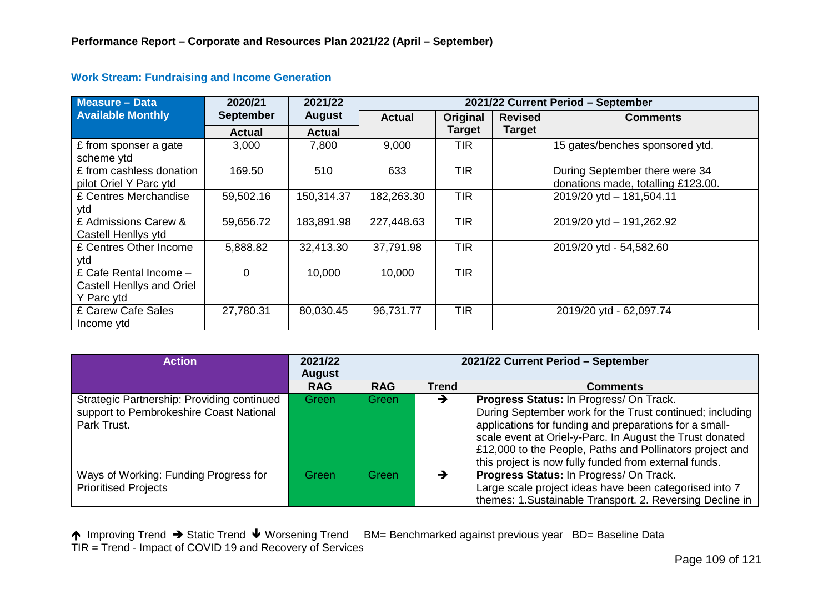| <b>Measure - Data</b>                                             | 2020/21          | 2021/22       | 2021/22 Current Period - September |               |                |                                                                      |  |  |  |
|-------------------------------------------------------------------|------------------|---------------|------------------------------------|---------------|----------------|----------------------------------------------------------------------|--|--|--|
| <b>Available Monthly</b>                                          | <b>September</b> | <b>August</b> | <b>Actual</b>                      | Original      | <b>Revised</b> | <b>Comments</b>                                                      |  |  |  |
|                                                                   | <b>Actual</b>    | <b>Actual</b> |                                    | <b>Target</b> | <b>Target</b>  |                                                                      |  |  |  |
| £ from sponser a gate<br>scheme ytd                               | 3,000            | 7,800         | 9,000                              | <b>TIR</b>    |                | 15 gates/benches sponsored ytd.                                      |  |  |  |
| £ from cashless donation<br>pilot Oriel Y Parc ytd                | 169.50           | 510           | 633                                | <b>TIR</b>    |                | During September there were 34<br>donations made, totalling £123.00. |  |  |  |
| £ Centres Merchandise<br>vtd                                      | 59,502.16        | 150,314.37    | 182,263.30                         | <b>TIR</b>    |                | 2019/20 ytd - 181,504.11                                             |  |  |  |
| £ Admissions Carew &<br>Castell Henllys ytd                       | 59,656.72        | 183,891.98    | 227,448.63                         | <b>TIR</b>    |                | 2019/20 ytd - 191,262.92                                             |  |  |  |
| £ Centres Other Income<br>ytd                                     | 5,888.82         | 32,413.30     | 37,791.98                          | <b>TIR</b>    |                | 2019/20 ytd - 54,582.60                                              |  |  |  |
| £ Cafe Rental Income -<br>Castell Henllys and Oriel<br>Y Parc ytd | $\Omega$         | 10,000        | 10,000                             | <b>TIR</b>    |                |                                                                      |  |  |  |
| £ Carew Cafe Sales<br>Income ytd                                  | 27,780.31        | 80,030.45     | 96,731.77                          | <b>TIR</b>    |                | 2019/20 ytd - 62,097.74                                              |  |  |  |

### **Work Stream: Fundraising and Income Generation**

| <b>Action</b>                                                                                        | 2021/22<br>August | 2021/22 Current Period - September |              |                                                                                                                                                                                                                                                                                                                                                |  |  |  |
|------------------------------------------------------------------------------------------------------|-------------------|------------------------------------|--------------|------------------------------------------------------------------------------------------------------------------------------------------------------------------------------------------------------------------------------------------------------------------------------------------------------------------------------------------------|--|--|--|
|                                                                                                      | <b>RAG</b>        | <b>RAG</b>                         | <b>Trend</b> | <b>Comments</b>                                                                                                                                                                                                                                                                                                                                |  |  |  |
| Strategic Partnership: Providing continued<br>support to Pembrokeshire Coast National<br>Park Trust. | Green             | Green                              | →            | Progress Status: In Progress/ On Track.<br>During September work for the Trust continued; including<br>applications for funding and preparations for a small-<br>scale event at Oriel-y-Parc. In August the Trust donated<br>£12,000 to the People, Paths and Pollinators project and<br>this project is now fully funded from external funds. |  |  |  |
| Ways of Working: Funding Progress for<br><b>Prioritised Projects</b>                                 | Green             | Green                              |              | Progress Status: In Progress/ On Track.<br>Large scale project ideas have been categorised into 7<br>themes: 1.Sustainable Transport. 2. Reversing Decline in                                                                                                                                                                                  |  |  |  |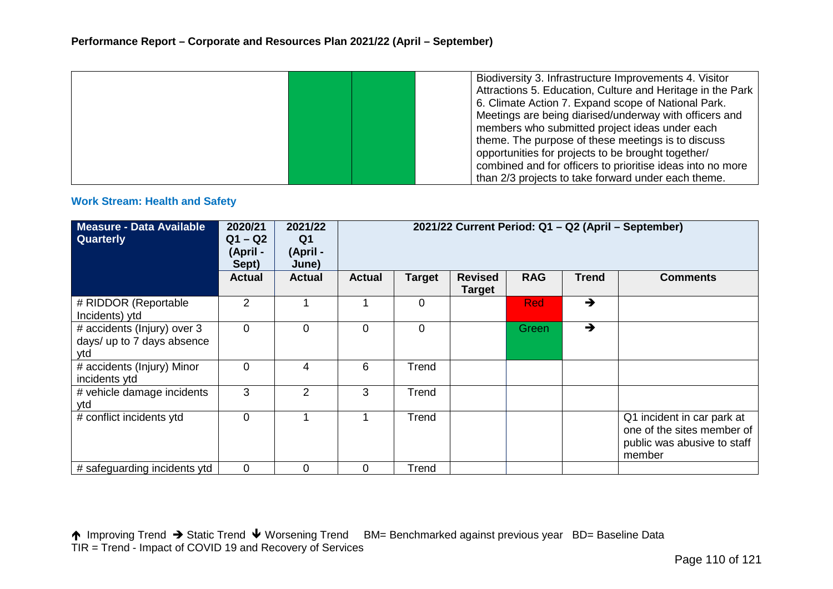|  |  | Biodiversity 3. Infrastructure Improvements 4. Visitor     |
|--|--|------------------------------------------------------------|
|  |  | Attractions 5. Education, Culture and Heritage in the Park |
|  |  | 6. Climate Action 7. Expand scope of National Park.        |
|  |  | Meetings are being diarised/underway with officers and     |
|  |  | members who submitted project ideas under each             |
|  |  | theme. The purpose of these meetings is to discuss         |
|  |  | opportunities for projects to be brought together/         |
|  |  | combined and for officers to prioritise ideas into no more |
|  |  | than 2/3 projects to take forward under each theme.        |

#### **Work Stream: Health and Safety**

| <b>Measure - Data Available</b><br>Quarterly                     | 2020/21<br>$Q1 - Q2$<br>(April -<br>Sept) | 2021/22<br>Q <sub>1</sub><br>(April -<br>June) | 2021/22 Current Period: Q1 - Q2 (April - September) |               |                                 |            |               |                                                                                                   |  |
|------------------------------------------------------------------|-------------------------------------------|------------------------------------------------|-----------------------------------------------------|---------------|---------------------------------|------------|---------------|---------------------------------------------------------------------------------------------------|--|
|                                                                  | <b>Actual</b>                             | <b>Actual</b>                                  | <b>Actual</b>                                       | <b>Target</b> | <b>Revised</b><br><b>Target</b> | <b>RAG</b> | <b>Trend</b>  | <b>Comments</b>                                                                                   |  |
| # RIDDOR (Reportable<br>Incidents) ytd                           | 2                                         |                                                |                                                     | 0             |                                 | <b>Red</b> | $\rightarrow$ |                                                                                                   |  |
| # accidents (Injury) over 3<br>days/ up to 7 days absence<br>ytd | 0                                         | $\mathbf 0$                                    | $\mathbf 0$                                         | 0             |                                 | Green      | $\rightarrow$ |                                                                                                   |  |
| # accidents (Injury) Minor<br>incidents ytd                      | 0                                         | 4                                              | 6                                                   | Trend         |                                 |            |               |                                                                                                   |  |
| # vehicle damage incidents<br>ytd                                | 3                                         | $\overline{2}$                                 | 3                                                   | Trend         |                                 |            |               |                                                                                                   |  |
| # conflict incidents ytd                                         | $\overline{0}$                            |                                                |                                                     | Trend         |                                 |            |               | Q1 incident in car park at<br>one of the sites member of<br>public was abusive to staff<br>member |  |
| # safeguarding incidents ytd                                     | 0                                         | 0                                              | 0                                                   | Trend         |                                 |            |               |                                                                                                   |  |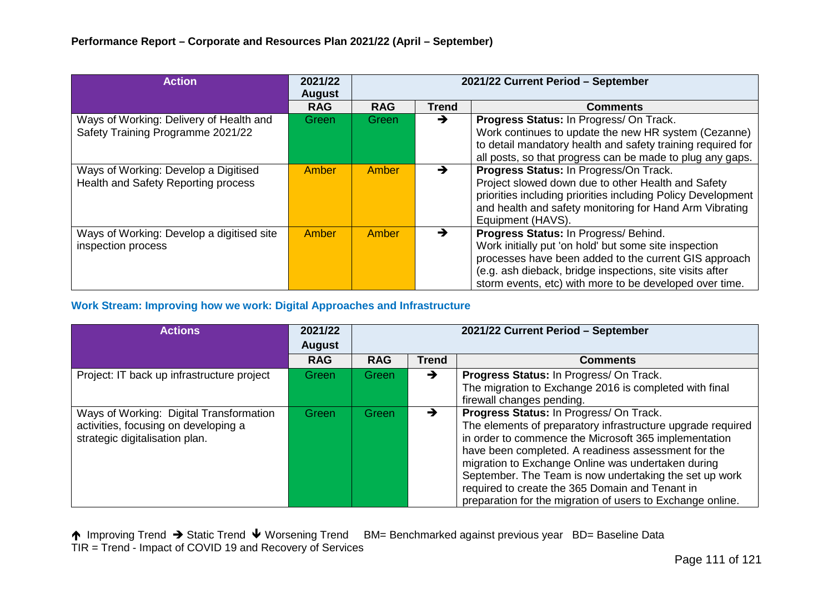| <b>Action</b>                                                                | 2021/22<br><b>August</b> |              |              | 2021/22 Current Period - September                                                                                                                                                                                                                                             |
|------------------------------------------------------------------------------|--------------------------|--------------|--------------|--------------------------------------------------------------------------------------------------------------------------------------------------------------------------------------------------------------------------------------------------------------------------------|
|                                                                              | <b>RAG</b>               | <b>RAG</b>   | <b>Trend</b> | <b>Comments</b>                                                                                                                                                                                                                                                                |
| Ways of Working: Delivery of Health and<br>Safety Training Programme 2021/22 | Green                    | Green/       | →            | Progress Status: In Progress/ On Track.<br>Work continues to update the new HR system (Cezanne)<br>to detail mandatory health and safety training required for<br>all posts, so that progress can be made to plug any gaps.                                                    |
| Ways of Working: Develop a Digitised<br>Health and Safety Reporting process  | Amber                    | <b>Amber</b> | →            | Progress Status: In Progress/On Track.<br>Project slowed down due to other Health and Safety<br>priorities including priorities including Policy Development<br>and health and safety monitoring for Hand Arm Vibrating<br>Equipment (HAVS).                                   |
| Ways of Working: Develop a digitised site<br>inspection process              | Amber                    | Amber        | →            | Progress Status: In Progress/ Behind.<br>Work initially put 'on hold' but some site inspection<br>processes have been added to the current GIS approach<br>(e.g. ash dieback, bridge inspections, site visits after<br>storm events, etc) with more to be developed over time. |

### **Work Stream: Improving how we work: Digital Approaches and Infrastructure**

| <b>Actions</b>                                                                                                    | 2021/22<br><b>August</b> | 2021/22 Current Period - September |               |                                                                                                                                                                                                                                                                                                                                                                                                                                                         |  |  |
|-------------------------------------------------------------------------------------------------------------------|--------------------------|------------------------------------|---------------|---------------------------------------------------------------------------------------------------------------------------------------------------------------------------------------------------------------------------------------------------------------------------------------------------------------------------------------------------------------------------------------------------------------------------------------------------------|--|--|
|                                                                                                                   | <b>RAG</b>               | <b>RAG</b>                         | <b>Trend</b>  | <b>Comments</b>                                                                                                                                                                                                                                                                                                                                                                                                                                         |  |  |
| Project: IT back up infrastructure project                                                                        | <b>Green</b>             | Green                              | →             | Progress Status: In Progress/ On Track.<br>The migration to Exchange 2016 is completed with final<br>firewall changes pending.                                                                                                                                                                                                                                                                                                                          |  |  |
| Ways of Working: Digital Transformation<br>activities, focusing on developing a<br>strategic digitalisation plan. | Green                    | Green                              | $\rightarrow$ | Progress Status: In Progress/ On Track.<br>The elements of preparatory infrastructure upgrade required<br>in order to commence the Microsoft 365 implementation<br>have been completed. A readiness assessment for the<br>migration to Exchange Online was undertaken during<br>September. The Team is now undertaking the set up work<br>required to create the 365 Domain and Tenant in<br>preparation for the migration of users to Exchange online. |  |  |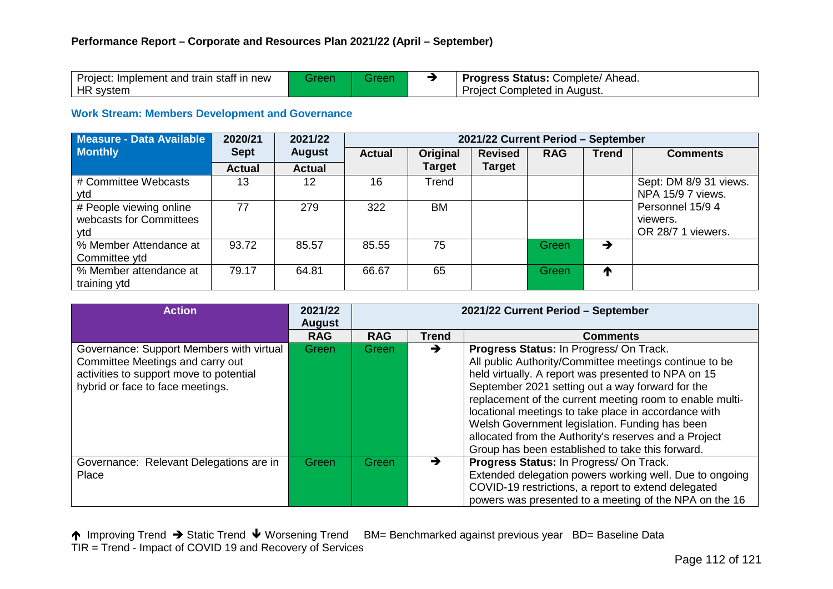| Project: Implement and train staff in new |  | <b>Progress Status: Complete/ Ahead.</b> |
|-------------------------------------------|--|------------------------------------------|
| HR system                                 |  | Project Completed in August.             |

### **Work Stream: Members Development and Governance**

| Measure - Data Available | 2020/21       | 2021/22           | 2021/22 Current Period - September |               |                |            |              |                        |  |
|--------------------------|---------------|-------------------|------------------------------------|---------------|----------------|------------|--------------|------------------------|--|
| <b>Monthly</b>           | <b>Sept</b>   | <b>August</b>     | <b>Actual</b>                      | Original      | <b>Revised</b> | <b>RAG</b> | <b>Trend</b> | <b>Comments</b>        |  |
|                          | <b>Actual</b> | <b>Actual</b>     |                                    | <b>Target</b> | <b>Target</b>  |            |              |                        |  |
| # Committee Webcasts     | 13            | $12 \overline{ }$ | 16                                 | Trend         |                |            |              | Sept: DM 8/9 31 views. |  |
| ytd                      |               |                   |                                    |               |                |            |              | NPA 15/9 7 views.      |  |
| # People viewing online  | 77            | 279               | 322                                | <b>BM</b>     |                |            |              | Personnel 15/9 4       |  |
| webcasts for Committees  |               |                   |                                    |               |                |            |              | viewers.               |  |
| ytd                      |               |                   |                                    |               |                |            |              | OR 28/7 1 viewers.     |  |
| % Member Attendance at   | 93.72         | 85.57             | 85.55                              | 75            |                | Green      | →            |                        |  |
| Committee ytd            |               |                   |                                    |               |                |            |              |                        |  |
| % Member attendance at   | 79.17         | 64.81             | 66.67                              | 65            |                | Green      | T            |                        |  |
| training ytd             |               |                   |                                    |               |                |            |              |                        |  |

| <b>Action</b>                                                                                                                                               | 2021/22<br><b>August</b> |            |              | 2021/22 Current Period - September                                                                                                                                                                                                                                                                                                                                                                                                                                                              |
|-------------------------------------------------------------------------------------------------------------------------------------------------------------|--------------------------|------------|--------------|-------------------------------------------------------------------------------------------------------------------------------------------------------------------------------------------------------------------------------------------------------------------------------------------------------------------------------------------------------------------------------------------------------------------------------------------------------------------------------------------------|
|                                                                                                                                                             | <b>RAG</b>               | <b>RAG</b> | <b>Trend</b> | <b>Comments</b>                                                                                                                                                                                                                                                                                                                                                                                                                                                                                 |
| Governance: Support Members with virtual<br>Committee Meetings and carry out<br>activities to support move to potential<br>hybrid or face to face meetings. | Green                    | Green      | →            | Progress Status: In Progress/ On Track.<br>All public Authority/Committee meetings continue to be<br>held virtually. A report was presented to NPA on 15<br>September 2021 setting out a way forward for the<br>replacement of the current meeting room to enable multi-<br>locational meetings to take place in accordance with<br>Welsh Government legislation. Funding has been<br>allocated from the Authority's reserves and a Project<br>Group has been established to take this forward. |
| Governance: Relevant Delegations are in<br>Place                                                                                                            | Green                    | Green7     | →            | Progress Status: In Progress/ On Track.<br>Extended delegation powers working well. Due to ongoing<br>COVID-19 restrictions, a report to extend delegated<br>powers was presented to a meeting of the NPA on the 16                                                                                                                                                                                                                                                                             |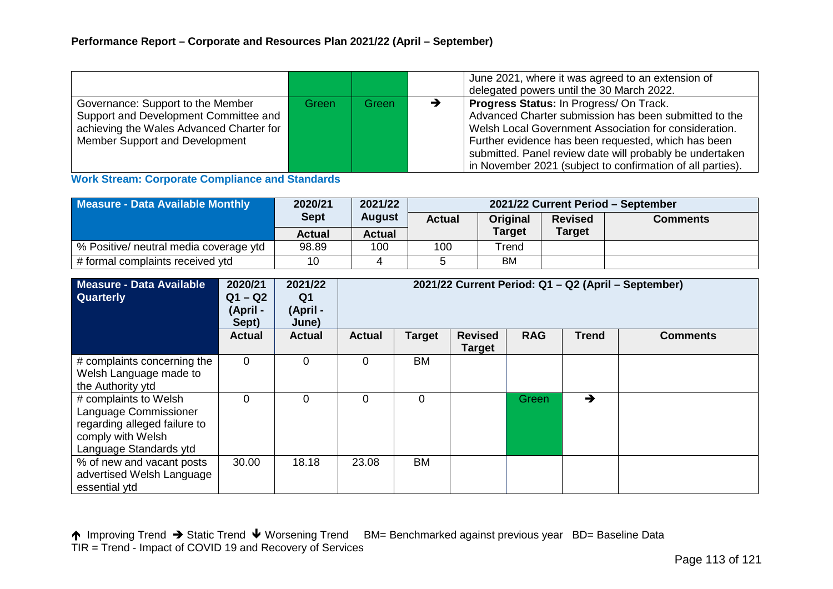|                                          |       |       |               | June 2021, where it was agreed to an extension of<br>delegated powers until the 30 March 2022. |
|------------------------------------------|-------|-------|---------------|------------------------------------------------------------------------------------------------|
| Governance: Support to the Member        | Green | Green | $\rightarrow$ | Progress Status: In Progress/ On Track.                                                        |
| Support and Development Committee and    |       |       |               | Advanced Charter submission has been submitted to the                                          |
| achieving the Wales Advanced Charter for |       |       |               | Welsh Local Government Association for consideration.                                          |
| Member Support and Development           |       |       |               | Further evidence has been requested, which has been                                            |
|                                          |       |       |               | submitted. Panel review date will probably be undertaken                                       |
|                                          |       |       |               | in November 2021 (subject to confirmation of all parties).                                     |

**Work Stream: Corporate Compliance and Standards**

| Measure - Data Available Monthly       | 2020/21       | 2021/22                      | 2021/22 Current Period - September |                           |               |                 |  |
|----------------------------------------|---------------|------------------------------|------------------------------------|---------------------------|---------------|-----------------|--|
|                                        |               | <b>Sept</b><br><b>August</b> |                                    | <b>Actual</b><br>Original |               | <b>Comments</b> |  |
|                                        | <b>Actual</b> | <b>Actual</b>                |                                    | <b>Target</b>             | <b>Target</b> |                 |  |
| % Positive/ neutral media coverage ytd | 98.89         | 100                          | 100                                | Trend                     |               |                 |  |
| # formal complaints received ytd       | 10            |                              |                                    | <b>BM</b>                 |               |                 |  |

| Measure - Data Available<br><b>Quarterly</b>                                                                                  | 2020/21<br>$Q1 - Q2$<br>(April -<br>Sept) | 2021/22<br>Q1<br>(April -<br>June) | 2021/22 Current Period: Q1 - Q2 (April - September) |           |                                 |            |               |                 |  |
|-------------------------------------------------------------------------------------------------------------------------------|-------------------------------------------|------------------------------------|-----------------------------------------------------|-----------|---------------------------------|------------|---------------|-----------------|--|
|                                                                                                                               | <b>Actual</b>                             | <b>Actual</b>                      | <b>Actual</b>                                       | Target    | <b>Revised</b><br><b>Target</b> | <b>RAG</b> | <b>Trend</b>  | <b>Comments</b> |  |
| # complaints concerning the<br>Welsh Language made to<br>the Authority ytd                                                    | $\Omega$                                  | $\Omega$                           | $\Omega$                                            | <b>BM</b> |                                 |            |               |                 |  |
| # complaints to Welsh<br>Language Commissioner<br>regarding alleged failure to<br>comply with Welsh<br>Language Standards ytd | 0                                         | $\Omega$                           | $\Omega$                                            | 0         |                                 | Green/     | $\rightarrow$ |                 |  |
| % of new and vacant posts<br>advertised Welsh Language<br>essential ytd                                                       | 30.00                                     | 18.18                              | 23.08                                               | BM        |                                 |            |               |                 |  |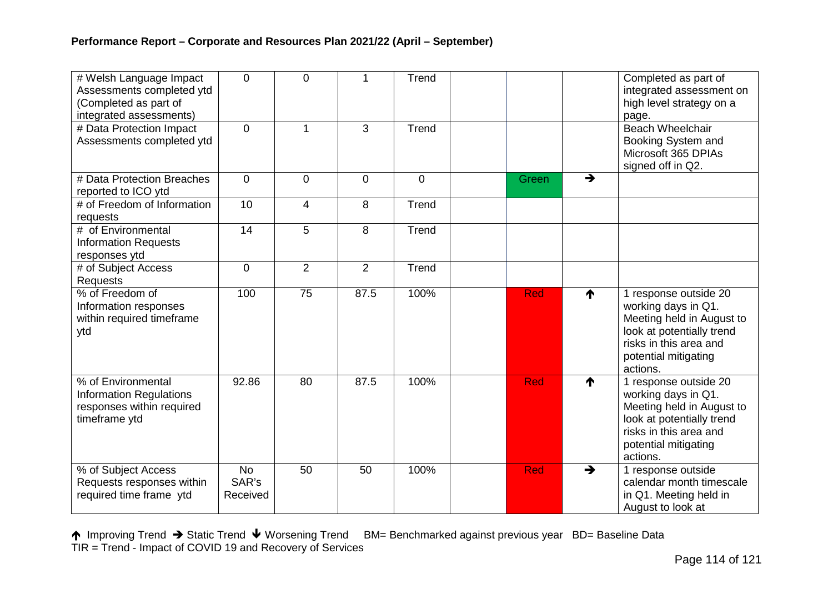| # Welsh Language Impact<br>Assessments completed ytd<br>(Completed as part of<br>integrated assessments) | $\Omega$                       | $\overline{0}$ | 1              | Trend          |            |               | Completed as part of<br>integrated assessment on<br>high level strategy on a<br>page.                                                                                |
|----------------------------------------------------------------------------------------------------------|--------------------------------|----------------|----------------|----------------|------------|---------------|----------------------------------------------------------------------------------------------------------------------------------------------------------------------|
| # Data Protection Impact<br>Assessments completed ytd                                                    | $\Omega$                       | 1              | 3              | Trend          |            |               | <b>Beach Wheelchair</b><br>Booking System and<br>Microsoft 365 DPIAs<br>signed off in Q2.                                                                            |
| # Data Protection Breaches<br>reported to ICO ytd                                                        | $\overline{0}$                 | $\overline{0}$ | $\mathbf 0$    | $\overline{0}$ | Green      | $\rightarrow$ |                                                                                                                                                                      |
| # of Freedom of Information<br>requests                                                                  | 10                             | $\overline{4}$ | 8              | Trend          |            |               |                                                                                                                                                                      |
| # of Environmental<br><b>Information Requests</b><br>responses ytd                                       | 14                             | 5              | 8              | Trend          |            |               |                                                                                                                                                                      |
| # of Subject Access<br><b>Requests</b>                                                                   | $\overline{0}$                 | $\overline{2}$ | $\overline{2}$ | Trend          |            |               |                                                                                                                                                                      |
| % of Freedom of<br>Information responses<br>within required timeframe<br>ytd                             | 100                            | 75             | 87.5           | 100%           | <b>Red</b> | ↑             | 1 response outside 20<br>working days in Q1.<br>Meeting held in August to<br>look at potentially trend<br>risks in this area and<br>potential mitigating<br>actions. |
| % of Environmental<br><b>Information Regulations</b><br>responses within required<br>timeframe ytd       | 92.86                          | 80             | 87.5           | 100%           | <b>Red</b> | ↑             | 1 response outside 20<br>working days in Q1.<br>Meeting held in August to<br>look at potentially trend<br>risks in this area and<br>potential mitigating<br>actions. |
| % of Subject Access<br>Requests responses within<br>required time frame ytd                              | <b>No</b><br>SAR's<br>Received | 50             | 50             | 100%           | <b>Red</b> | →             | 1 response outside<br>calendar month timescale<br>in Q1. Meeting held in<br>August to look at                                                                        |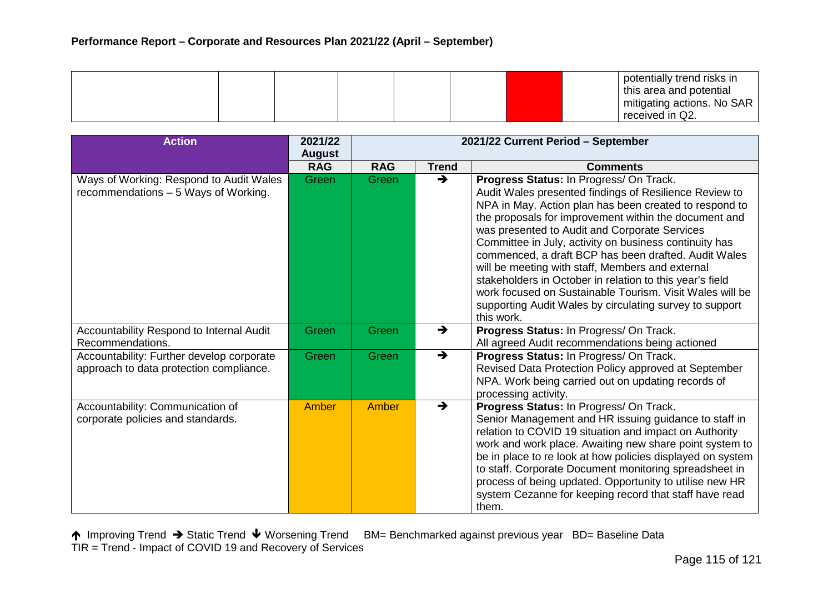|  |  |  |  |  |  | potentially trend risks in<br>this area and potential<br>I mitigating actions. No SAR<br>received in Q2. |
|--|--|--|--|--|--|----------------------------------------------------------------------------------------------------------|
|--|--|--|--|--|--|----------------------------------------------------------------------------------------------------------|

| <b>Action</b>                                                                        | 2021/22<br><b>August</b> | 2021/22 Current Period - September |               |                                                                                                                                                                                                                                                                                                                                                                                                                                                                                                                                                                                                                                              |
|--------------------------------------------------------------------------------------|--------------------------|------------------------------------|---------------|----------------------------------------------------------------------------------------------------------------------------------------------------------------------------------------------------------------------------------------------------------------------------------------------------------------------------------------------------------------------------------------------------------------------------------------------------------------------------------------------------------------------------------------------------------------------------------------------------------------------------------------------|
|                                                                                      | <b>RAG</b>               | <b>RAG</b>                         | <b>Trend</b>  | <b>Comments</b>                                                                                                                                                                                                                                                                                                                                                                                                                                                                                                                                                                                                                              |
| Ways of Working: Respond to Audit Wales<br>recommendations - 5 Ways of Working.      | Green                    | Green                              | $\rightarrow$ | Progress Status: In Progress/ On Track.<br>Audit Wales presented findings of Resilience Review to<br>NPA in May. Action plan has been created to respond to<br>the proposals for improvement within the document and<br>was presented to Audit and Corporate Services<br>Committee in July, activity on business continuity has<br>commenced, a draft BCP has been drafted. Audit Wales<br>will be meeting with staff, Members and external<br>stakeholders in October in relation to this year's field<br>work focused on Sustainable Tourism. Visit Wales will be<br>supporting Audit Wales by circulating survey to support<br>this work. |
| Accountability Respond to Internal Audit<br>Recommendations.                         | Green                    | Green                              | $\rightarrow$ | Progress Status: In Progress/ On Track.<br>All agreed Audit recommendations being actioned                                                                                                                                                                                                                                                                                                                                                                                                                                                                                                                                                   |
| Accountability: Further develop corporate<br>approach to data protection compliance. | Green                    | Green                              | $\rightarrow$ | Progress Status: In Progress/ On Track.<br>Revised Data Protection Policy approved at September<br>NPA. Work being carried out on updating records of<br>processing activity.                                                                                                                                                                                                                                                                                                                                                                                                                                                                |
| Accountability: Communication of<br>corporate policies and standards.                | Amber                    | Amber                              | $\rightarrow$ | Progress Status: In Progress/ On Track.<br>Senior Management and HR issuing guidance to staff in<br>relation to COVID 19 situation and impact on Authority<br>work and work place. Awaiting new share point system to<br>be in place to re look at how policies displayed on system<br>to staff. Corporate Document monitoring spreadsheet in<br>process of being updated. Opportunity to utilise new HR<br>system Cezanne for keeping record that staff have read<br>them.                                                                                                                                                                  |